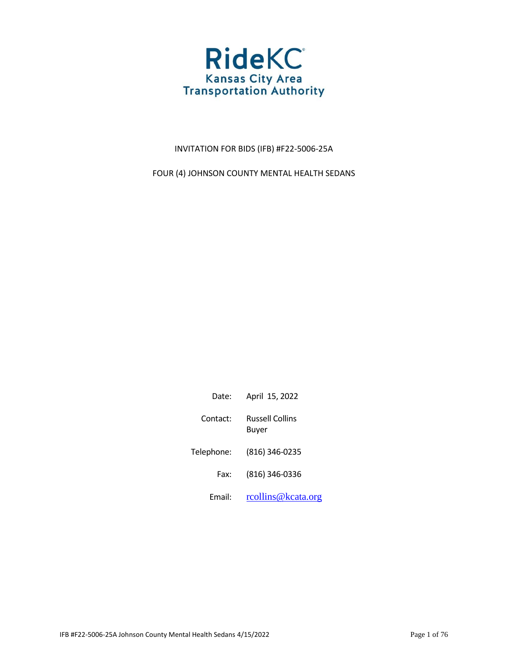

## INVITATION FOR BIDS (IFB) #F22-5006-25A

FOUR (4) JOHNSON COUNTY MENTAL HEALTH SEDANS

| Date:      | April 15, 2022           |
|------------|--------------------------|
| Contact:   | Russell Collins<br>Buyer |
| Telephone: | (816) 346-0235           |
| Fax:       | (816) 346-0336           |
| Email:     | rcollins@kcata.org       |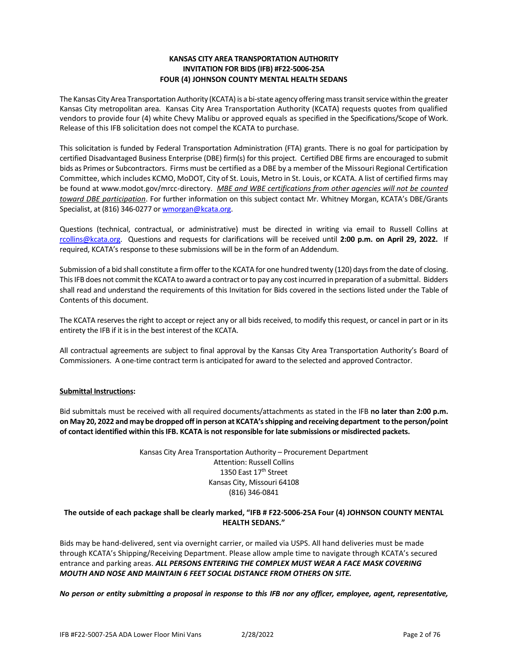## **KANSAS CITY AREA TRANSPORTATION AUTHORITY INVITATION FOR BIDS (IFB) #F22-5006-25A FOUR (4) JOHNSON COUNTY MENTAL HEALTH SEDANS**

The Kansas City Area Transportation Authority (KCATA) is a bi-state agency offering mass transit service within the greater Kansas City metropolitan area. Kansas City Area Transportation Authority (KCATA) requests quotes from qualified vendors to provide four (4) white Chevy Malibu or approved equals as specified in the Specifications/Scope of Work. Release of this IFB solicitation does not compel the KCATA to purchase.

This solicitation is funded by Federal Transportation Administration (FTA) grants. There is no goal for participation by certified Disadvantaged Business Enterprise (DBE) firm(s) for this project. Certified DBE firms are encouraged to submit bids as Primes or Subcontractors. Firms must be certified as a DBE by a member of the Missouri Regional Certification Committee, which includes KCMO, MoDOT, City of St. Louis, Metro in St. Louis, or KCATA. A list of certified firms may be found at www.modot.gov/mrcc-directory. *MBE and WBE certifications from other agencies will not be counted toward DBE participation*. For further information on this subject contact Mr. Whitney Morgan, KCATA's DBE/Grants Specialist, at (816) 346-0277 or wmorgan@kcata.org.

Questions (technical, contractual, or administrative) must be directed in writing via email to Russell Collins at [rcollins@kcata.org.](mailto:rcollins@kcata.org) Questions and requests for clarifications will be received until **2:00 p.m. on April 29, 2022.** If required, KCATA's response to these submissions will be in the form of an Addendum.

Submission of a bid shall constitute a firm offer to the KCATA for one hundred twenty (120) days from the date of closing. This IFB does not commit the KCATA to award a contract or to pay any cost incurred in preparation of a submittal. Bidders shall read and understand the requirements of this Invitation for Bids covered in the sections listed under the Table of Contents of this document.

The KCATA reserves the right to accept or reject any or all bids received, to modify this request, or cancel in part or in its entirety the IFB if it is in the best interest of the KCATA.

All contractual agreements are subject to final approval by the Kansas City Area Transportation Authority's Board of Commissioners. A one-time contract term is anticipated for award to the selected and approved Contractor.

## **Submittal Instructions:**

Bid submittals must be received with all required documents/attachments as stated in the IFB **no later than 2:00 p.m. on May 20, 2022 and may be dropped off in person at KCATA's shipping and receiving department to the person/point of contact identified within this IFB. KCATA is not responsible for late submissions or misdirected packets.** 

> Kansas City Area Transportation Authority – Procurement Department Attention: Russell Collins 1350 East 17<sup>th</sup> Street Kansas City, Missouri 64108 (816) 346-0841

## **The outside of each package shall be clearly marked, "IFB # F22-5006-25A Four (4) JOHNSON COUNTY MENTAL HEALTH SEDANS."**

Bids may be hand-delivered, sent via overnight carrier, or mailed via USPS. All hand deliveries must be made through KCATA's Shipping/Receiving Department. Please allow ample time to navigate through KCATA's secured entrance and parking areas. *ALL PERSONS ENTERING THE COMPLEX MUST WEAR A FACE MASK COVERING MOUTH AND NOSE AND MAINTAIN 6 FEET SOCIAL DISTANCE FROM OTHERS ON SITE.* 

*No person or entity submitting a proposal in response to this IFB nor any officer, employee, agent, representative,*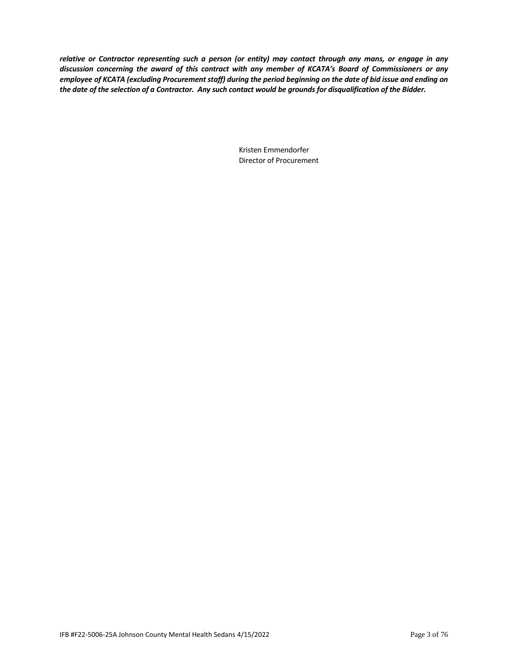*relative or Contractor representing such a person (or entity) may contact through any mans, or engage in any discussion concerning the award of this contract with any member of KCATA's Board of Commissioners or any employee of KCATA (excluding Procurement staff) during the period beginning on the date of bid issue and ending on the date of the selection of a Contractor. Any such contact would be grounds for disqualification of the Bidder.* 

> Kristen Emmendorfer Director of Procurement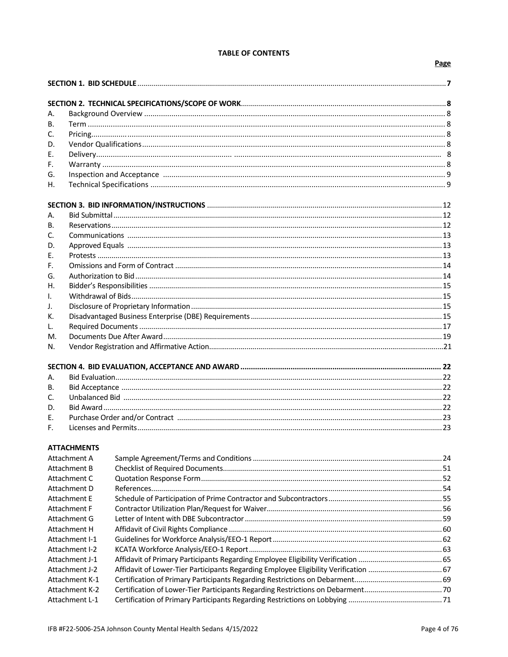## **TABLE OF CONTENTS**

## Page

| А.             |                    |                                                                                      |  |
|----------------|--------------------|--------------------------------------------------------------------------------------|--|
| В.             |                    |                                                                                      |  |
| C.             |                    |                                                                                      |  |
| D.<br>Ε.       |                    |                                                                                      |  |
| F.             |                    |                                                                                      |  |
| G.             |                    |                                                                                      |  |
| Η.             |                    |                                                                                      |  |
|                |                    |                                                                                      |  |
|                |                    |                                                                                      |  |
| А.             |                    |                                                                                      |  |
| В.             |                    |                                                                                      |  |
| C.             |                    |                                                                                      |  |
| D.             |                    |                                                                                      |  |
| E.             |                    |                                                                                      |  |
| F <sub>r</sub> |                    |                                                                                      |  |
| G.             |                    |                                                                                      |  |
| Η.             |                    |                                                                                      |  |
| $\mathbf{L}$   |                    |                                                                                      |  |
| J.             |                    |                                                                                      |  |
| К.             |                    |                                                                                      |  |
| L.             |                    |                                                                                      |  |
| М.             |                    |                                                                                      |  |
| N.             |                    |                                                                                      |  |
|                |                    |                                                                                      |  |
| А.             |                    |                                                                                      |  |
| В.             |                    |                                                                                      |  |
| C.             |                    |                                                                                      |  |
| D.             |                    |                                                                                      |  |
| Ε.             |                    |                                                                                      |  |
| F.             |                    |                                                                                      |  |
|                |                    |                                                                                      |  |
|                | <b>ATTACHMENTS</b> |                                                                                      |  |
| Attachment A   |                    |                                                                                      |  |
| Attachment B   |                    |                                                                                      |  |
| Attachment C   |                    |                                                                                      |  |
| Attachment D   |                    |                                                                                      |  |
| Attachment E   |                    |                                                                                      |  |
| Attachment F   |                    |                                                                                      |  |
| Attachment G   |                    |                                                                                      |  |
| Attachment H   |                    |                                                                                      |  |
| Attachment I-1 |                    |                                                                                      |  |
| Attachment I-2 |                    |                                                                                      |  |
| Attachment J-1 |                    |                                                                                      |  |
| Attachment J-2 |                    | Affidavit of Lower-Tier Participants Regarding Employee Eligibility Verification  67 |  |
|                | Attachment K-1     |                                                                                      |  |
| Attachment K-2 |                    |                                                                                      |  |
|                | Attachment L-1     |                                                                                      |  |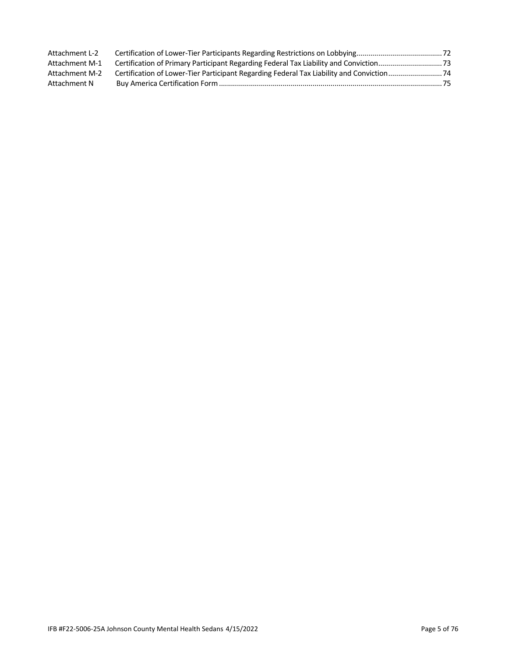| Attachment L-2 |  |
|----------------|--|
| Attachment M-1 |  |
| Attachment M-2 |  |
| Attachment N   |  |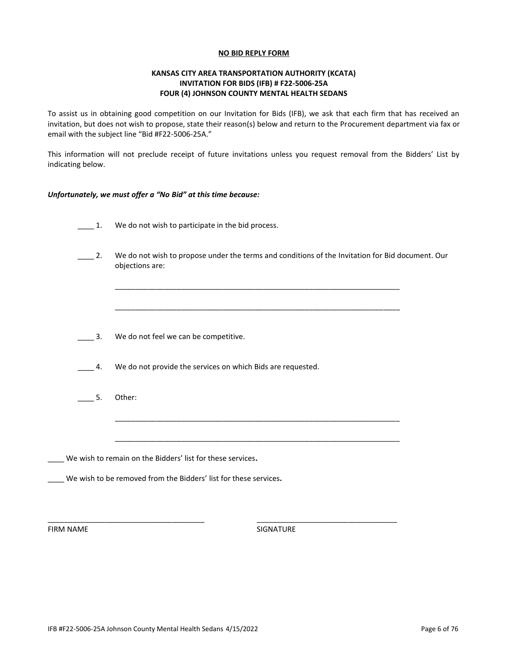#### **NO BID REPLY FORM**

## **KANSAS CITY AREA TRANSPORTATION AUTHORITY (KCATA) INVITATION FOR BIDS (IFB) # F22-5006-25A FOUR (4) JOHNSON COUNTY MENTAL HEALTH SEDANS**

To assist us in obtaining good competition on our Invitation for Bids (IFB), we ask that each firm that has received an invitation, but does not wish to propose, state their reason(s) below and return to the Procurement department via fax or email with the subject line "Bid #F22-5006-25A."

This information will not preclude receipt of future invitations unless you request removal from the Bidders' List by indicating below.

#### *Unfortunately, we must offer a "No Bid" at this time because:*

- 1. We do not wish to participate in the bid process.
- 2. We do not wish to propose under the terms and conditions of the Invitation for Bid document. Our objections are:

\_\_\_\_\_\_\_\_\_\_\_\_\_\_\_\_\_\_\_\_\_\_\_\_\_\_\_\_\_\_\_\_\_\_\_\_\_\_\_\_\_\_\_\_\_\_\_\_\_\_\_\_\_\_\_\_\_\_\_\_\_\_\_\_\_\_\_\_\_

\_\_\_\_\_\_\_\_\_\_\_\_\_\_\_\_\_\_\_\_\_\_\_\_\_\_\_\_\_\_\_\_\_\_\_\_\_\_\_\_\_\_\_\_\_\_\_\_\_\_\_\_\_\_\_\_\_\_\_\_\_\_\_\_\_\_\_\_\_

\_\_\_\_\_\_\_\_\_\_\_\_\_\_\_\_\_\_\_\_\_\_\_\_\_\_\_\_\_\_\_\_\_\_\_\_\_\_\_\_\_\_\_\_\_\_\_\_\_\_\_\_\_\_\_\_\_\_\_\_\_\_\_\_\_\_\_\_\_

\_\_\_\_\_\_\_\_\_\_\_\_\_\_\_\_\_\_\_\_\_\_\_\_\_\_\_\_\_\_\_\_\_\_\_\_\_\_\_\_\_\_\_\_\_\_\_\_\_\_\_\_\_\_\_\_\_\_\_\_\_\_\_\_\_\_\_\_\_

\_\_\_\_\_\_\_\_\_\_\_\_\_\_\_\_\_\_\_\_\_\_\_\_\_\_\_\_\_\_\_\_\_\_\_\_\_\_ \_\_\_\_\_\_\_\_\_\_\_\_\_\_\_\_\_\_\_\_\_\_\_\_\_\_\_\_\_\_\_\_\_\_

- 3. We do not feel we can be competitive.
- \_\_\_\_ 4. We do not provide the services on which Bids are requested.
- $\overline{\phantom{a}}$  5. Other:

\_\_\_\_ We wish to remain on the Bidders' list for these services**.**

\_\_\_\_ We wish to be removed from the Bidders' list for these services**.**

FIRM NAME SIGNATURE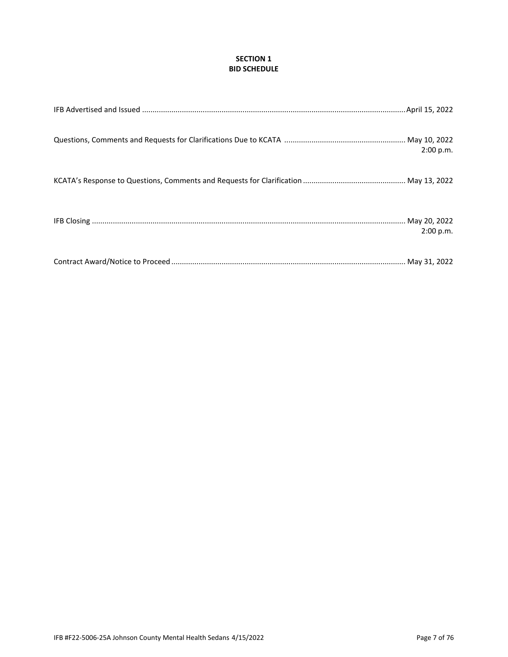## **SECTION 1 BID SCHEDULE**

| 2:00 p.m. |
|-----------|
|           |
| 2:00 p.m. |
|           |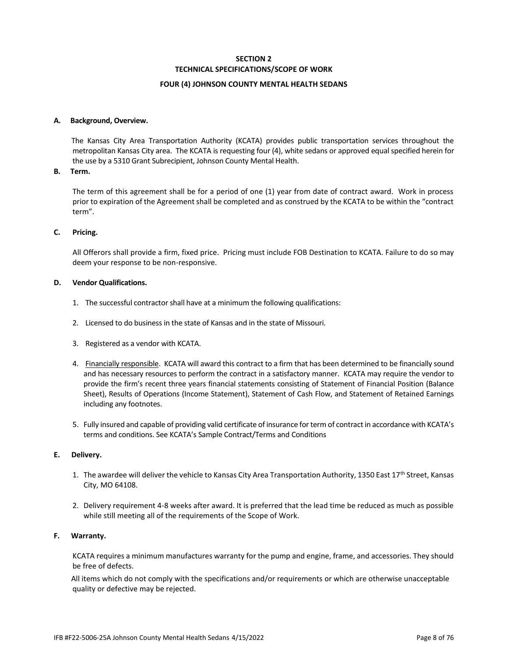## **SECTION 2 TECHNICAL SPECIFICATIONS/SCOPE OF WORK**

#### **FOUR (4) JOHNSON COUNTY MENTAL HEALTH SEDANS**

#### **A. Background, Overview.**

 The Kansas City Area Transportation Authority (KCATA) provides public transportation services throughout the metropolitan Kansas City area. The KCATA is requesting four (4), white sedans or approved equal specified herein for the use by a 5310 Grant Subrecipient, Johnson County Mental Health.

#### **B. Term.**

The term of this agreement shall be for a period of one (1) year from date of contract award. Work in process prior to expiration of the Agreement shall be completed and as construed by the KCATA to be within the "contract term".

#### **C. Pricing.**

 All Offerors shall provide a firm, fixed price. Pricing must include FOB Destination to KCATA. Failure to do so may deem your response to be non-responsive.

#### **D. Vendor Qualifications.**

- 1. The successful contractor shall have at a minimum the following qualifications:
- 2. Licensed to do business in the state of Kansas and in the state of Missouri.
- 3. Registered as a vendor with KCATA.
- 4. Financially responsible. KCATA will award this contract to a firm that has been determined to be financially sound and has necessary resources to perform the contract in a satisfactory manner. KCATA may require the vendor to provide the firm's recent three years financial statements consisting of Statement of Financial Position (Balance Sheet), Results of Operations (Income Statement), Statement of Cash Flow, and Statement of Retained Earnings including any footnotes.
- 5. Fully insured and capable of providing valid certificate of insurance for term of contract in accordance with KCATA's terms and conditions. See KCATA's Sample Contract/Terms and Conditions

#### **E. Delivery.**

- 1. The awardee will deliver the vehicle to Kansas City Area Transportation Authority, 1350 East 17<sup>th</sup> Street, Kansas City, MO 64108.
- 2. Delivery requirement 4-8 weeks after award. It is preferred that the lead time be reduced as much as possible while still meeting all of the requirements of the Scope of Work.

#### **F. Warranty.**

 KCATA requires a minimum manufactures warranty for the pump and engine, frame, and accessories. They should be free of defects.

 All items which do not comply with the specifications and/or requirements or which are otherwise unacceptable quality or defective may be rejected.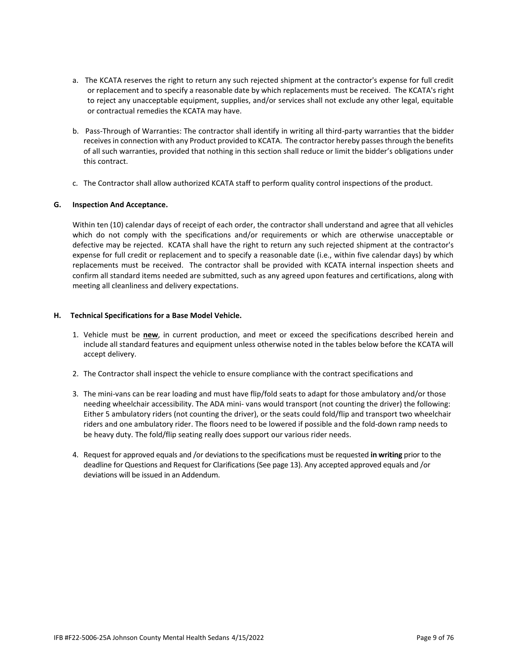- a. The KCATA reserves the right to return any such rejected shipment at the contractor's expense for full credit or replacement and to specify a reasonable date by which replacements must be received. The KCATA's right to reject any unacceptable equipment, supplies, and/or services shall not exclude any other legal, equitable or contractual remedies the KCATA may have.
- b. Pass-Through of Warranties: The contractor shall identify in writing all third-party warranties that the bidder receives in connection with any Product provided to KCATA. The contractor hereby passes through the benefits of all such warranties, provided that nothing in this section shall reduce or limit the bidder's obligations under this contract.
- c. The Contractor shall allow authorized KCATA staff to perform quality control inspections of the product.

## **G. Inspection And Acceptance.**

 Within ten (10) calendar days of receipt of each order, the contractor shall understand and agree that all vehicles which do not comply with the specifications and/or requirements or which are otherwise unacceptable or defective may be rejected. KCATA shall have the right to return any such rejected shipment at the contractor's expense for full credit or replacement and to specify a reasonable date (i.e., within five calendar days) by which replacements must be received. The contractor shall be provided with KCATA internal inspection sheets and confirm all standard items needed are submitted, such as any agreed upon features and certifications, along with meeting all cleanliness and delivery expectations.

## **H. Technical Specifications for a Base Model Vehicle.**

- 1. Vehicle must be **new**, in current production, and meet or exceed the specifications described herein and include all standard features and equipment unless otherwise noted in the tables below before the KCATA will accept delivery.
- 2. The Contractor shall inspect the vehicle to ensure compliance with the contract specifications and
- 3. The mini-vans can be rear loading and must have flip/fold seats to adapt for those ambulatory and/or those needing wheelchair accessibility. The ADA mini- vans would transport (not counting the driver) the following: Either 5 ambulatory riders (not counting the driver), or the seats could fold/flip and transport two wheelchair riders and one ambulatory rider. The floors need to be lowered if possible and the fold-down ramp needs to be heavy duty. The fold/flip seating really does support our various rider needs.
- 4. Request for approved equals and /or deviations to the specifications must be requested **in writing** prior to the deadline for Questions and Request for Clarifications (See page 13). Any accepted approved equals and /or deviations will be issued in an Addendum.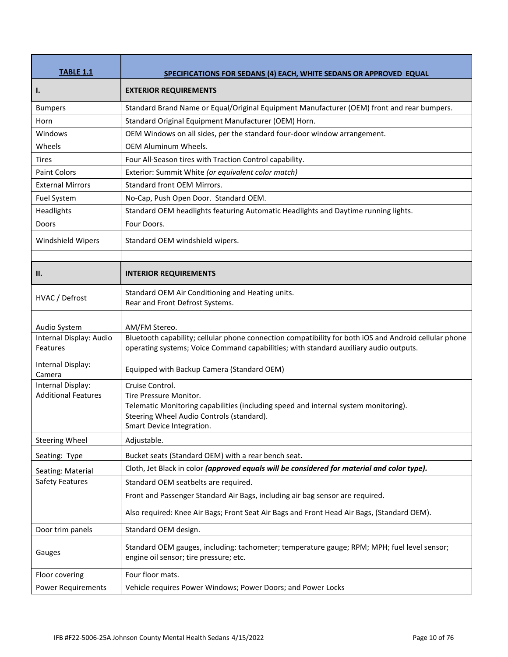| <b>TABLE 1.1</b>                    | <b>SPECIFICATIONS FOR SEDANS (4) EACH, WHITE SEDANS OR APPROVED EQUAL</b>                                                                                                                      |
|-------------------------------------|------------------------------------------------------------------------------------------------------------------------------------------------------------------------------------------------|
| $\mathbf{l}$ .                      | <b>EXTERIOR REQUIREMENTS</b>                                                                                                                                                                   |
| <b>Bumpers</b>                      | Standard Brand Name or Equal/Original Equipment Manufacturer (OEM) front and rear bumpers.                                                                                                     |
| Horn                                | Standard Original Equipment Manufacturer (OEM) Horn.                                                                                                                                           |
| Windows                             | OEM Windows on all sides, per the standard four-door window arrangement.                                                                                                                       |
| Wheels                              | <b>OEM Aluminum Wheels.</b>                                                                                                                                                                    |
| <b>Tires</b>                        | Four All-Season tires with Traction Control capability.                                                                                                                                        |
| <b>Paint Colors</b>                 | Exterior: Summit White (or equivalent color match)                                                                                                                                             |
| <b>External Mirrors</b>             | <b>Standard front OEM Mirrors.</b>                                                                                                                                                             |
| Fuel System                         | No-Cap, Push Open Door. Standard OEM.                                                                                                                                                          |
| Headlights                          | Standard OEM headlights featuring Automatic Headlights and Daytime running lights.                                                                                                             |
| Doors                               | Four Doors.                                                                                                                                                                                    |
| Windshield Wipers                   | Standard OEM windshield wipers.                                                                                                                                                                |
| II.                                 | <b>INTERIOR REQUIREMENTS</b>                                                                                                                                                                   |
| HVAC / Defrost                      | Standard OEM Air Conditioning and Heating units.<br>Rear and Front Defrost Systems.                                                                                                            |
| Audio System                        | AM/FM Stereo.                                                                                                                                                                                  |
| Internal Display: Audio<br>Features | Bluetooth capability; cellular phone connection compatibility for both iOS and Android cellular phone<br>operating systems; Voice Command capabilities; with standard auxiliary audio outputs. |
| Internal Display:<br>Camera         | Equipped with Backup Camera (Standard OEM)                                                                                                                                                     |
| Internal Display:                   | Cruise Control.                                                                                                                                                                                |
| <b>Additional Features</b>          | Tire Pressure Monitor.<br>Telematic Monitoring capabilities (including speed and internal system monitoring).                                                                                  |
|                                     | Steering Wheel Audio Controls (standard).                                                                                                                                                      |
|                                     | Smart Device Integration.                                                                                                                                                                      |
| <b>Steering Wheel</b>               | Adjustable.                                                                                                                                                                                    |
| Seating: Type                       | Bucket seats (Standard OEM) with a rear bench seat.                                                                                                                                            |
| Seating: Material                   | Cloth, Jet Black in color (approved equals will be considered for material and color type).                                                                                                    |
| <b>Safety Features</b>              | Standard OEM seatbelts are required.                                                                                                                                                           |
|                                     | Front and Passenger Standard Air Bags, including air bag sensor are required.                                                                                                                  |
|                                     | Also required: Knee Air Bags; Front Seat Air Bags and Front Head Air Bags, (Standard OEM).                                                                                                     |
| Door trim panels                    | Standard OEM design.                                                                                                                                                                           |
| Gauges                              | Standard OEM gauges, including: tachometer; temperature gauge; RPM; MPH; fuel level sensor;<br>engine oil sensor; tire pressure; etc.                                                          |
| Floor covering                      | Four floor mats.                                                                                                                                                                               |
| <b>Power Requirements</b>           | Vehicle requires Power Windows; Power Doors; and Power Locks                                                                                                                                   |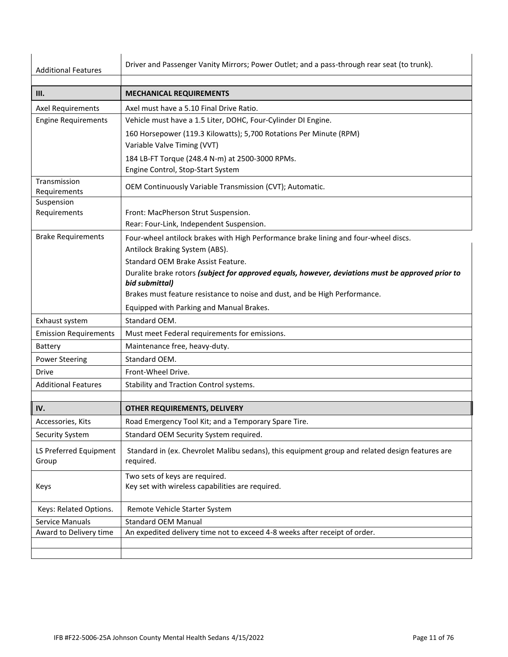| <b>Additional Features</b>      | Driver and Passenger Vanity Mirrors; Power Outlet; and a pass-through rear seat (to trunk).                           |
|---------------------------------|-----------------------------------------------------------------------------------------------------------------------|
|                                 |                                                                                                                       |
| III.                            | <b>MECHANICAL REQUIREMENTS</b>                                                                                        |
| <b>Axel Requirements</b>        | Axel must have a 5.10 Final Drive Ratio.                                                                              |
| <b>Engine Requirements</b>      | Vehicle must have a 1.5 Liter, DOHC, Four-Cylinder DI Engine.                                                         |
|                                 | 160 Horsepower (119.3 Kilowatts); 5,700 Rotations Per Minute (RPM)                                                    |
|                                 | Variable Valve Timing (VVT)                                                                                           |
|                                 | 184 LB-FT Torque (248.4 N-m) at 2500-3000 RPMs.                                                                       |
|                                 | Engine Control, Stop-Start System                                                                                     |
| Transmission<br>Requirements    | OEM Continuously Variable Transmission (CVT); Automatic.                                                              |
| Suspension                      |                                                                                                                       |
| Requirements                    | Front: MacPherson Strut Suspension.<br>Rear: Four-Link, Independent Suspension.                                       |
| <b>Brake Requirements</b>       |                                                                                                                       |
|                                 | Four-wheel antilock brakes with High Performance brake lining and four-wheel discs.<br>Antilock Braking System (ABS). |
|                                 | Standard OEM Brake Assist Feature.                                                                                    |
|                                 | Duralite brake rotors (subject for approved equals, however, deviations must be approved prior to                     |
|                                 | bid submittal)                                                                                                        |
|                                 | Brakes must feature resistance to noise and dust, and be High Performance.                                            |
|                                 | Equipped with Parking and Manual Brakes.                                                                              |
| Exhaust system                  | Standard OEM.                                                                                                         |
| <b>Emission Requirements</b>    | Must meet Federal requirements for emissions.                                                                         |
| <b>Battery</b>                  | Maintenance free, heavy-duty.                                                                                         |
| <b>Power Steering</b>           | Standard OEM.                                                                                                         |
| <b>Drive</b>                    | Front-Wheel Drive.                                                                                                    |
| <b>Additional Features</b>      | Stability and Traction Control systems.                                                                               |
|                                 |                                                                                                                       |
| IV.                             | OTHER REQUIREMENTS, DELIVERY                                                                                          |
| Accessories, Kits               | Road Emergency Tool Kit; and a Temporary Spare Tire.                                                                  |
| Security System                 | Standard OEM Security System required.                                                                                |
| LS Preferred Equipment<br>Group | Standard in (ex. Chevrolet Malibu sedans), this equipment group and related design features are<br>required.          |
| Keys                            | Two sets of keys are required.<br>Key set with wireless capabilities are required.                                    |
| Keys: Related Options.          | Remote Vehicle Starter System                                                                                         |
| <b>Service Manuals</b>          | <b>Standard OEM Manual</b>                                                                                            |
| Award to Delivery time          | An expedited delivery time not to exceed 4-8 weeks after receipt of order.                                            |
|                                 |                                                                                                                       |
|                                 |                                                                                                                       |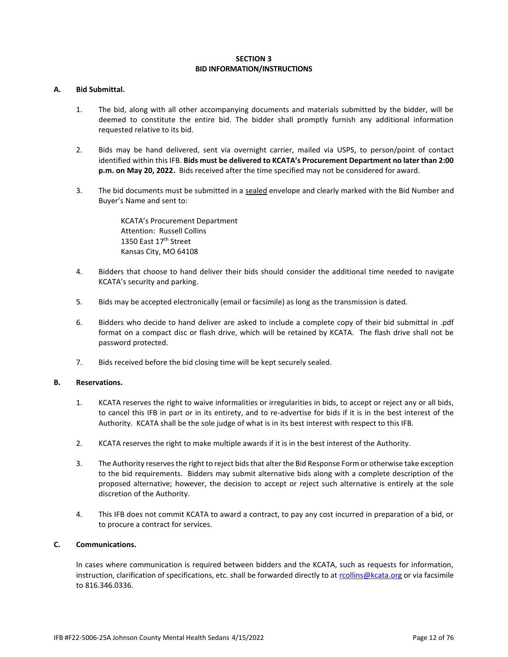#### **SECTION 3 BID INFORMATION/INSTRUCTIONS**

#### **A. Bid Submittal.**

- 1. The bid, along with all other accompanying documents and materials submitted by the bidder, will be deemed to constitute the entire bid. The bidder shall promptly furnish any additional information requested relative to its bid.
- 2. Bids may be hand delivered, sent via overnight carrier, mailed via USPS, to person/point of contact identified within this IFB. **Bids must be delivered to KCATA's Procurement Department no later than 2:00 p.m. on May 20, 2022.** Bids received after the time specified may not be considered for award.
- 3. The bid documents must be submitted in a sealed envelope and clearly marked with the Bid Number and Buyer's Name and sent to:

KCATA's Procurement Department Attention: Russell Collins 1350 East 17<sup>th</sup> Street Kansas City, MO 64108

- 4. Bidders that choose to hand deliver their bids should consider the additional time needed to navigate KCATA's security and parking.
- 5. Bids may be accepted electronically (email or facsimile) as long as the transmission is dated.
- 6. Bidders who decide to hand deliver are asked to include a complete copy of their bid submittal in .pdf format on a compact disc or flash drive, which will be retained by KCATA. The flash drive shall not be password protected.
- 7. Bids received before the bid closing time will be kept securely sealed.

#### **B. Reservations.**

- 1. KCATA reserves the right to waive informalities or irregularities in bids, to accept or reject any or all bids, to cancel this IFB in part or in its entirety, and to re-advertise for bids if it is in the best interest of the Authority. KCATA shall be the sole judge of what is in its best interest with respect to this IFB.
- 2. KCATA reserves the right to make multiple awards if it is in the best interest of the Authority.
- 3. The Authority reserves the right to reject bids that alter the Bid Response Form or otherwise take exception to the bid requirements. Bidders may submit alternative bids along with a complete description of the proposed alternative; however, the decision to accept or reject such alternative is entirely at the sole discretion of the Authority.
- 4. This IFB does not commit KCATA to award a contract, to pay any cost incurred in preparation of a bid, or to procure a contract for services.

#### **C. Communications.**

In cases where communication is required between bidders and the KCATA, such as requests for information, instruction, clarification of specifications, etc. shall be forwarded directly to at [rcollins@kcata.org](mailto:rcollins@kcata.org) or via facsimile to 816.346.0336.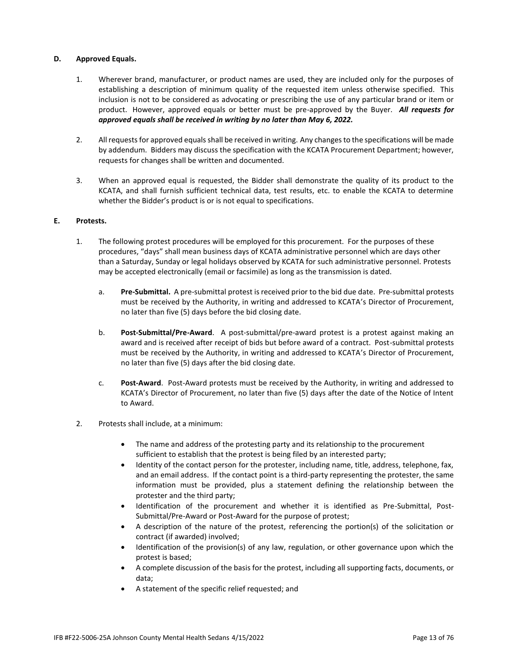## **D. Approved Equals.**

- 1. Wherever brand, manufacturer, or product names are used, they are included only for the purposes of establishing a description of minimum quality of the requested item unless otherwise specified. This inclusion is not to be considered as advocating or prescribing the use of any particular brand or item or product. However, approved equals or better must be pre-approved by the Buyer. *All requests for approved equals shall be received in writing by no later than May 6, 2022.*
- 2. All requests for approved equals shall be received in writing. Any changes to the specifications will be made by addendum. Bidders may discuss the specification with the KCATA Procurement Department; however, requests for changes shall be written and documented.
- 3. When an approved equal is requested, the Bidder shall demonstrate the quality of its product to the KCATA, and shall furnish sufficient technical data, test results, etc. to enable the KCATA to determine whether the Bidder's product is or is not equal to specifications.

#### **E. Protests.**

- 1. The following protest procedures will be employed for this procurement. For the purposes of these procedures, "days" shall mean business days of KCATA administrative personnel which are days other than a Saturday, Sunday or legal holidays observed by KCATA for such administrative personnel. Protests may be accepted electronically (email or facsimile) as long as the transmission is dated.
	- a. **Pre-Submittal.** A pre-submittal protest is received prior to the bid due date. Pre-submittal protests must be received by the Authority, in writing and addressed to KCATA's Director of Procurement, no later than five (5) days before the bid closing date.
	- b. **Post-Submittal/Pre-Award**. A post-submittal/pre-award protest is a protest against making an award and is received after receipt of bids but before award of a contract. Post-submittal protests must be received by the Authority, in writing and addressed to KCATA's Director of Procurement, no later than five (5) days after the bid closing date.
	- c. **Post-Award**. Post-Award protests must be received by the Authority, in writing and addressed to KCATA's Director of Procurement, no later than five (5) days after the date of the Notice of Intent to Award.
- 2. Protests shall include, at a minimum:
	- The name and address of the protesting party and its relationship to the procurement sufficient to establish that the protest is being filed by an interested party;
	- Identity of the contact person for the protester, including name, title, address, telephone, fax, and an email address. If the contact point is a third-party representing the protester, the same information must be provided, plus a statement defining the relationship between the protester and the third party;
	- Identification of the procurement and whether it is identified as Pre-Submittal, Post-Submittal/Pre-Award or Post-Award for the purpose of protest;
	- A description of the nature of the protest, referencing the portion(s) of the solicitation or contract (if awarded) involved;
	- Identification of the provision(s) of any law, regulation, or other governance upon which the protest is based;
	- A complete discussion of the basis for the protest, including all supporting facts, documents, or data;
	- A statement of the specific relief requested; and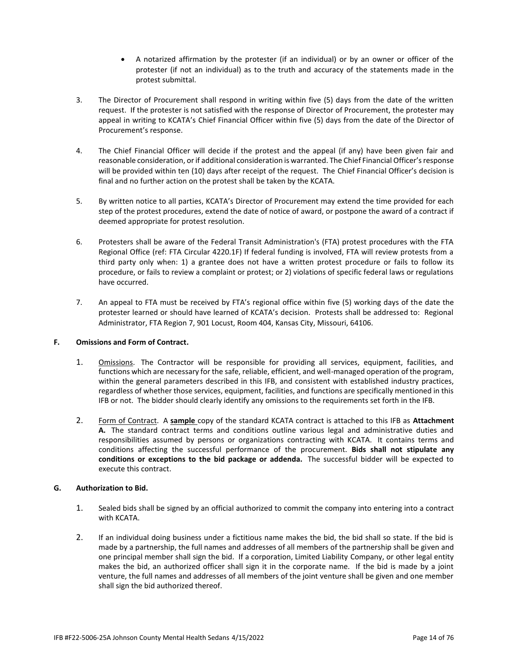- A notarized affirmation by the protester (if an individual) or by an owner or officer of the protester (if not an individual) as to the truth and accuracy of the statements made in the protest submittal.
- 3. The Director of Procurement shall respond in writing within five (5) days from the date of the written request. If the protester is not satisfied with the response of Director of Procurement, the protester may appeal in writing to KCATA's Chief Financial Officer within five (5) days from the date of the Director of Procurement's response.
- 4. The Chief Financial Officer will decide if the protest and the appeal (if any) have been given fair and reasonable consideration, or if additional consideration is warranted. The Chief Financial Officer's response will be provided within ten (10) days after receipt of the request. The Chief Financial Officer's decision is final and no further action on the protest shall be taken by the KCATA.
- 5. By written notice to all parties, KCATA's Director of Procurement may extend the time provided for each step of the protest procedures, extend the date of notice of award, or postpone the award of a contract if deemed appropriate for protest resolution.
- 6. Protesters shall be aware of the Federal Transit Administration's (FTA) protest procedures with the FTA Regional Office (ref: FTA Circular 4220.1F) If federal funding is involved, FTA will review protests from a third party only when: 1) a grantee does not have a written protest procedure or fails to follow its procedure, or fails to review a complaint or protest; or 2) violations of specific federal laws or regulations have occurred.
- 7. An appeal to FTA must be received by FTA's regional office within five (5) working days of the date the protester learned or should have learned of KCATA's decision. Protests shall be addressed to: Regional Administrator, FTA Region 7, 901 Locust, Room 404, Kansas City, Missouri, 64106.

## **F. Omissions and Form of Contract.**

- 1. Omissions. The Contractor will be responsible for providing all services, equipment, facilities, and functions which are necessary for the safe, reliable, efficient, and well-managed operation of the program, within the general parameters described in this IFB, and consistent with established industry practices, regardless of whether those services, equipment, facilities, and functions are specifically mentioned in this IFB or not. The bidder should clearly identify any omissions to the requirements set forth in the IFB.
- 2. Form of Contract. A **sample** copy of the standard KCATA contract is attached to this IFB as **Attachment A.** The standard contract terms and conditions outline various legal and administrative duties and responsibilities assumed by persons or organizations contracting with KCATA. It contains terms and conditions affecting the successful performance of the procurement. **Bids shall not stipulate any conditions or exceptions to the bid package or addenda.** The successful bidder will be expected to execute this contract.

## **G. Authorization to Bid.**

- 1. Sealed bids shall be signed by an official authorized to commit the company into entering into a contract with KCATA.
- 2. If an individual doing business under a fictitious name makes the bid, the bid shall so state. If the bid is made by a partnership, the full names and addresses of all members of the partnership shall be given and one principal member shall sign the bid. If a corporation, Limited Liability Company, or other legal entity makes the bid, an authorized officer shall sign it in the corporate name. If the bid is made by a joint venture, the full names and addresses of all members of the joint venture shall be given and one member shall sign the bid authorized thereof.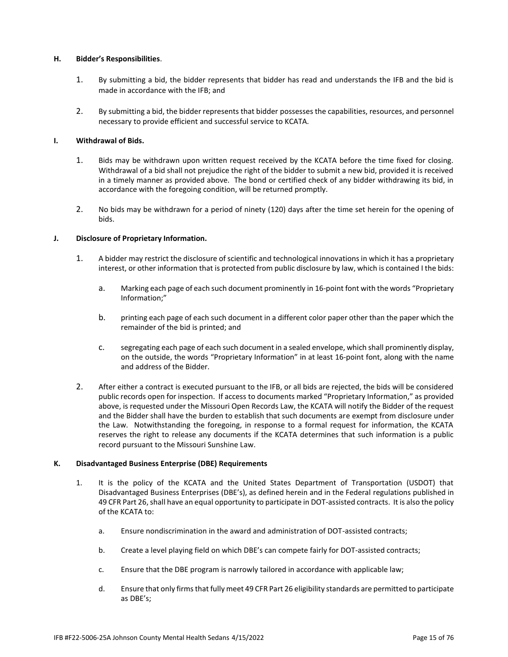#### **H. Bidder's Responsibilities**.

- 1. By submitting a bid, the bidder represents that bidder has read and understands the IFB and the bid is made in accordance with the IFB; and
- 2. By submitting a bid, the bidder represents that bidder possesses the capabilities, resources, and personnel necessary to provide efficient and successful service to KCATA.

#### **I. Withdrawal of Bids.**

- 1. Bids may be withdrawn upon written request received by the KCATA before the time fixed for closing. Withdrawal of a bid shall not prejudice the right of the bidder to submit a new bid, provided it is received in a timely manner as provided above. The bond or certified check of any bidder withdrawing its bid, in accordance with the foregoing condition, will be returned promptly.
- 2. No bids may be withdrawn for a period of ninety (120) days after the time set herein for the opening of bids.

#### **J. Disclosure of Proprietary Information.**

- 1. A bidder may restrict the disclosure of scientific and technological innovations in which it has a proprietary interest, or other information that is protected from public disclosure by law, which is contained I the bids:
	- a. Marking each page of each such document prominently in 16-point font with the words "Proprietary Information;"
	- b. printing each page of each such document in a different color paper other than the paper which the remainder of the bid is printed; and
	- c. segregating each page of each such document in a sealed envelope, which shall prominently display, on the outside, the words "Proprietary Information" in at least 16-point font, along with the name and address of the Bidder.
- 2. After either a contract is executed pursuant to the IFB, or all bids are rejected, the bids will be considered public records open for inspection. If access to documents marked "Proprietary Information," as provided above, is requested under the Missouri Open Records Law, the KCATA will notify the Bidder of the request and the Bidder shall have the burden to establish that such documents are exempt from disclosure under the Law. Notwithstanding the foregoing, in response to a formal request for information, the KCATA reserves the right to release any documents if the KCATA determines that such information is a public record pursuant to the Missouri Sunshine Law.

#### **K. Disadvantaged Business Enterprise (DBE) Requirements**

- 1. It is the policy of the KCATA and the United States Department of Transportation (USDOT) that Disadvantaged Business Enterprises (DBE's), as defined herein and in the Federal regulations published in 49 CFR Part 26, shall have an equal opportunity to participate in DOT-assisted contracts. It is also the policy of the KCATA to:
	- a. Ensure nondiscrimination in the award and administration of DOT-assisted contracts;
	- b. Create a level playing field on which DBE's can compete fairly for DOT-assisted contracts;
	- c. Ensure that the DBE program is narrowly tailored in accordance with applicable law;
	- d. Ensure that only firms that fully meet 49 CFR Part 26 eligibility standards are permitted to participate as DBE's;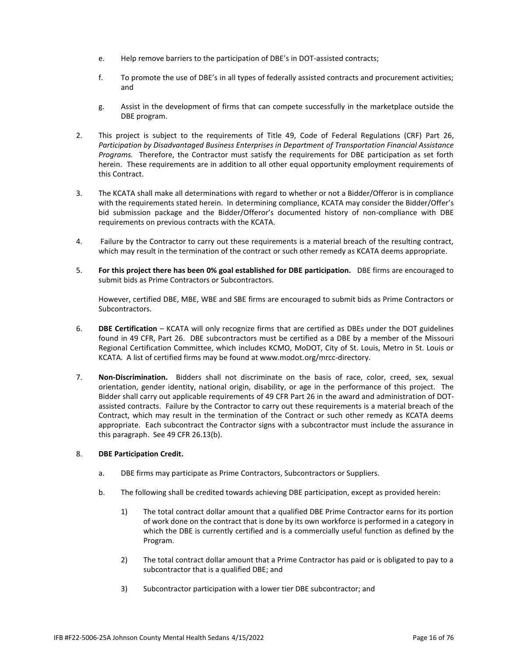- e. Help remove barriers to the participation of DBE's in DOT-assisted contracts;
- f. To promote the use of DBE's in all types of federally assisted contracts and procurement activities; and
- g. Assist in the development of firms that can compete successfully in the marketplace outside the DBE program.
- 2. This project is subject to the requirements of Title 49, Code of Federal Regulations (CRF) Part 26, *Participation by Disadvantaged Business Enterprises in Department of Transportation Financial Assistance Programs.* Therefore, the Contractor must satisfy the requirements for DBE participation as set forth herein. These requirements are in addition to all other equal opportunity employment requirements of this Contract.
- 3. The KCATA shall make all determinations with regard to whether or not a Bidder/Offeror is in compliance with the requirements stated herein. In determining compliance, KCATA may consider the Bidder/Offer's bid submission package and the Bidder/Offeror's documented history of non-compliance with DBE requirements on previous contracts with the KCATA.
- 4. Failure by the Contractor to carry out these requirements is a material breach of the resulting contract, which may result in the termination of the contract or such other remedy as KCATA deems appropriate.
- 5. **For this project there has been 0% goal established for DBE participation.** DBE firms are encouraged to submit bids as Prime Contractors or Subcontractors.

However, certified DBE, MBE, WBE and SBE firms are encouraged to submit bids as Prime Contractors or Subcontractors.

- 6. **DBE Certification** KCATA will only recognize firms that are certified as DBEs under the DOT guidelines found in 49 CFR, Part 26. DBE subcontractors must be certified as a DBE by a member of the Missouri Regional Certification Committee, which includes KCMO, MoDOT, City of St. Louis, Metro in St. Louis or KCATA. A list of certified firms may be found at www.modot.org/mrcc-directory.
- 7. **Non-Discrimination.** Bidders shall not discriminate on the basis of race, color, creed, sex, sexual orientation, gender identity, national origin, disability, or age in the performance of this project. The Bidder shall carry out applicable requirements of 49 CFR Part 26 in the award and administration of DOTassisted contracts. Failure by the Contractor to carry out these requirements is a material breach of the Contract, which may result in the termination of the Contract or such other remedy as KCATA deems appropriate. Each subcontract the Contractor signs with a subcontractor must include the assurance in this paragraph. See 49 CFR 26.13(b).

#### 8. **DBE Participation Credit.**

- a. DBE firms may participate as Prime Contractors, Subcontractors or Suppliers.
- b. The following shall be credited towards achieving DBE participation, except as provided herein:
	- 1) The total contract dollar amount that a qualified DBE Prime Contractor earns for its portion of work done on the contract that is done by its own workforce is performed in a category in which the DBE is currently certified and is a commercially useful function as defined by the Program.
	- 2) The total contract dollar amount that a Prime Contractor has paid or is obligated to pay to a subcontractor that is a qualified DBE; and
	- 3) Subcontractor participation with a lower tier DBE subcontractor; and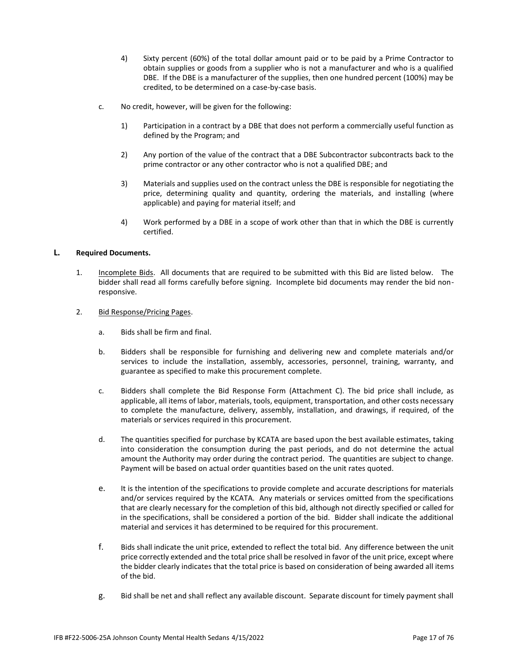- 4) Sixty percent (60%) of the total dollar amount paid or to be paid by a Prime Contractor to obtain supplies or goods from a supplier who is not a manufacturer and who is a qualified DBE. If the DBE is a manufacturer of the supplies, then one hundred percent (100%) may be credited, to be determined on a case-by-case basis.
- c. No credit, however, will be given for the following:
	- 1) Participation in a contract by a DBE that does not perform a commercially useful function as defined by the Program; and
	- 2) Any portion of the value of the contract that a DBE Subcontractor subcontracts back to the prime contractor or any other contractor who is not a qualified DBE; and
	- 3) Materials and supplies used on the contract unless the DBE is responsible for negotiating the price, determining quality and quantity, ordering the materials, and installing (where applicable) and paying for material itself; and
	- 4) Work performed by a DBE in a scope of work other than that in which the DBE is currently certified.

#### **L. Required Documents.**

- 1. Incomplete Bids. All documents that are required to be submitted with this Bid are listed below. The bidder shall read all forms carefully before signing. Incomplete bid documents may render the bid nonresponsive.
- 2. Bid Response/Pricing Pages.
	- a. Bids shall be firm and final.
	- b. Bidders shall be responsible for furnishing and delivering new and complete materials and/or services to include the installation, assembly, accessories, personnel, training, warranty, and guarantee as specified to make this procurement complete.
	- c. Bidders shall complete the Bid Response Form (Attachment C). The bid price shall include, as applicable, all items of labor, materials, tools, equipment, transportation, and other costs necessary to complete the manufacture, delivery, assembly, installation, and drawings, if required, of the materials or services required in this procurement.
	- d. The quantities specified for purchase by KCATA are based upon the best available estimates, taking into consideration the consumption during the past periods, and do not determine the actual amount the Authority may order during the contract period. The quantities are subject to change. Payment will be based on actual order quantities based on the unit rates quoted.
	- e. It is the intention of the specifications to provide complete and accurate descriptions for materials and/or services required by the KCATA. Any materials or services omitted from the specifications that are clearly necessary for the completion of this bid, although not directly specified or called for in the specifications, shall be considered a portion of the bid. Bidder shall indicate the additional material and services it has determined to be required for this procurement.
	- f. Bids shall indicate the unit price, extended to reflect the total bid. Any difference between the unit price correctly extended and the total price shall be resolved in favor of the unit price, except where the bidder clearly indicates that the total price is based on consideration of being awarded all items of the bid.
	- g. Bid shall be net and shall reflect any available discount. Separate discount for timely payment shall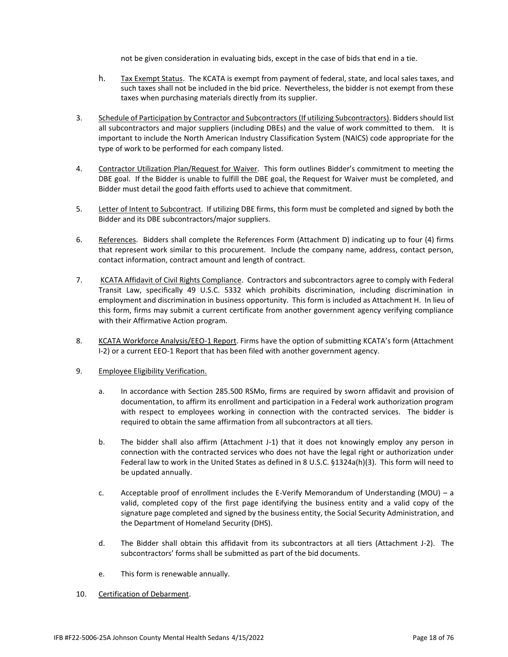not be given consideration in evaluating bids, except in the case of bids that end in a tie.

- h. Tax Exempt Status. The KCATA is exempt from payment of federal, state, and local sales taxes, and such taxes shall not be included in the bid price. Nevertheless, the bidder is not exempt from these taxes when purchasing materials directly from its supplier.
- 3. Schedule of Participation by Contractor and Subcontractors (If utilizing Subcontractors). Bidders should list all subcontractors and major suppliers (including DBEs) and the value of work committed to them. It is important to include the North American Industry Classification System (NAICS) code appropriate for the type of work to be performed for each company listed.
- 4. Contractor Utilization Plan/Request for Waiver. This form outlines Bidder's commitment to meeting the DBE goal. If the Bidder is unable to fulfill the DBE goal, the Request for Waiver must be completed, and Bidder must detail the good faith efforts used to achieve that commitment.
- 5. Letter of Intent to Subcontract. If utilizing DBE firms, this form must be completed and signed by both the Bidder and its DBE subcontractors/major suppliers.
- 6. References. Bidders shall complete the References Form (Attachment D) indicating up to four (4) firms that represent work similar to this procurement. Include the company name, address, contact person, contact information, contract amount and length of contract.
- 7. KCATA Affidavit of Civil Rights Compliance. Contractors and subcontractors agree to comply with Federal Transit Law, specifically 49 U.S.C. 5332 which prohibits discrimination, including discrimination in employment and discrimination in business opportunity. This form is included as Attachment H. In lieu of this form, firms may submit a current certificate from another government agency verifying compliance with their Affirmative Action program.
- 8. KCATA Workforce Analysis/EEO-1 Report. Firms have the option of submitting KCATA's form (Attachment I-2) or a current EEO-1 Report that has been filed with another government agency.
- 9. Employee Eligibility Verification.
	- a. In accordance with Section 285.500 RSMo, firms are required by sworn affidavit and provision of documentation, to affirm its enrollment and participation in a Federal work authorization program with respect to employees working in connection with the contracted services. The bidder is required to obtain the same affirmation from all subcontractors at all tiers.
	- b. The bidder shall also affirm (Attachment J-1) that it does not knowingly employ any person in connection with the contracted services who does not have the legal right or authorization under Federal law to work in the United States as defined in 8 U.S.C. §1324a(h)(3). This form will need to be updated annually.
	- c. Acceptable proof of enrollment includes the E-Verify Memorandum of Understanding (MOU) a valid, completed copy of the first page identifying the business entity and a valid copy of the signature page completed and signed by the business entity, the Social Security Administration, and the Department of Homeland Security (DHS).
	- d. The Bidder shall obtain this affidavit from its subcontractors at all tiers (Attachment J-2). The subcontractors' forms shall be submitted as part of the bid documents.
	- e. This form is renewable annually.
- 10. Certification of Debarment.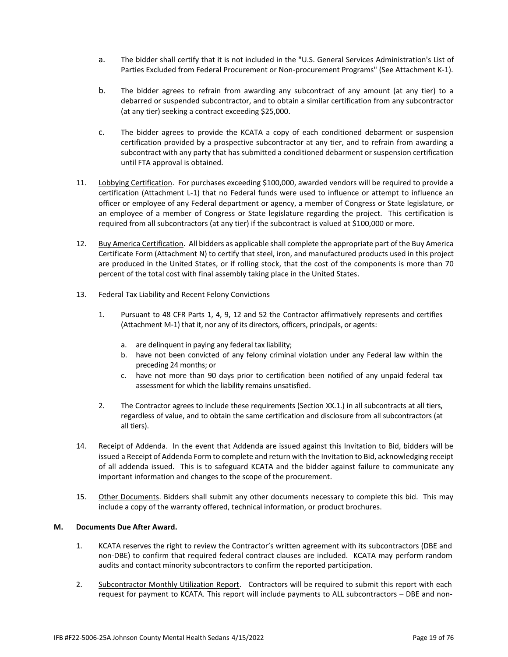- a. The bidder shall certify that it is not included in the "U.S. General Services Administration's List of Parties Excluded from Federal Procurement or Non-procurement Programs" (See Attachment K-1).
- b. The bidder agrees to refrain from awarding any subcontract of any amount (at any tier) to a debarred or suspended subcontractor, and to obtain a similar certification from any subcontractor (at any tier) seeking a contract exceeding \$25,000.
- c. The bidder agrees to provide the KCATA a copy of each conditioned debarment or suspension certification provided by a prospective subcontractor at any tier, and to refrain from awarding a subcontract with any party that has submitted a conditioned debarment or suspension certification until FTA approval is obtained.
- 11. Lobbying Certification. For purchases exceeding \$100,000, awarded vendors will be required to provide a certification (Attachment L-1) that no Federal funds were used to influence or attempt to influence an officer or employee of any Federal department or agency, a member of Congress or State legislature, or an employee of a member of Congress or State legislature regarding the project. This certification is required from all subcontractors (at any tier) if the subcontract is valued at \$100,000 or more.
- 12. Buy America Certification. All bidders as applicable shall complete the appropriate part of the Buy America Certificate Form (Attachment N) to certify that steel, iron, and manufactured products used in this project are produced in the United States, or if rolling stock, that the cost of the components is more than 70 percent of the total cost with final assembly taking place in the United States.

## 13. Federal Tax Liability and Recent Felony Convictions

- 1. Pursuant to 48 CFR Parts 1, 4, 9, 12 and 52 the Contractor affirmatively represents and certifies (Attachment M-1) that it, nor any of its directors, officers, principals, or agents:
	- a. are delinquent in paying any federal tax liability;
	- b. have not been convicted of any felony criminal violation under any Federal law within the preceding 24 months; or
	- c. have not more than 90 days prior to certification been notified of any unpaid federal tax assessment for which the liability remains unsatisfied.
- 2. The Contractor agrees to include these requirements (Section XX.1.) in all subcontracts at all tiers, regardless of value, and to obtain the same certification and disclosure from all subcontractors (at all tiers).
- 14. Receipt of Addenda. In the event that Addenda are issued against this Invitation to Bid, bidders will be issued a Receipt of Addenda Form to complete and return with the Invitation to Bid, acknowledging receipt of all addenda issued. This is to safeguard KCATA and the bidder against failure to communicate any important information and changes to the scope of the procurement.
- 15. Other Documents. Bidders shall submit any other documents necessary to complete this bid. This may include a copy of the warranty offered, technical information, or product brochures.

#### **M. Documents Due After Award.**

- 1. KCATA reserves the right to review the Contractor's written agreement with its subcontractors (DBE and non-DBE) to confirm that required federal contract clauses are included. KCATA may perform random audits and contact minority subcontractors to confirm the reported participation.
- 2. Subcontractor Monthly Utilization Report. Contractors will be required to submit this report with each request for payment to KCATA. This report will include payments to ALL subcontractors – DBE and non-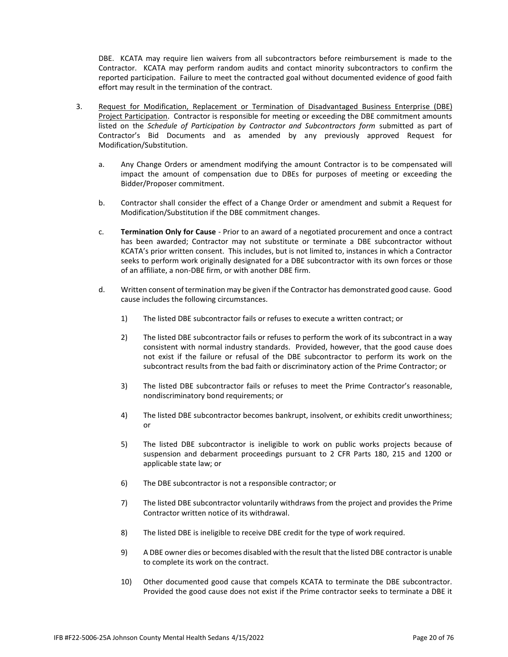DBE. KCATA may require lien waivers from all subcontractors before reimbursement is made to the Contractor. KCATA may perform random audits and contact minority subcontractors to confirm the reported participation. Failure to meet the contracted goal without documented evidence of good faith effort may result in the termination of the contract.

- 3. Request for Modification, Replacement or Termination of Disadvantaged Business Enterprise (DBE) Project Participation. Contractor is responsible for meeting or exceeding the DBE commitment amounts listed on the *Schedule of Participation by Contractor and Subcontractors form* submitted as part of Contractor's Bid Documents and as amended by any previously approved Request for Modification/Substitution.
	- a. Any Change Orders or amendment modifying the amount Contractor is to be compensated will impact the amount of compensation due to DBEs for purposes of meeting or exceeding the Bidder/Proposer commitment.
	- b. Contractor shall consider the effect of a Change Order or amendment and submit a Request for Modification/Substitution if the DBE commitment changes.
	- c. **Termination Only for Cause** Prior to an award of a negotiated procurement and once a contract has been awarded; Contractor may not substitute or terminate a DBE subcontractor without KCATA's prior written consent. This includes, but is not limited to, instances in which a Contractor seeks to perform work originally designated for a DBE subcontractor with its own forces or those of an affiliate, a non-DBE firm, or with another DBE firm.
	- d. Written consent of termination may be given if the Contractor has demonstrated good cause. Good cause includes the following circumstances.
		- 1) The listed DBE subcontractor fails or refuses to execute a written contract; or
		- 2) The listed DBE subcontractor fails or refuses to perform the work of its subcontract in a way consistent with normal industry standards. Provided, however, that the good cause does not exist if the failure or refusal of the DBE subcontractor to perform its work on the subcontract results from the bad faith or discriminatory action of the Prime Contractor; or
		- 3) The listed DBE subcontractor fails or refuses to meet the Prime Contractor's reasonable, nondiscriminatory bond requirements; or
		- 4) The listed DBE subcontractor becomes bankrupt, insolvent, or exhibits credit unworthiness; or
		- 5) The listed DBE subcontractor is ineligible to work on public works projects because of suspension and debarment proceedings pursuant to 2 CFR Parts 180, 215 and 1200 or applicable state law; or
		- 6) The DBE subcontractor is not a responsible contractor; or
		- 7) The listed DBE subcontractor voluntarily withdraws from the project and provides the Prime Contractor written notice of its withdrawal.
		- 8) The listed DBE is ineligible to receive DBE credit for the type of work required.
		- 9) A DBE owner dies or becomes disabled with the result that the listed DBE contractor is unable to complete its work on the contract.
		- 10) Other documented good cause that compels KCATA to terminate the DBE subcontractor. Provided the good cause does not exist if the Prime contractor seeks to terminate a DBE it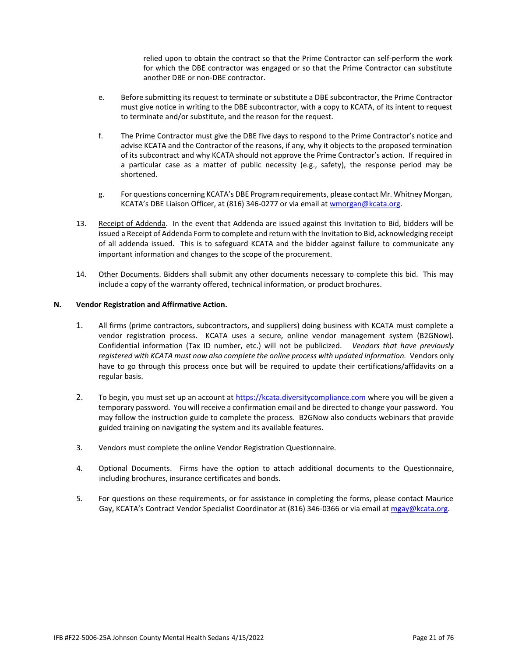relied upon to obtain the contract so that the Prime Contractor can self-perform the work for which the DBE contractor was engaged or so that the Prime Contractor can substitute another DBE or non-DBE contractor.

- e. Before submitting its request to terminate or substitute a DBE subcontractor, the Prime Contractor must give notice in writing to the DBE subcontractor, with a copy to KCATA, of its intent to request to terminate and/or substitute, and the reason for the request.
- f. The Prime Contractor must give the DBE five days to respond to the Prime Contractor's notice and advise KCATA and the Contractor of the reasons, if any, why it objects to the proposed termination of its subcontract and why KCATA should not approve the Prime Contractor's action. If required in a particular case as a matter of public necessity (e.g., safety), the response period may be shortened.
- g. For questions concerning KCATA's DBE Program requirements, please contact Mr. Whitney Morgan, KCATA's DBE Liaison Officer, at (816) 346-0277 or via email a[t wmorgan@kcata.org.](mailto:wmorgan@kcata.org)
- 13. Receipt of Addenda. In the event that Addenda are issued against this Invitation to Bid, bidders will be issued a Receipt of Addenda Form to complete and return with the Invitation to Bid, acknowledging receipt of all addenda issued. This is to safeguard KCATA and the bidder against failure to communicate any important information and changes to the scope of the procurement.
- 14. Other Documents. Bidders shall submit any other documents necessary to complete this bid. This may include a copy of the warranty offered, technical information, or product brochures.

#### **N. Vendor Registration and Affirmative Action.**

- 1. All firms (prime contractors, subcontractors, and suppliers) doing business with KCATA must complete a vendor registration process. KCATA uses a secure, online vendor management system (B2GNow). Confidential information (Tax ID number, etc.) will not be publicized. *Vendors that have previously*  registered with KCATA must now also complete the online process with updated information. Vendors only have to go through this process once but will be required to update their certifications/affidavits on a regular basis.
- 2. To begin, you must set up an account at [https://kcata.diversitycompliance.com](https://kcata.diversitycompliance.com/) where you will be given a temporary password. You will receive a confirmation email and be directed to change your password. You may follow the instruction guide to complete the process. B2GNow also conducts webinars that provide guided training on navigating the system and its available features.
- 3. Vendors must complete the online Vendor Registration Questionnaire.
- 4. **Optional Documents**. Firms have the option to attach additional documents to the Questionnaire, including brochures, insurance certificates and bonds.
- 5. For questions on these requirements, or for assistance in completing the forms, please contact Maurice Gay, KCATA's Contract Vendor Specialist Coordinator at (816) 346-0366 or via email at [mgay@kcata.org.](mailto:mgay@kcata.org)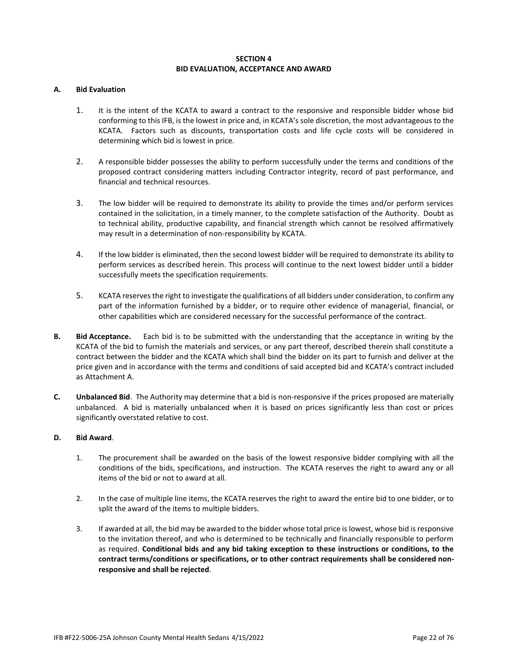## **SECTION 4 BID EVALUATION, ACCEPTANCE AND AWARD**

#### **A. Bid Evaluation**

- 1. It is the intent of the KCATA to award a contract to the responsive and responsible bidder whose bid conforming to this IFB, is the lowest in price and, in KCATA's sole discretion, the most advantageous to the KCATA. Factors such as discounts, transportation costs and life cycle costs will be considered in determining which bid is lowest in price.
- 2. A responsible bidder possesses the ability to perform successfully under the terms and conditions of the proposed contract considering matters including Contractor integrity, record of past performance, and financial and technical resources.
- 3. The low bidder will be required to demonstrate its ability to provide the times and/or perform services contained in the solicitation, in a timely manner, to the complete satisfaction of the Authority. Doubt as to technical ability, productive capability, and financial strength which cannot be resolved affirmatively may result in a determination of non-responsibility by KCATA.
- 4. If the low bidder is eliminated, then the second lowest bidder will be required to demonstrate its ability to perform services as described herein. This process will continue to the next lowest bidder until a bidder successfully meets the specification requirements.
- 5. KCATA reserves the right to investigate the qualifications of all bidders under consideration, to confirm any part of the information furnished by a bidder, or to require other evidence of managerial, financial, or other capabilities which are considered necessary for the successful performance of the contract.
- **B. Bid Acceptance.** Each bid is to be submitted with the understanding that the acceptance in writing by the KCATA of the bid to furnish the materials and services, or any part thereof, described therein shall constitute a contract between the bidder and the KCATA which shall bind the bidder on its part to furnish and deliver at the price given and in accordance with the terms and conditions of said accepted bid and KCATA's contract included as Attachment A.
- **C. Unbalanced Bid**. The Authority may determine that a bid is non-responsive if the prices proposed are materially unbalanced. A bid is materially unbalanced when it is based on prices significantly less than cost or prices significantly overstated relative to cost.

#### **D. Bid Award**.

- 1. The procurement shall be awarded on the basis of the lowest responsive bidder complying with all the conditions of the bids, specifications, and instruction. The KCATA reserves the right to award any or all items of the bid or not to award at all.
- 2. In the case of multiple line items, the KCATA reserves the right to award the entire bid to one bidder, or to split the award of the items to multiple bidders.
- 3. If awarded at all, the bid may be awarded to the bidder whose total price is lowest, whose bid is responsive to the invitation thereof, and who is determined to be technically and financially responsible to perform as required. **Conditional bids and any bid taking exception to these instructions or conditions, to the contract terms/conditions or specifications, or to other contract requirements shall be considered nonresponsive and shall be rejected**.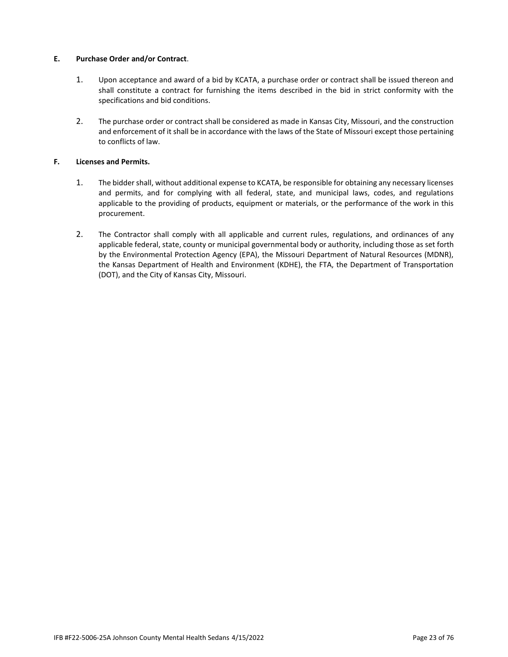## **E. Purchase Order and/or Contract**.

- 1. Upon acceptance and award of a bid by KCATA, a purchase order or contract shall be issued thereon and shall constitute a contract for furnishing the items described in the bid in strict conformity with the specifications and bid conditions.
- 2. The purchase order or contract shall be considered as made in Kansas City, Missouri, and the construction and enforcement of it shall be in accordance with the laws of the State of Missouri except those pertaining to conflicts of law.

## **F. Licenses and Permits.**

- 1. The bidder shall, without additional expense to KCATA, be responsible for obtaining any necessary licenses and permits, and for complying with all federal, state, and municipal laws, codes, and regulations applicable to the providing of products, equipment or materials, or the performance of the work in this procurement.
- 2. The Contractor shall comply with all applicable and current rules, regulations, and ordinances of any applicable federal, state, county or municipal governmental body or authority, including those as set forth by the Environmental Protection Agency (EPA), the Missouri Department of Natural Resources (MDNR), the Kansas Department of Health and Environment (KDHE), the FTA, the Department of Transportation (DOT), and the City of Kansas City, Missouri.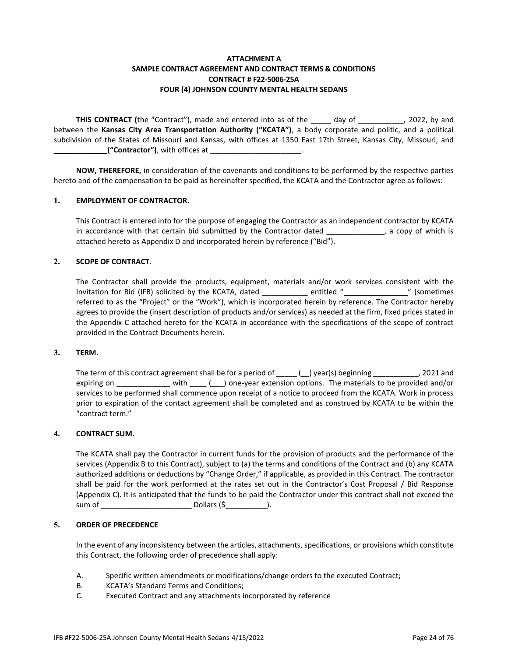## **ATTACHMENT A SAMPLE CONTRACT AGREEMENT AND CONTRACT TERMS & CONDITIONS CONTRACT # F22-5006-25A FOUR (4) JOHNSON COUNTY MENTAL HEALTH SEDANS**

**THIS CONTRACT** (the "Contract"), made and entered into as of the day of the case of 2022, by and between the **Kansas City Area Transportation Authority ("KCATA")**, a body corporate and politic, and a political subdivision of the States of Missouri and Kansas, with offices at 1350 East 17th Street, Kansas City, Missouri, and **\_\_("Contractor")**, with offices at \_\_

**NOW, THEREFORE,** in consideration of the covenants and conditions to be performed by the respective parties hereto and of the compensation to be paid as hereinafter specified, the KCATA and the Contractor agree as follows:

#### **1. EMPLOYMENT OF CONTRACTOR.**

This Contract is entered into for the purpose of engaging the Contractor as an independent contractor by KCATA in accordance with that certain bid submitted by the Contractor dated \_\_\_\_\_\_\_\_\_\_\_\_, a copy of which is attached hereto as Appendix D and incorporated herein by reference ("Bid").

#### **2. SCOPE OF CONTRACT**.

The Contractor shall provide the products, equipment, materials and/or work services consistent with the Invitation for Bid (IFB) solicited by the KCATA, dated \_\_\_\_\_\_\_\_\_\_\_ entitled "\_\_\_\_\_\_\_\_\_\_\_\_\_\_\_\_" (sometimes referred to as the "Project" or the "Work"), which is incorporated herein by reference. The Contractor hereby agrees to provide the (insert description of products and/or services) as needed at the firm, fixed prices stated in the Appendix C attached hereto for the KCATA in accordance with the specifications of the scope of contract provided in the Contract Documents herein.

#### **3. TERM.**

The term of this contract agreement shall be for a period of \_\_\_\_ (\_) year(s) beginning \_\_\_\_\_\_\_\_\_\_, 2021 and expiring on \_\_\_\_\_\_\_\_\_\_\_\_\_\_ with \_\_\_\_(
\_\_) one-year extension options. The materials to be provided and/or services to be performed shall commence upon receipt of a notice to proceed from the KCATA. Work in process prior to expiration of the contact agreement shall be completed and as construed by KCATA to be within the "contract term."

#### **4. CONTRACT SUM.**

The KCATA shall pay the Contractor in current funds for the provision of products and the performance of the services (Appendix B to this Contract), subject to (a) the terms and conditions of the Contract and (b) any KCATA authorized additions or deductions by "Change Order," if applicable, as provided in this Contract. The contractor shall be paid for the work performed at the rates set out in the Contractor's Cost Proposal / Bid Response (Appendix C). It is anticipated that the funds to be paid the Contractor under this contract shall not exceed the sum of \_\_\_\_\_\_\_\_\_\_\_\_\_\_\_\_\_\_\_\_\_\_ Dollars (\$\_\_\_\_\_\_\_\_\_\_).

## **5. ORDER OF PRECEDENCE**

In the event of any inconsistency between the articles, attachments, specifications, or provisions which constitute this Contract, the following order of precedence shall apply:

- A. Specific written amendments or modifications/change orders to the executed Contract;
- B. KCATA's Standard Terms and Conditions;
- C. Executed Contract and any attachments incorporated by reference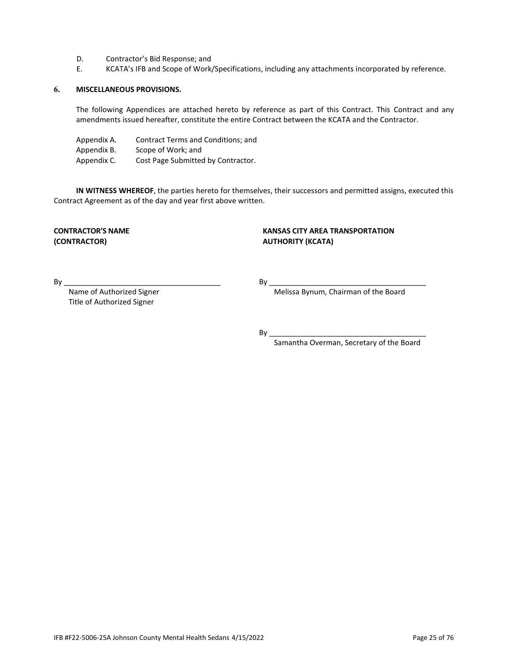- D. Contractor's Bid Response; and<br>E. KCATA's IFB and Scope of Work.
- KCATA's IFB and Scope of Work/Specifications, including any attachments incorporated by reference.

#### **6. MISCELLANEOUS PROVISIONS.**

The following Appendices are attached hereto by reference as part of this Contract. This Contract and any amendments issued hereafter, constitute the entire Contract between the KCATA and the Contractor.

Appendix A. Contract Terms and Conditions; and

Appendix B. Scope of Work; and

Appendix C. Cost Page Submitted by Contractor.

**IN WITNESS WHEREOF**, the parties hereto for themselves, their successors and permitted assigns, executed this Contract Agreement as of the day and year first above written.

**(CONTRACTOR) AUTHORITY (KCATA)**

# **CONTRACTOR'S NAME KANSAS CITY AREA TRANSPORTATION**

Title of Authorized Signer

By \_\_\_\_\_\_\_\_\_\_\_\_\_\_\_\_\_\_\_\_\_\_\_\_\_\_\_\_\_\_\_\_\_\_\_\_\_\_ By \_\_\_\_\_\_\_\_\_\_\_\_\_\_\_\_\_\_\_\_\_\_\_\_\_\_\_\_\_\_\_\_\_\_\_\_\_\_

Name of Authorized Signer Melissa Bynum, Chairman of the Board

By \_\_\_\_\_\_\_\_\_\_\_\_\_\_\_\_\_\_\_\_\_\_\_\_\_\_\_\_\_\_\_\_\_\_\_\_\_\_

Samantha Overman, Secretary of the Board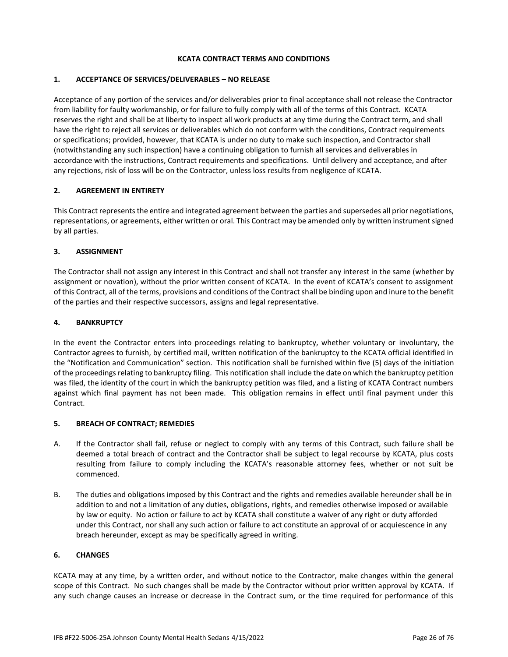#### **KCATA CONTRACT TERMS AND CONDITIONS**

## **1. ACCEPTANCE OF SERVICES/DELIVERABLES – NO RELEASE**

Acceptance of any portion of the services and/or deliverables prior to final acceptance shall not release the Contractor from liability for faulty workmanship, or for failure to fully comply with all of the terms of this Contract. KCATA reserves the right and shall be at liberty to inspect all work products at any time during the Contract term, and shall have the right to reject all services or deliverables which do not conform with the conditions, Contract requirements or specifications; provided, however, that KCATA is under no duty to make such inspection, and Contractor shall (notwithstanding any such inspection) have a continuing obligation to furnish all services and deliverables in accordance with the instructions, Contract requirements and specifications. Until delivery and acceptance, and after any rejections, risk of loss will be on the Contractor, unless loss results from negligence of KCATA.

## **2. AGREEMENT IN ENTIRETY**

This Contract represents the entire and integrated agreement between the parties and supersedes all prior negotiations, representations, or agreements, either written or oral. This Contract may be amended only by written instrument signed by all parties.

#### **3. ASSIGNMENT**

The Contractor shall not assign any interest in this Contract and shall not transfer any interest in the same (whether by assignment or novation), without the prior written consent of KCATA. In the event of KCATA's consent to assignment of this Contract, all of the terms, provisions and conditions of the Contract shall be binding upon and inure to the benefit of the parties and their respective successors, assigns and legal representative.

#### **4. BANKRUPTCY**

In the event the Contractor enters into proceedings relating to bankruptcy, whether voluntary or involuntary, the Contractor agrees to furnish, by certified mail, written notification of the bankruptcy to the KCATA official identified in the "Notification and Communication" section. This notification shall be furnished within five (5) days of the initiation of the proceedings relating to bankruptcy filing. This notification shall include the date on which the bankruptcy petition was filed, the identity of the court in which the bankruptcy petition was filed, and a listing of KCATA Contract numbers against which final payment has not been made. This obligation remains in effect until final payment under this Contract.

#### **5. BREACH OF CONTRACT; REMEDIES**

- A. If the Contractor shall fail, refuse or neglect to comply with any terms of this Contract, such failure shall be deemed a total breach of contract and the Contractor shall be subject to legal recourse by KCATA, plus costs resulting from failure to comply including the KCATA's reasonable attorney fees, whether or not suit be commenced.
- B. The duties and obligations imposed by this Contract and the rights and remedies available hereunder shall be in addition to and not a limitation of any duties, obligations, rights, and remedies otherwise imposed or available by law or equity. No action or failure to act by KCATA shall constitute a waiver of any right or duty afforded under this Contract, nor shall any such action or failure to act constitute an approval of or acquiescence in any breach hereunder, except as may be specifically agreed in writing.

#### **6. CHANGES**

KCATA may at any time, by a written order, and without notice to the Contractor, make changes within the general scope of this Contract. No such changes shall be made by the Contractor without prior written approval by KCATA. If any such change causes an increase or decrease in the Contract sum, or the time required for performance of this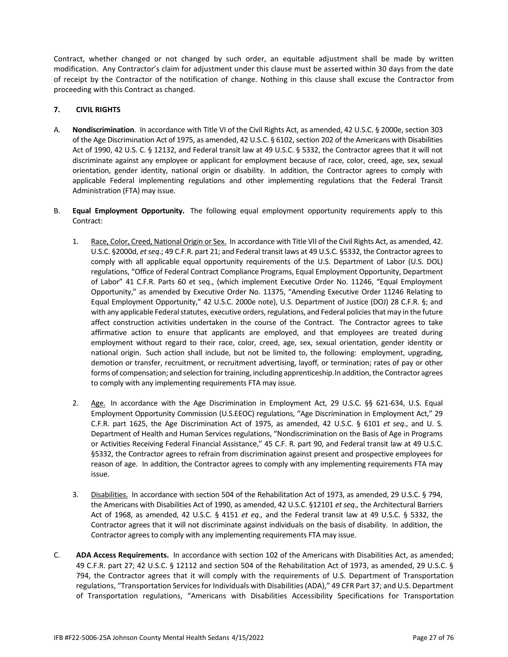Contract, whether changed or not changed by such order, an equitable adjustment shall be made by written modification. Any Contractor's claim for adjustment under this clause must be asserted within 30 days from the date of receipt by the Contractor of the notification of change. Nothing in this clause shall excuse the Contractor from proceeding with this Contract as changed.

## **7. CIVIL RIGHTS**

- A. **Nondiscrimination**. In accordance with Title VI of the Civil Rights Act, as amended, 42 U.S.C. § 2000e, section 303 of the Age Discrimination Act of 1975, as amended, 42 U.S.C. § 6102, section 202 of the Americans with Disabilities Act of 1990, 42 U.S. C. § 12132, and Federal transit law at 49 U.S.C. § 5332, the Contractor agrees that it will not discriminate against any employee or applicant for employment because of race, color, creed, age, sex, sexual orientation, gender identity, national origin or disability. In addition, the Contractor agrees to comply with applicable Federal implementing regulations and other implementing regulations that the Federal Transit Administration (FTA) may issue.
- B. **Equal Employment Opportunity.** The following equal employment opportunity requirements apply to this Contract:
	- 1. Race, Color, Creed, National Origin or Sex. In accordance with Title VII of the Civil Rights Act, as amended, 42. U.S.C. §2000d, *et seq*.; 49 C.F.R. part 21; and Federal transit laws at 49 U.S.C. §5332, the Contractor agrees to comply with all applicable equal opportunity requirements of the U.S. Department of Labor (U.S. DOL) regulations, "Office of Federal Contract Compliance Programs, Equal Employment Opportunity, Department of Labor" 41 C.F.R. Parts 60 et seq., (which implement Executive Order No. 11246, "Equal Employment Opportunity," as amended by Executive Order No. 11375, "Amending Executive Order 11246 Relating to Equal Employment Opportunity," 42 U.S.C. 2000e note), U.S. Department of Justice (DOJ) 28 C.F.R. §; and with any applicable Federal statutes, executive orders, regulations, and Federal policies that may in the future affect construction activities undertaken in the course of the Contract. The Contractor agrees to take affirmative action to ensure that applicants are employed, and that employees are treated during employment without regard to their race, color, creed, age, sex, sexual orientation, gender identity or national origin. Such action shall include, but not be limited to, the following: employment, upgrading, demotion or transfer, recruitment, or recruitment advertising, layoff, or termination; rates of pay or other forms of compensation; and selection for training, including apprenticeship.In addition, the Contractor agrees to comply with any implementing requirements FTA may issue.
	- 2. Age. In accordance with the Age Discrimination in Employment Act, 29 U.S.C. §§ 621-634, U.S. Equal Employment Opportunity Commission (U.S.EEOC) regulations, "Age Discrimination in Employment Act," 29 C.F.R. part 1625, the Age Discrimination Act of 1975, as amended, 42 U.S.C. § 6101 *et seq*., and U. S. Department of Health and Human Services regulations, "Nondiscrimination on the Basis of Age in Programs or Activities Receiving Federal Financial Assistance," 45 C.F. R. part 90, and Federal transit law at 49 U.S.C. §5332, the Contractor agrees to refrain from discrimination against present and prospective employees for reason of age. In addition, the Contractor agrees to comply with any implementing requirements FTA may issue.
	- 3. Disabilities. In accordance with section 504 of the Rehabilitation Act of 1973, as amended, 29 U.S.C. § 794, the Americans with Disabilities Act of 1990, as amended, 42 U.S.C. §12101 *et seq.,* the Architectural Barriers Act of 1968, as amended, 42 U.S.C. § 4151 *et eq.,* and the Federal transit law at 49 U.S.C. § 5332, the Contractor agrees that it will not discriminate against individuals on the basis of disability. In addition, the Contractor agrees to comply with any implementing requirements FTA may issue.
- C. **ADA Access Requirements.** In accordance with section 102 of the Americans with Disabilities Act, as amended; 49 C.F.R. part 27; 42 U.S.C. § 12112 and section 504 of the Rehabilitation Act of 1973, as amended, 29 U.S.C. § 794, the Contractor agrees that it will comply with the requirements of U.S. Department of Transportation regulations, "Transportation Services for Individuals with Disabilities (ADA)," 49 CFR Part 37; and U.S. Department of Transportation regulations, "Americans with Disabilities Accessibility Specifications for Transportation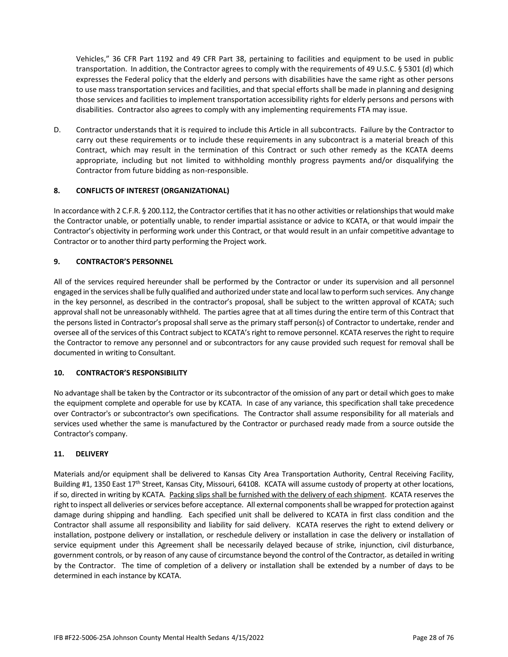Vehicles," 36 CFR Part 1192 and 49 CFR Part 38, pertaining to facilities and equipment to be used in public transportation. In addition, the Contractor agrees to comply with the requirements of 49 U.S.C. § 5301 (d) which expresses the Federal policy that the elderly and persons with disabilities have the same right as other persons to use mass transportation services and facilities, and that special efforts shall be made in planning and designing those services and facilities to implement transportation accessibility rights for elderly persons and persons with disabilities. Contractor also agrees to comply with any implementing requirements FTA may issue.

D. Contractor understands that it is required to include this Article in all subcontracts. Failure by the Contractor to carry out these requirements or to include these requirements in any subcontract is a material breach of this Contract, which may result in the termination of this Contract or such other remedy as the KCATA deems appropriate, including but not limited to withholding monthly progress payments and/or disqualifying the Contractor from future bidding as non-responsible.

## **8. CONFLICTS OF INTEREST (ORGANIZATIONAL)**

In accordance with 2 C.F.R. § 200.112, the Contractor certifies that it has no other activities or relationships that would make the Contractor unable, or potentially unable, to render impartial assistance or advice to KCATA, or that would impair the Contractor's objectivity in performing work under this Contract, or that would result in an unfair competitive advantage to Contractor or to another third party performing the Project work.

## **9. CONTRACTOR'S PERSONNEL**

All of the services required hereunder shall be performed by the Contractor or under its supervision and all personnel engaged in the services shall be fully qualified and authorized under state and local law to perform such services. Any change in the key personnel, as described in the contractor's proposal, shall be subject to the written approval of KCATA; such approval shall not be unreasonably withheld. The parties agree that at all times during the entire term of this Contract that the persons listed in Contractor's proposal shall serve as the primary staff person(s) of Contractor to undertake, render and oversee all of the services of this Contract subject to KCATA's right to remove personnel. KCATA reserves the right to require the Contractor to remove any personnel and or subcontractors for any cause provided such request for removal shall be documented in writing to Consultant.

## **10. CONTRACTOR'S RESPONSIBILITY**

No advantage shall be taken by the Contractor or its subcontractor of the omission of any part or detail which goes to make the equipment complete and operable for use by KCATA. In case of any variance, this specification shall take precedence over Contractor's or subcontractor's own specifications. The Contractor shall assume responsibility for all materials and services used whether the same is manufactured by the Contractor or purchased ready made from a source outside the Contractor's company.

## **11. DELIVERY**

Materials and/or equipment shall be delivered to Kansas City Area Transportation Authority, Central Receiving Facility, Building #1, 1350 East  $17<sup>th</sup>$  Street, Kansas City, Missouri, 64108. KCATA will assume custody of property at other locations, if so, directed in writing by KCATA. Packing slips shall be furnished with the delivery of each shipment. KCATA reserves the right to inspect all deliveries or services before acceptance. All external components shall be wrapped for protection against damage during shipping and handling. Each specified unit shall be delivered to KCATA in first class condition and the Contractor shall assume all responsibility and liability for said delivery. KCATA reserves the right to extend delivery or installation, postpone delivery or installation, or reschedule delivery or installation in case the delivery or installation of service equipment under this Agreement shall be necessarily delayed because of strike, injunction, civil disturbance, government controls, or by reason of any cause of circumstance beyond the control of the Contractor, as detailed in writing by the Contractor. The time of completion of a delivery or installation shall be extended by a number of days to be determined in each instance by KCATA.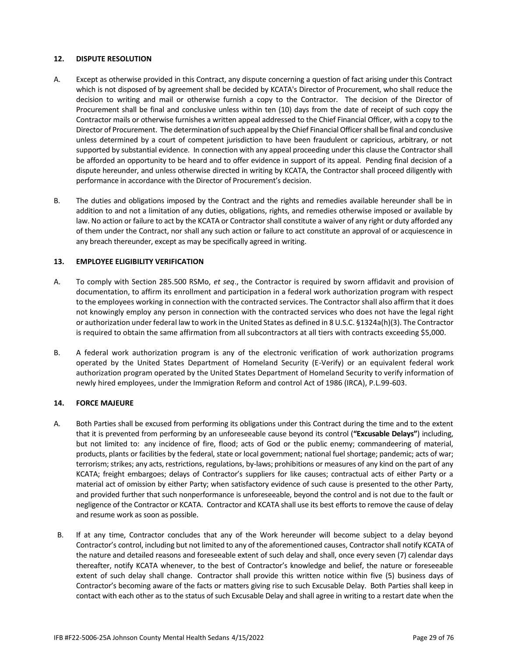#### **12. DISPUTE RESOLUTION**

- A. Except as otherwise provided in this Contract, any dispute concerning a question of fact arising under this Contract which is not disposed of by agreement shall be decided by KCATA's Director of Procurement, who shall reduce the decision to writing and mail or otherwise furnish a copy to the Contractor. The decision of the Director of Procurement shall be final and conclusive unless within ten (10) days from the date of receipt of such copy the Contractor mails or otherwise furnishes a written appeal addressed to the Chief Financial Officer, with a copy to the Director of Procurement. The determination of such appeal by the Chief Financial Officer shall be final and conclusive unless determined by a court of competent jurisdiction to have been fraudulent or capricious, arbitrary, or not supported by substantial evidence. In connection with any appeal proceeding under this clause the Contractor shall be afforded an opportunity to be heard and to offer evidence in support of its appeal. Pending final decision of a dispute hereunder, and unless otherwise directed in writing by KCATA, the Contractor shall proceed diligently with performance in accordance with the Director of Procurement's decision.
- B. The duties and obligations imposed by the Contract and the rights and remedies available hereunder shall be in addition to and not a limitation of any duties, obligations, rights, and remedies otherwise imposed or available by law. No action or failure to act by the KCATA or Contractor shall constitute a waiver of any right or duty afforded any of them under the Contract, nor shall any such action or failure to act constitute an approval of or acquiescence in any breach thereunder, except as may be specifically agreed in writing.

#### **13. EMPLOYEE ELIGIBILITY VERIFICATION**

- A. To comply with Section 285.500 RSMo, *et seq*., the Contractor is required by sworn affidavit and provision of documentation, to affirm its enrollment and participation in a federal work authorization program with respect to the employees working in connection with the contracted services. The Contractor shall also affirm that it does not knowingly employ any person in connection with the contracted services who does not have the legal right or authorization under federal law to work in the United States as defined in 8 U.S.C. §1324a(h)(3). The Contractor is required to obtain the same affirmation from all subcontractors at all tiers with contracts exceeding \$5,000.
- B. A federal work authorization program is any of the electronic verification of work authorization programs operated by the United States Department of Homeland Security (E-Verify) or an equivalent federal work authorization program operated by the United States Department of Homeland Security to verify information of newly hired employees, under the Immigration Reform and control Act of 1986 (IRCA), P.L.99-603.

## **14. FORCE MAJEURE**

- A. Both Parties shall be excused from performing its obligations under this Contract during the time and to the extent that it is prevented from performing by an unforeseeable cause beyond its control (**"Excusable Delays"**) including, but not limited to: any incidence of fire, flood; acts of God or the public enemy; commandeering of material, products, plants or facilities by the federal, state or local government; national fuel shortage; pandemic; acts of war; terrorism; strikes; any acts, restrictions, regulations, by-laws; prohibitions or measures of any kind on the part of any KCATA; freight embargoes; delays of Contractor's suppliers for like causes; contractual acts of either Party or a material act of omission by either Party; when satisfactory evidence of such cause is presented to the other Party, and provided further that such nonperformance is unforeseeable, beyond the control and is not due to the fault or negligence of the Contractor or KCATA. Contractor and KCATA shall use its best efforts to remove the cause of delay and resume work as soon as possible.
- B. If at any time, Contractor concludes that any of the Work hereunder will become subject to a delay beyond Contractor's control, including but not limited to any of the aforementioned causes, Contractor shall notify KCATA of the nature and detailed reasons and foreseeable extent of such delay and shall, once every seven (7) calendar days thereafter, notify KCATA whenever, to the best of Contractor's knowledge and belief, the nature or foreseeable extent of such delay shall change. Contractor shall provide this written notice within five (5) business days of Contractor's becoming aware of the facts or matters giving rise to such Excusable Delay. Both Parties shall keep in contact with each other as to the status of such Excusable Delay and shall agree in writing to a restart date when the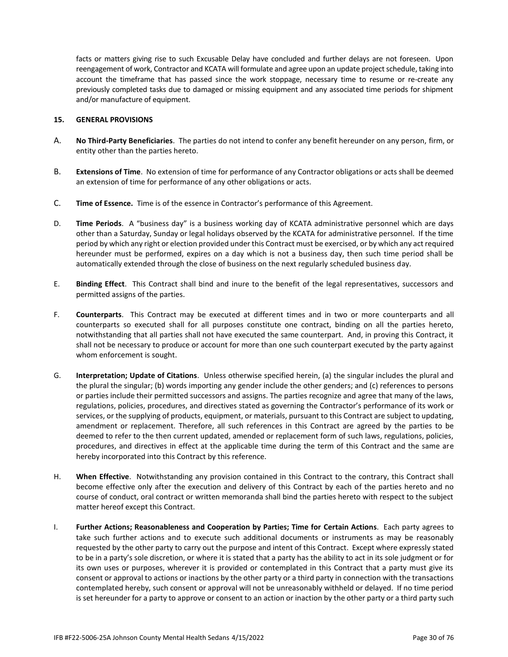facts or matters giving rise to such Excusable Delay have concluded and further delays are not foreseen. Upon reengagement of work, Contractor and KCATA will formulate and agree upon an update project schedule, taking into account the timeframe that has passed since the work stoppage, necessary time to resume or re-create any previously completed tasks due to damaged or missing equipment and any associated time periods for shipment and/or manufacture of equipment.

#### **15. GENERAL PROVISIONS**

- A. **No Third-Party Beneficiaries**. The parties do not intend to confer any benefit hereunder on any person, firm, or entity other than the parties hereto.
- B. **Extensions of Time**. No extension of time for performance of any Contractor obligations or acts shall be deemed an extension of time for performance of any other obligations or acts.
- C. **Time of Essence.** Time is of the essence in Contractor's performance of this Agreement.
- D. **Time Periods**. A "business day" is a business working day of KCATA administrative personnel which are days other than a Saturday, Sunday or legal holidays observed by the KCATA for administrative personnel. If the time period by which any right or election provided under this Contract must be exercised, or by which any act required hereunder must be performed, expires on a day which is not a business day, then such time period shall be automatically extended through the close of business on the next regularly scheduled business day.
- E. **Binding Effect**. This Contract shall bind and inure to the benefit of the legal representatives, successors and permitted assigns of the parties.
- F. **Counterparts**. This Contract may be executed at different times and in two or more counterparts and all counterparts so executed shall for all purposes constitute one contract, binding on all the parties hereto, notwithstanding that all parties shall not have executed the same counterpart. And, in proving this Contract, it shall not be necessary to produce or account for more than one such counterpart executed by the party against whom enforcement is sought.
- G. **Interpretation; Update of Citations**. Unless otherwise specified herein, (a) the singular includes the plural and the plural the singular; (b) words importing any gender include the other genders; and (c) references to persons or parties include their permitted successors and assigns. The parties recognize and agree that many of the laws, regulations, policies, procedures, and directives stated as governing the Contractor's performance of its work or services, or the supplying of products, equipment, or materials, pursuant to this Contract are subject to updating, amendment or replacement. Therefore, all such references in this Contract are agreed by the parties to be deemed to refer to the then current updated, amended or replacement form of such laws, regulations, policies, procedures, and directives in effect at the applicable time during the term of this Contract and the same are hereby incorporated into this Contract by this reference.
- H. **When Effective**. Notwithstanding any provision contained in this Contract to the contrary, this Contract shall become effective only after the execution and delivery of this Contract by each of the parties hereto and no course of conduct, oral contract or written memoranda shall bind the parties hereto with respect to the subject matter hereof except this Contract.
- I. **Further Actions; Reasonableness and Cooperation by Parties; Time for Certain Actions**. Each party agrees to take such further actions and to execute such additional documents or instruments as may be reasonably requested by the other party to carry out the purpose and intent of this Contract. Except where expressly stated to be in a party's sole discretion, or where it is stated that a party has the ability to act in its sole judgment or for its own uses or purposes, wherever it is provided or contemplated in this Contract that a party must give its consent or approval to actions or inactions by the other party or a third party in connection with the transactions contemplated hereby, such consent or approval will not be unreasonably withheld or delayed. If no time period is set hereunder for a party to approve or consent to an action or inaction by the other party or a third party such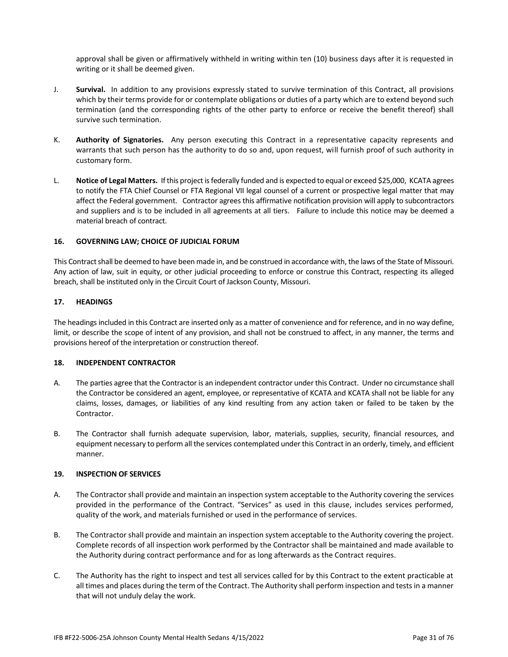approval shall be given or affirmatively withheld in writing within ten (10) business days after it is requested in writing or it shall be deemed given.

- J. **Survival.** In addition to any provisions expressly stated to survive termination of this Contract, all provisions which by their terms provide for or contemplate obligations or duties of a party which are to extend beyond such termination (and the corresponding rights of the other party to enforce or receive the benefit thereof) shall survive such termination.
- K. **Authority of Signatories.** Any person executing this Contract in a representative capacity represents and warrants that such person has the authority to do so and, upon request, will furnish proof of such authority in customary form.
- L. **Notice of Legal Matters.** If this project is federally funded and is expected to equal or exceed \$25,000, KCATA agrees to notify the FTA Chief Counsel or FTA Regional VII legal counsel of a current or prospective legal matter that may affect the Federal government. Contractor agrees this affirmative notification provision will apply to subcontractors and suppliers and is to be included in all agreements at all tiers. Failure to include this notice may be deemed a material breach of contract.

#### **16. GOVERNING LAW; CHOICE OF JUDICIAL FORUM**

This Contract shall be deemed to have been made in, and be construed in accordance with, the laws of the State of Missouri. Any action of law, suit in equity, or other judicial proceeding to enforce or construe this Contract, respecting its alleged breach, shall be instituted only in the Circuit Court of Jackson County, Missouri.

#### **17. HEADINGS**

The headings included in this Contract are inserted only as a matter of convenience and for reference, and in no way define, limit, or describe the scope of intent of any provision, and shall not be construed to affect, in any manner, the terms and provisions hereof of the interpretation or construction thereof.

#### **18. INDEPENDENT CONTRACTOR**

- A. The parties agree that the Contractor is an independent contractor under this Contract. Under no circumstance shall the Contractor be considered an agent, employee, or representative of KCATA and KCATA shall not be liable for any claims, losses, damages, or liabilities of any kind resulting from any action taken or failed to be taken by the Contractor.
- B. The Contractor shall furnish adequate supervision, labor, materials, supplies, security, financial resources, and equipment necessary to perform all the services contemplated under this Contract in an orderly, timely, and efficient manner.

#### **19. INSPECTION OF SERVICES**

- A. The Contractor shall provide and maintain an inspection system acceptable to the Authority covering the services provided in the performance of the Contract. "Services" as used in this clause, includes services performed, quality of the work, and materials furnished or used in the performance of services.
- B. The Contractor shall provide and maintain an inspection system acceptable to the Authority covering the project. Complete records of all inspection work performed by the Contractor shall be maintained and made available to the Authority during contract performance and for as long afterwards as the Contract requires.
- C. The Authority has the right to inspect and test all services called for by this Contract to the extent practicable at all times and places during the term of the Contract. The Authority shall perform inspection and tests in a manner that will not unduly delay the work.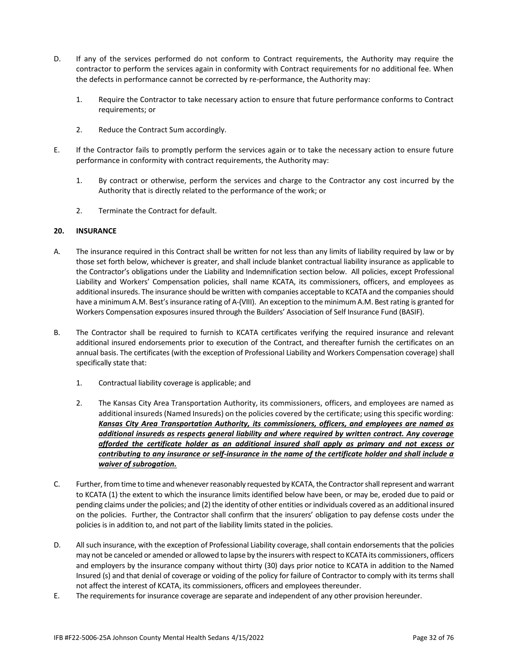- D. If any of the services performed do not conform to Contract requirements, the Authority may require the contractor to perform the services again in conformity with Contract requirements for no additional fee. When the defects in performance cannot be corrected by re-performance, the Authority may:
	- 1. Require the Contractor to take necessary action to ensure that future performance conforms to Contract requirements; or
	- 2. Reduce the Contract Sum accordingly.
- E. If the Contractor fails to promptly perform the services again or to take the necessary action to ensure future performance in conformity with contract requirements, the Authority may:
	- 1. By contract or otherwise, perform the services and charge to the Contractor any cost incurred by the Authority that is directly related to the performance of the work; or
	- 2. Terminate the Contract for default.

## **20. INSURANCE**

- A. The insurance required in this Contract shall be written for not less than any limits of liability required by law or by those set forth below, whichever is greater, and shall include blanket contractual liability insurance as applicable to the Contractor's obligations under the Liability and Indemnification section below. All policies, except Professional Liability and Workers' Compensation policies, shall name KCATA, its commissioners, officers, and employees as additional insureds. The insurance should be written with companies acceptable to KCATA and the companies should have a minimum A.M. Best's insurance rating of A-(VIII). An exception to the minimum A.M. Best rating is granted for Workers Compensation exposures insured through the Builders' Association of Self Insurance Fund (BASIF).
- B. The Contractor shall be required to furnish to KCATA certificates verifying the required insurance and relevant additional insured endorsements prior to execution of the Contract, and thereafter furnish the certificates on an annual basis. The certificates (with the exception of Professional Liability and Workers Compensation coverage) shall specifically state that:
	- 1. Contractual liability coverage is applicable; and
	- 2. The Kansas City Area Transportation Authority, its commissioners, officers, and employees are named as additional insureds (Named Insureds) on the policies covered by the certificate; using this specific wording: *Kansas City Area Transportation Authority, its commissioners, officers, and employees are named as additional insureds as respects general liability and where required by written contract. Any coverage afforded the certificate holder as an additional insured shall apply as primary and not excess or contributing to any insurance or self-insurance in the name of the certificate holder and shall include a waiver of subrogation.*
- C. Further, from time to time and whenever reasonably requested by KCATA, the Contractor shall represent and warrant to KCATA (1) the extent to which the insurance limits identified below have been, or may be, eroded due to paid or pending claims under the policies; and (2) the identity of other entities or individuals covered as an additional insured on the policies. Further, the Contractor shall confirm that the insurers' obligation to pay defense costs under the policies is in addition to, and not part of the liability limits stated in the policies.
- D. All such insurance, with the exception of Professional Liability coverage, shall contain endorsements that the policies may not be canceled or amended or allowed to lapse by the insurers with respect to KCATA its commissioners, officers and employers by the insurance company without thirty (30) days prior notice to KCATA in addition to the Named Insured (s) and that denial of coverage or voiding of the policy for failure of Contractor to comply with its terms shall not affect the interest of KCATA, its commissioners, officers and employees thereunder.
- E. The requirements for insurance coverage are separate and independent of any other provision hereunder.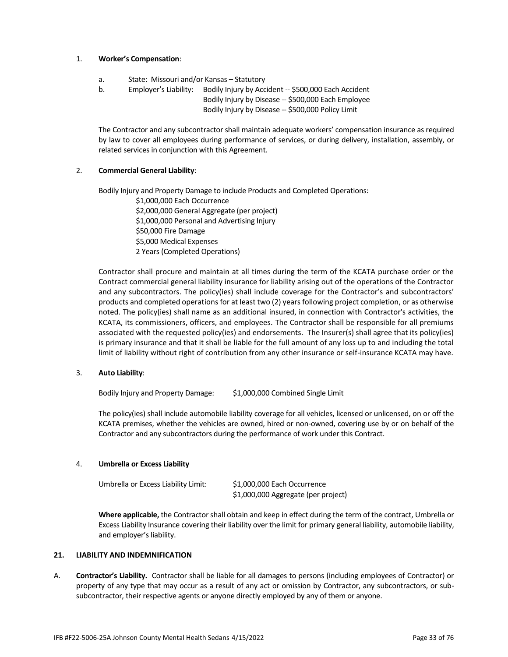#### 1. **Worker's Compensation**:

- a. State: Missouri and/or Kansas Statutory
- b. Employer's Liability: Bodily Injury by Accident -- \$500,000 Each Accident
	- Bodily Injury by Disease -- \$500,000 Each Employee Bodily Injury by Disease -- \$500,000 Policy Limit

The Contractor and any subcontractor shall maintain adequate workers' compensation insurance as required by law to cover all employees during performance of services, or during delivery, installation, assembly, or related services in conjunction with this Agreement.

## 2. **Commercial General Liability**:

Bodily Injury and Property Damage to include Products and Completed Operations:

\$1,000,000 Each Occurrence \$2,000,000 General Aggregate (per project) \$1,000,000 Personal and Advertising Injury \$50,000 Fire Damage \$5,000 Medical Expenses 2 Years (Completed Operations)

Contractor shall procure and maintain at all times during the term of the KCATA purchase order or the Contract commercial general liability insurance for liability arising out of the operations of the Contractor and any subcontractors. The policy(ies) shall include coverage for the Contractor's and subcontractors' products and completed operations for at least two (2) years following project completion, or as otherwise noted. The policy(ies) shall name as an additional insured, in connection with Contractor's activities, the KCATA, its commissioners, officers, and employees. The Contractor shall be responsible for all premiums associated with the requested policy(ies) and endorsements. The Insurer(s) shall agree that its policy(ies) is primary insurance and that it shall be liable for the full amount of any loss up to and including the total limit of liability without right of contribution from any other insurance or self-insurance KCATA may have.

## 3. **Auto Liability**:

Bodily Injury and Property Damage: \$1,000,000 Combined Single Limit

The policy(ies) shall include automobile liability coverage for all vehicles, licensed or unlicensed, on or off the KCATA premises, whether the vehicles are owned, hired or non-owned, covering use by or on behalf of the Contractor and any subcontractors during the performance of work under this Contract.

#### 4. **Umbrella or Excess Liability**

| Umbrella or Excess Liability Limit: | \$1,000,000 Each Occurrence         |
|-------------------------------------|-------------------------------------|
|                                     | \$1,000,000 Aggregate (per project) |

**Where applicable,** the Contractor shall obtain and keep in effect during the term of the contract, Umbrella or Excess Liability Insurance covering their liability over the limit for primary general liability, automobile liability, and employer's liability.

#### **21. LIABILITY AND INDEMNIFICATION**

A. **Contractor's Liability.** Contractor shall be liable for all damages to persons (including employees of Contractor) or property of any type that may occur as a result of any act or omission by Contractor, any subcontractors, or subsubcontractor, their respective agents or anyone directly employed by any of them or anyone.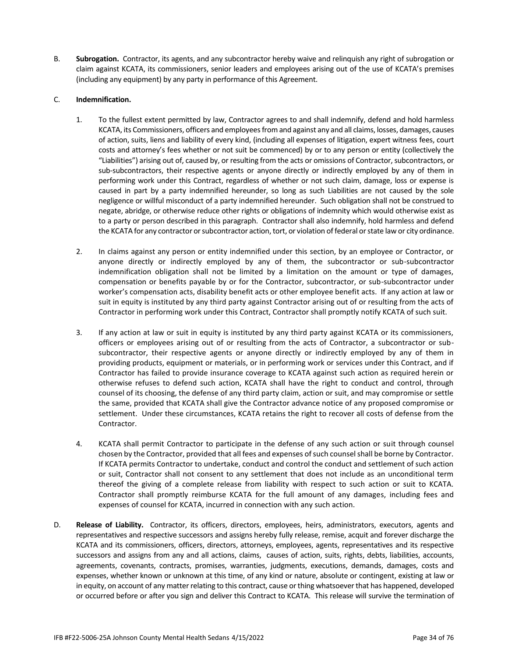B. **Subrogation.** Contractor, its agents, and any subcontractor hereby waive and relinquish any right of subrogation or claim against KCATA, its commissioners, senior leaders and employees arising out of the use of KCATA's premises (including any equipment) by any party in performance of this Agreement.

## C. **Indemnification.**

- 1. To the fullest extent permitted by law, Contractor agrees to and shall indemnify, defend and hold harmless KCATA, its Commissioners, officers and employees from and against any and all claims, losses, damages, causes of action, suits, liens and liability of every kind, (including all expenses of litigation, expert witness fees, court costs and attorney's fees whether or not suit be commenced) by or to any person or entity (collectively the "Liabilities") arising out of, caused by, or resulting from the acts or omissions of Contractor, subcontractors, or sub-subcontractors, their respective agents or anyone directly or indirectly employed by any of them in performing work under this Contract, regardless of whether or not such claim, damage, loss or expense is caused in part by a party indemnified hereunder, so long as such Liabilities are not caused by the sole negligence or willful misconduct of a party indemnified hereunder. Such obligation shall not be construed to negate, abridge, or otherwise reduce other rights or obligations of indemnity which would otherwise exist as to a party or person described in this paragraph. Contractor shall also indemnify, hold harmless and defend the KCATA for any contractor or subcontractor action, tort, or violation of federal or state law or city ordinance.
- 2. In claims against any person or entity indemnified under this section, by an employee or Contractor, or anyone directly or indirectly employed by any of them, the subcontractor or sub-subcontractor indemnification obligation shall not be limited by a limitation on the amount or type of damages, compensation or benefits payable by or for the Contractor, subcontractor, or sub-subcontractor under worker's compensation acts, disability benefit acts or other employee benefit acts. If any action at law or suit in equity is instituted by any third party against Contractor arising out of or resulting from the acts of Contractor in performing work under this Contract, Contractor shall promptly notify KCATA of such suit.
- 3. If any action at law or suit in equity is instituted by any third party against KCATA or its commissioners, officers or employees arising out of or resulting from the acts of Contractor, a subcontractor or subsubcontractor, their respective agents or anyone directly or indirectly employed by any of them in providing products, equipment or materials, or in performing work or services under this Contract, and if Contractor has failed to provide insurance coverage to KCATA against such action as required herein or otherwise refuses to defend such action, KCATA shall have the right to conduct and control, through counsel of its choosing, the defense of any third party claim, action or suit, and may compromise or settle the same, provided that KCATA shall give the Contractor advance notice of any proposed compromise or settlement. Under these circumstances, KCATA retains the right to recover all costs of defense from the Contractor.
- 4. KCATA shall permit Contractor to participate in the defense of any such action or suit through counsel chosen by the Contractor, provided that all fees and expenses of such counsel shall be borne by Contractor. If KCATA permits Contractor to undertake, conduct and control the conduct and settlement of such action or suit, Contractor shall not consent to any settlement that does not include as an unconditional term thereof the giving of a complete release from liability with respect to such action or suit to KCATA. Contractor shall promptly reimburse KCATA for the full amount of any damages, including fees and expenses of counsel for KCATA, incurred in connection with any such action.
- D. **Release of Liability.** Contractor, its officers, directors, employees, heirs, administrators, executors, agents and representatives and respective successors and assigns hereby fully release, remise, acquit and forever discharge the KCATA and its commissioners, officers, directors, attorneys, employees, agents, representatives and its respective successors and assigns from any and all actions, claims, causes of action, suits, rights, debts, liabilities, accounts, agreements, covenants, contracts, promises, warranties, judgments, executions, demands, damages, costs and expenses, whether known or unknown at this time, of any kind or nature, absolute or contingent, existing at law or in equity, on account of any matter relating to this contract, cause or thing whatsoever that has happened, developed or occurred before or after you sign and deliver this Contract to KCATA. This release will survive the termination of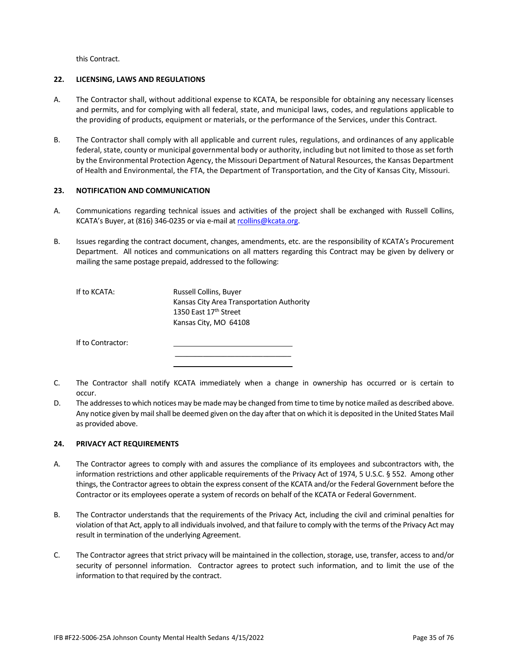this Contract.

#### **22. LICENSING, LAWS AND REGULATIONS**

- A. The Contractor shall, without additional expense to KCATA, be responsible for obtaining any necessary licenses and permits, and for complying with all federal, state, and municipal laws, codes, and regulations applicable to the providing of products, equipment or materials, or the performance of the Services, under this Contract.
- B. The Contractor shall comply with all applicable and current rules, regulations, and ordinances of any applicable federal, state, county or municipal governmental body or authority, including but not limited to those as set forth by the Environmental Protection Agency, the Missouri Department of Natural Resources, the Kansas Department of Health and Environmental, the FTA, the Department of Transportation, and the City of Kansas City, Missouri.

#### **23. NOTIFICATION AND COMMUNICATION**

- A. Communications regarding technical issues and activities of the project shall be exchanged with Russell Collins, KCATA's Buyer, at (816) 346-0235 or via e-mail a[t rcollins@kcata.org.](mailto:rcollins@kcata.org)
- B. Issues regarding the contract document, changes, amendments, etc. are the responsibility of KCATA's Procurement Department. All notices and communications on all matters regarding this Contract may be given by delivery or mailing the same postage prepaid, addressed to the following:

| If to KCATA:      | <b>Russell Collins, Buyer</b>             |
|-------------------|-------------------------------------------|
|                   | Kansas City Area Transportation Authority |
|                   | 1350 East 17th Street                     |
|                   | Kansas City, MO 64108                     |
|                   |                                           |
| If to Contractor: |                                           |

C. The Contractor shall notify KCATA immediately when a change in ownership has occurred or is certain to occur.

\_\_\_\_\_\_\_\_\_\_\_\_\_\_\_\_\_\_\_\_\_\_\_\_\_\_\_\_\_

D. The addresses to which notices may be made may be changed from time to time by notice mailed as described above. Any notice given by mail shall be deemed given on the day after that on which it is deposited in the United States Mail as provided above.

#### **24. PRIVACY ACT REQUIREMENTS**

- A. The Contractor agrees to comply with and assures the compliance of its employees and subcontractors with, the information restrictions and other applicable requirements of the Privacy Act of 1974, 5 U.S.C. § 552. Among other things, the Contractor agrees to obtain the express consent of the KCATA and/or the Federal Government before the Contractor or its employees operate a system of records on behalf of the KCATA or Federal Government.
- B. The Contractor understands that the requirements of the Privacy Act, including the civil and criminal penalties for violation of that Act, apply to all individuals involved, and that failure to comply with the terms of the Privacy Act may result in termination of the underlying Agreement.
- C. The Contractor agrees that strict privacy will be maintained in the collection, storage, use, transfer, access to and/or security of personnel information. Contractor agrees to protect such information, and to limit the use of the information to that required by the contract.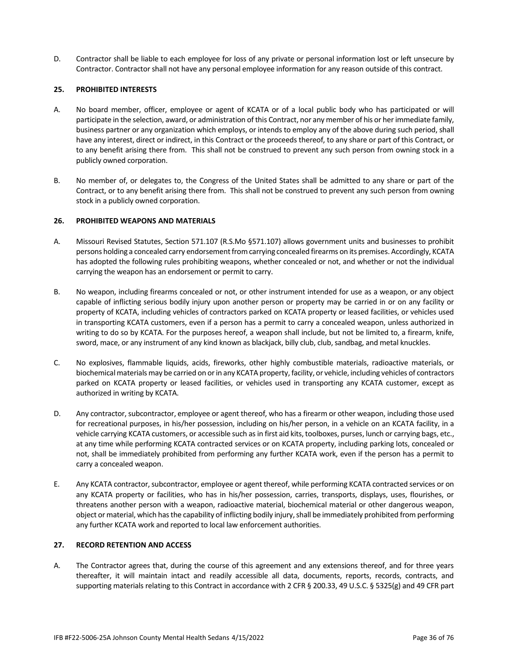D. Contractor shall be liable to each employee for loss of any private or personal information lost or left unsecure by Contractor. Contractor shall not have any personal employee information for any reason outside of this contract.

## **25. PROHIBITED INTERESTS**

- A. No board member, officer, employee or agent of KCATA or of a local public body who has participated or will participate in the selection, award, or administration of this Contract, nor any member of his or her immediate family, business partner or any organization which employs, or intends to employ any of the above during such period, shall have any interest, direct or indirect, in this Contract or the proceeds thereof, to any share or part of this Contract, or to any benefit arising there from. This shall not be construed to prevent any such person from owning stock in a publicly owned corporation.
- B. No member of, or delegates to, the Congress of the United States shall be admitted to any share or part of the Contract, or to any benefit arising there from. This shall not be construed to prevent any such person from owning stock in a publicly owned corporation.

#### **26. PROHIBITED WEAPONS AND MATERIALS**

- A. Missouri Revised Statutes, Section 571.107 (R.S.Mo §571.107) allows government units and businesses to prohibit persons holding a concealed carry endorsement from carrying concealed firearms on its premises. Accordingly, KCATA has adopted the following rules prohibiting weapons, whether concealed or not, and whether or not the individual carrying the weapon has an endorsement or permit to carry.
- B. No weapon, including firearms concealed or not, or other instrument intended for use as a weapon, or any object capable of inflicting serious bodily injury upon another person or property may be carried in or on any facility or property of KCATA, including vehicles of contractors parked on KCATA property or leased facilities, or vehicles used in transporting KCATA customers, even if a person has a permit to carry a concealed weapon, unless authorized in writing to do so by KCATA. For the purposes hereof, a weapon shall include, but not be limited to, a firearm, knife, sword, mace, or any instrument of any kind known as blackjack, billy club, club, sandbag, and metal knuckles.
- C. No explosives, flammable liquids, acids, fireworks, other highly combustible materials, radioactive materials, or biochemical materials may be carried on or in any KCATA property, facility, or vehicle, including vehicles of contractors parked on KCATA property or leased facilities, or vehicles used in transporting any KCATA customer, except as authorized in writing by KCATA.
- D. Any contractor, subcontractor, employee or agent thereof, who has a firearm or other weapon, including those used for recreational purposes, in his/her possession, including on his/her person, in a vehicle on an KCATA facility, in a vehicle carrying KCATA customers, or accessible such as in first aid kits, toolboxes, purses, lunch or carrying bags, etc., at any time while performing KCATA contracted services or on KCATA property, including parking lots, concealed or not, shall be immediately prohibited from performing any further KCATA work, even if the person has a permit to carry a concealed weapon.
- E. Any KCATA contractor, subcontractor, employee or agent thereof, while performing KCATA contracted services or on any KCATA property or facilities, who has in his/her possession, carries, transports, displays, uses, flourishes, or threatens another person with a weapon, radioactive material, biochemical material or other dangerous weapon, object or material, which has the capability of inflicting bodily injury, shall be immediately prohibited from performing any further KCATA work and reported to local law enforcement authorities.

## **27. RECORD RETENTION AND ACCESS**

A. The Contractor agrees that, during the course of this agreement and any extensions thereof, and for three years thereafter, it will maintain intact and readily accessible all data, documents, reports, records, contracts, and supporting materials relating to this Contract in accordance with 2 CFR § 200.33, 49 U.S.C. § 5325(g) and 49 CFR part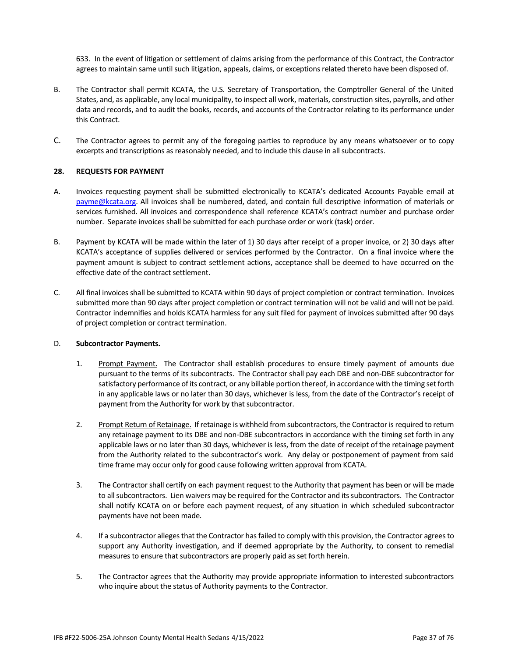633. In the event of litigation or settlement of claims arising from the performance of this Contract, the Contractor agrees to maintain same until such litigation, appeals, claims, or exceptions related thereto have been disposed of.

- B. The Contractor shall permit KCATA, the U.S. Secretary of Transportation, the Comptroller General of the United States, and, as applicable, any local municipality, to inspect all work, materials, construction sites, payrolls, and other data and records, and to audit the books, records, and accounts of the Contractor relating to its performance under this Contract.
- C. The Contractor agrees to permit any of the foregoing parties to reproduce by any means whatsoever or to copy excerpts and transcriptions as reasonably needed, and to include this clause in all subcontracts.

#### **28. REQUESTS FOR PAYMENT**

- A. Invoices requesting payment shall be submitted electronically to KCATA's dedicated Accounts Payable email at [payme@kcata.org.](mailto:payme@kcata.org) All invoices shall be numbered, dated, and contain full descriptive information of materials or services furnished. All invoices and correspondence shall reference KCATA's contract number and purchase order number. Separate invoices shall be submitted for each purchase order or work (task) order.
- B. Payment by KCATA will be made within the later of 1) 30 days after receipt of a proper invoice, or 2) 30 days after KCATA's acceptance of supplies delivered or services performed by the Contractor. On a final invoice where the payment amount is subject to contract settlement actions, acceptance shall be deemed to have occurred on the effective date of the contract settlement.
- C. All final invoices shall be submitted to KCATA within 90 days of project completion or contract termination. Invoices submitted more than 90 days after project completion or contract termination will not be valid and will not be paid. Contractor indemnifies and holds KCATA harmless for any suit filed for payment of invoices submitted after 90 days of project completion or contract termination.

#### D. **Subcontractor Payments.**

- 1. Prompt Payment. The Contractor shall establish procedures to ensure timely payment of amounts due pursuant to the terms of its subcontracts. The Contractor shall pay each DBE and non-DBE subcontractor for satisfactory performance of its contract, or any billable portion thereof, in accordance with the timing set forth in any applicable laws or no later than 30 days, whichever is less, from the date of the Contractor's receipt of payment from the Authority for work by that subcontractor.
- 2. Prompt Return of Retainage. If retainage is withheld from subcontractors, the Contractor is required to return any retainage payment to its DBE and non-DBE subcontractors in accordance with the timing set forth in any applicable laws or no later than 30 days, whichever is less, from the date of receipt of the retainage payment from the Authority related to the subcontractor's work. Any delay or postponement of payment from said time frame may occur only for good cause following written approval from KCATA.
- 3. The Contractor shall certify on each payment request to the Authority that payment has been or will be made to all subcontractors. Lien waivers may be required for the Contractor and its subcontractors. The Contractor shall notify KCATA on or before each payment request, of any situation in which scheduled subcontractor payments have not been made.
- 4. If a subcontractor alleges that the Contractor has failed to comply with this provision, the Contractor agrees to support any Authority investigation, and if deemed appropriate by the Authority, to consent to remedial measures to ensure that subcontractors are properly paid as set forth herein.
- 5. The Contractor agrees that the Authority may provide appropriate information to interested subcontractors who inquire about the status of Authority payments to the Contractor.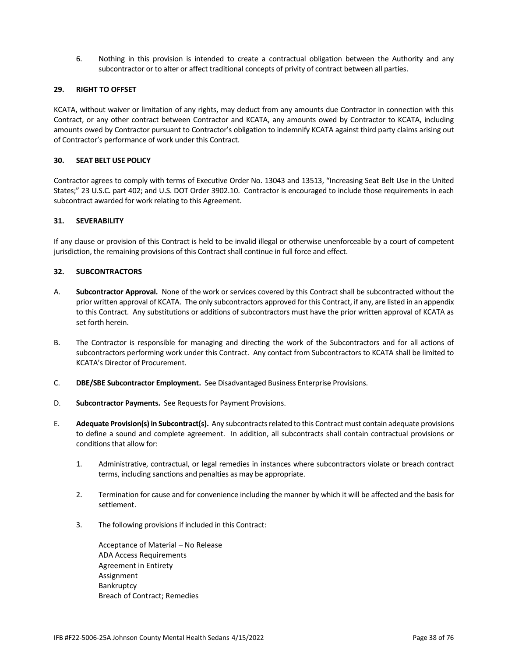6. Nothing in this provision is intended to create a contractual obligation between the Authority and any subcontractor or to alter or affect traditional concepts of privity of contract between all parties.

## **29. RIGHT TO OFFSET**

KCATA, without waiver or limitation of any rights, may deduct from any amounts due Contractor in connection with this Contract, or any other contract between Contractor and KCATA, any amounts owed by Contractor to KCATA, including amounts owed by Contractor pursuant to Contractor's obligation to indemnify KCATA against third party claims arising out of Contractor's performance of work under this Contract.

#### **30. SEAT BELT USE POLICY**

Contractor agrees to comply with terms of Executive Order No. 13043 and 13513, "Increasing Seat Belt Use in the United States;" 23 U.S.C. part 402; and U.S. DOT Order 3902.10. Contractor is encouraged to include those requirements in each subcontract awarded for work relating to this Agreement.

#### **31. SEVERABILITY**

If any clause or provision of this Contract is held to be invalid illegal or otherwise unenforceable by a court of competent jurisdiction, the remaining provisions of this Contract shall continue in full force and effect.

#### **32. SUBCONTRACTORS**

- A. **Subcontractor Approval.** None of the work or services covered by this Contract shall be subcontracted without the prior written approval of KCATA. The only subcontractors approved for this Contract, if any, are listed in an appendix to this Contract. Any substitutions or additions of subcontractors must have the prior written approval of KCATA as set forth herein.
- B. The Contractor is responsible for managing and directing the work of the Subcontractors and for all actions of subcontractors performing work under this Contract. Any contact from Subcontractors to KCATA shall be limited to KCATA's Director of Procurement.
- C. **DBE/SBE Subcontractor Employment.** See Disadvantaged Business Enterprise Provisions.
- D. **Subcontractor Payments.** See Requests for Payment Provisions.
- E. **Adequate Provision(s) in Subcontract(s).** Any subcontracts related to this Contract must contain adequate provisions to define a sound and complete agreement. In addition, all subcontracts shall contain contractual provisions or conditions that allow for:
	- 1. Administrative, contractual, or legal remedies in instances where subcontractors violate or breach contract terms, including sanctions and penalties as may be appropriate.
	- 2. Termination for cause and for convenience including the manner by which it will be affected and the basis for settlement.
	- 3. The following provisions if included in this Contract:

Acceptance of Material – No Release ADA Access Requirements Agreement in Entirety Assignment Bankruptcy Breach of Contract; Remedies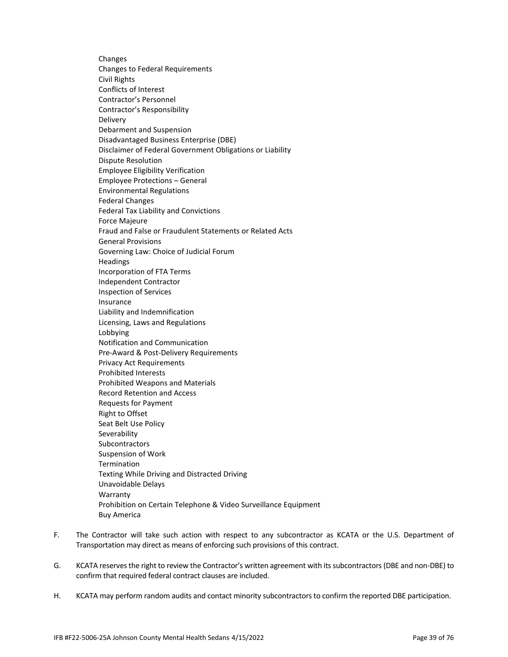Changes Changes to Federal Requirements Civil Rights Conflicts of Interest Contractor's Personnel Contractor's Responsibility Delivery Debarment and Suspension Disadvantaged Business Enterprise (DBE) Disclaimer of Federal Government Obligations or Liability Dispute Resolution Employee Eligibility Verification Employee Protections – General Environmental Regulations Federal Changes Federal Tax Liability and Convictions Force Majeure Fraud and False or Fraudulent Statements or Related Acts General Provisions Governing Law: Choice of Judicial Forum Headings Incorporation of FTA Terms Independent Contractor Inspection of Services Insurance Liability and Indemnification Licensing, Laws and Regulations Lobbying Notification and Communication Pre-Award & Post-Delivery Requirements Privacy Act Requirements Prohibited Interests Prohibited Weapons and Materials Record Retention and Access Requests for Payment Right to Offset Seat Belt Use Policy Severability Subcontractors Suspension of Work **Termination** Texting While Driving and Distracted Driving Unavoidable Delays Warranty Prohibition on Certain Telephone & Video Surveillance Equipment Buy America

- F. The Contractor will take such action with respect to any subcontractor as KCATA or the U.S. Department of Transportation may direct as means of enforcing such provisions of this contract.
- G. KCATA reserves the right to review the Contractor's written agreement with its subcontractors (DBE and non-DBE) to confirm that required federal contract clauses are included.
- H. KCATA may perform random audits and contact minority subcontractors to confirm the reported DBE participation.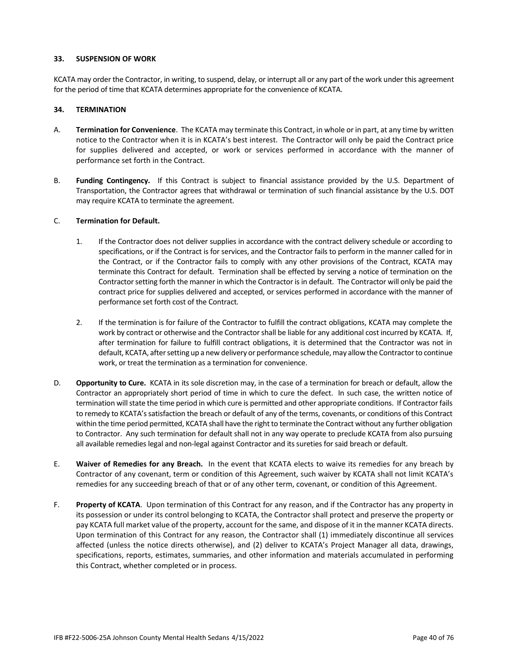#### **33. SUSPENSION OF WORK**

KCATA may order the Contractor, in writing, to suspend, delay, or interrupt all or any part of the work under this agreement for the period of time that KCATA determines appropriate for the convenience of KCATA.

#### **34. TERMINATION**

- A. **Termination for Convenience**. The KCATA may terminate this Contract, in whole or in part, at any time by written notice to the Contractor when it is in KCATA's best interest. The Contractor will only be paid the Contract price for supplies delivered and accepted, or work or services performed in accordance with the manner of performance set forth in the Contract.
- B. **Funding Contingency.** If this Contract is subject to financial assistance provided by the U.S. Department of Transportation, the Contractor agrees that withdrawal or termination of such financial assistance by the U.S. DOT may require KCATA to terminate the agreement.

#### C. **Termination for Default.**

- 1. If the Contractor does not deliver supplies in accordance with the contract delivery schedule or according to specifications, or if the Contract is for services, and the Contractor fails to perform in the manner called for in the Contract, or if the Contractor fails to comply with any other provisions of the Contract, KCATA may terminate this Contract for default. Termination shall be effected by serving a notice of termination on the Contractor setting forth the manner in which the Contractor is in default. The Contractor will only be paid the contract price for supplies delivered and accepted, or services performed in accordance with the manner of performance set forth cost of the Contract.
- 2. If the termination is for failure of the Contractor to fulfill the contract obligations, KCATA may complete the work by contract or otherwise and the Contractor shall be liable for any additional cost incurred by KCATA. If, after termination for failure to fulfill contract obligations, it is determined that the Contractor was not in default, KCATA, after setting up a new delivery or performance schedule, may allow the Contractor to continue work, or treat the termination as a termination for convenience.
- D. **Opportunity to Cure.** KCATA in its sole discretion may, in the case of a termination for breach or default, allow the Contractor an appropriately short period of time in which to cure the defect. In such case, the written notice of termination will state the time period in which cure is permitted and other appropriate conditions. If Contractor fails to remedy to KCATA's satisfaction the breach or default of any of the terms, covenants, or conditions of this Contract within the time period permitted, KCATA shall have the right to terminate the Contract without any further obligation to Contractor. Any such termination for default shall not in any way operate to preclude KCATA from also pursuing all available remedies legal and non-legal against Contractor and its sureties forsaid breach or default.
- E. **Waiver of Remedies for any Breach.** In the event that KCATA elects to waive its remedies for any breach by Contractor of any covenant, term or condition of this Agreement, such waiver by KCATA shall not limit KCATA's remedies for any succeeding breach of that or of any other term, covenant, or condition of this Agreement.
- F. **Property of KCATA**. Upon termination of this Contract for any reason, and if the Contractor has any property in its possession or under its control belonging to KCATA, the Contractor shall protect and preserve the property or pay KCATA full market value of the property, account for the same, and dispose of it in the manner KCATA directs. Upon termination of this Contract for any reason, the Contractor shall (1) immediately discontinue all services affected (unless the notice directs otherwise), and (2) deliver to KCATA's Project Manager all data, drawings, specifications, reports, estimates, summaries, and other information and materials accumulated in performing this Contract, whether completed or in process.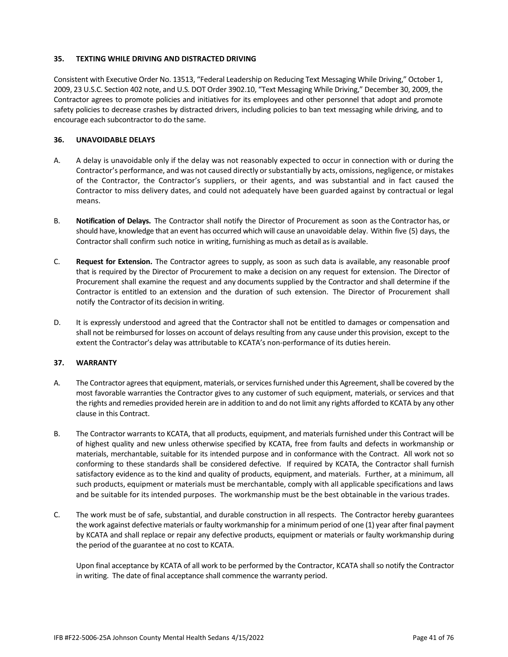#### **35. TEXTING WHILE DRIVING AND DISTRACTED DRIVING**

Consistent with Executive Order No. 13513, "Federal Leadership on Reducing Text Messaging While Driving," October 1, 2009, 23 U.S.C. Section 402 note, and U.S. DOT Order 3902.10, "Text Messaging While Driving," December 30, 2009, the Contractor agrees to promote policies and initiatives for its employees and other personnel that adopt and promote safety policies to decrease crashes by distracted drivers, including policies to ban text messaging while driving, and to encourage each subcontractor to do the same.

#### **36. UNAVOIDABLE DELAYS**

- A. A delay is unavoidable only if the delay was not reasonably expected to occur in connection with or during the Contractor's performance, and was not caused directly or substantially by acts, omissions, negligence, or mistakes of the Contractor, the Contractor's suppliers, or their agents, and was substantial and in fact caused the Contractor to miss delivery dates, and could not adequately have been guarded against by contractual or legal means.
- B. **Notification of Delays.** The Contractor shall notify the Director of Procurement as soon as the Contractor has, or should have, knowledge that an event has occurred which will cause an unavoidable delay. Within five (5) days, the Contractor shall confirm such notice in writing, furnishing as much as detail as is available.
- C. **Request for Extension.** The Contractor agrees to supply, as soon as such data is available, any reasonable proof that is required by the Director of Procurement to make a decision on any request for extension. The Director of Procurement shall examine the request and any documents supplied by the Contractor and shall determine if the Contractor is entitled to an extension and the duration of such extension. The Director of Procurement shall notify the Contractor of its decision in writing.
- D. It is expressly understood and agreed that the Contractor shall not be entitled to damages or compensation and shall not be reimbursed for losses on account of delays resulting from any cause underthis provision, except to the extent the Contractor's delay was attributable to KCATA's non-performance of its duties herein.

#### **37. WARRANTY**

- A. The Contractor agrees that equipment, materials, or services furnished under this Agreement, shall be covered by the most favorable warranties the Contractor gives to any customer of such equipment, materials, or services and that the rights and remedies provided herein are in addition to and do not limit any rights afforded to KCATA by any other clause in this Contract.
- B. The Contractor warrants to KCATA, that all products, equipment, and materials furnished under this Contract will be of highest quality and new unless otherwise specified by KCATA, free from faults and defects in workmanship or materials, merchantable, suitable for its intended purpose and in conformance with the Contract. All work not so conforming to these standards shall be considered defective. If required by KCATA, the Contractor shall furnish satisfactory evidence as to the kind and quality of products, equipment, and materials. Further, at a minimum, all such products, equipment or materials must be merchantable, comply with all applicable specifications and laws and be suitable for its intended purposes. The workmanship must be the best obtainable in the various trades.
- C. The work must be of safe, substantial, and durable construction in all respects. The Contractor hereby guarantees the work against defective materials or faulty workmanship for a minimum period of one (1) year after final payment by KCATA and shall replace or repair any defective products, equipment or materials or faulty workmanship during the period of the guarantee at no cost to KCATA.

Upon final acceptance by KCATA of all work to be performed by the Contractor, KCATA shall so notify the Contractor in writing. The date of final acceptance shall commence the warranty period.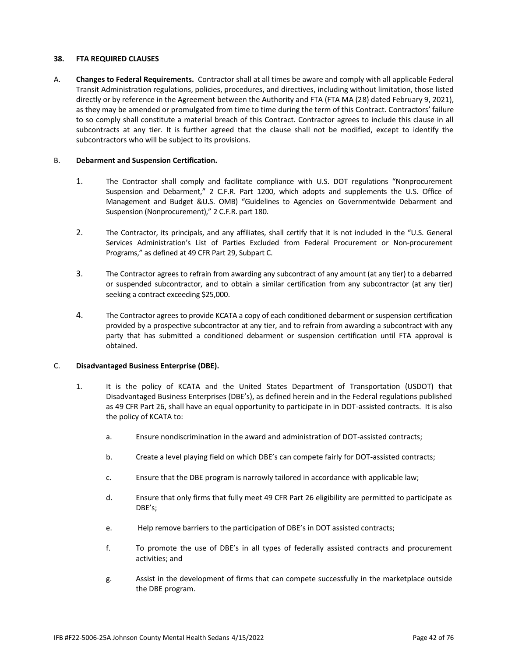#### **38. FTA REQUIRED CLAUSES**

A. **Changes to Federal Requirements.** Contractor shall at all times be aware and comply with all applicable Federal Transit Administration regulations, policies, procedures, and directives, including without limitation, those listed directly or by reference in the Agreement between the Authority and FTA (FTA MA (28) dated February 9, 2021), as they may be amended or promulgated from time to time during the term of this Contract. Contractors' failure to so comply shall constitute a material breach of this Contract. Contractor agrees to include this clause in all subcontracts at any tier. It is further agreed that the clause shall not be modified, except to identify the subcontractors who will be subject to its provisions.

#### B. **Debarment and Suspension Certification.**

- 1. The Contractor shall comply and facilitate compliance with U.S. DOT regulations "Nonprocurement Suspension and Debarment," 2 C.F.R. Part 1200, which adopts and supplements the U.S. Office of Management and Budget &U.S. OMB) "Guidelines to Agencies on Governmentwide Debarment and Suspension (Nonprocurement)," 2 C.F.R. part 180.
- 2. The Contractor, its principals, and any affiliates, shall certify that it is not included in the "U.S. General Services Administration's List of Parties Excluded from Federal Procurement or Non-procurement Programs," as defined at 49 CFR Part 29, Subpart C.
- 3. The Contractor agrees to refrain from awarding any subcontract of any amount (at any tier) to a debarred or suspended subcontractor, and to obtain a similar certification from any subcontractor (at any tier) seeking a contract exceeding \$25,000.
- 4. The Contractor agrees to provide KCATA a copy of each conditioned debarment or suspension certification provided by a prospective subcontractor at any tier, and to refrain from awarding a subcontract with any party that has submitted a conditioned debarment or suspension certification until FTA approval is obtained.

## C. **Disadvantaged Business Enterprise (DBE).**

- 1. It is the policy of KCATA and the United States Department of Transportation (USDOT) that Disadvantaged Business Enterprises (DBE's), as defined herein and in the Federal regulations published as 49 CFR Part 26, shall have an equal opportunity to participate in in DOT-assisted contracts. It is also the policy of KCATA to:
	- a. Ensure nondiscrimination in the award and administration of DOT-assisted contracts;
	- b. Create a level playing field on which DBE's can compete fairly for DOT-assisted contracts;
	- c. Ensure that the DBE program is narrowly tailored in accordance with applicable law;
	- d. Ensure that only firms that fully meet 49 CFR Part 26 eligibility are permitted to participate as DBE's;
	- e. Help remove barriers to the participation of DBE's in DOT assisted contracts;
	- f. To promote the use of DBE's in all types of federally assisted contracts and procurement activities; and
	- g. Assist in the development of firms that can compete successfully in the marketplace outside the DBE program.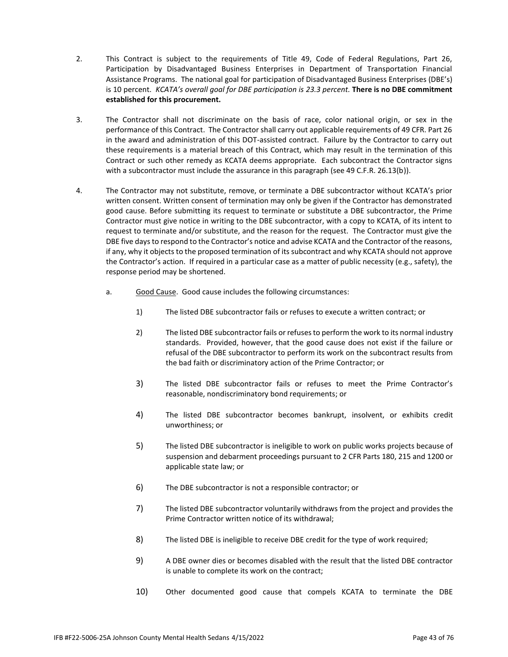- 2. This Contract is subject to the requirements of Title 49, Code of Federal Regulations, Part 26, Participation by Disadvantaged Business Enterprises in Department of Transportation Financial Assistance Programs. The national goal for participation of Disadvantaged Business Enterprises (DBE's) is 10 percent. *KCATA's overall goal for DBE participation is 23.3 percent.* **There is no DBE commitment established for this procurement.**
- 3. The Contractor shall not discriminate on the basis of race, color national origin, or sex in the performance of this Contract. The Contractor shall carry out applicable requirements of 49 CFR. Part 26 in the award and administration of this DOT-assisted contract. Failure by the Contractor to carry out these requirements is a material breach of this Contract, which may result in the termination of this Contract or such other remedy as KCATA deems appropriate. Each subcontract the Contractor signs with a subcontractor must include the assurance in this paragraph (see 49 C.F.R. 26.13(b)).
- 4. The Contractor may not substitute, remove, or terminate a DBE subcontractor without KCATA's prior written consent. Written consent of termination may only be given if the Contractor has demonstrated good cause. Before submitting its request to terminate or substitute a DBE subcontractor, the Prime Contractor must give notice in writing to the DBE subcontractor, with a copy to KCATA, of its intent to request to terminate and/or substitute, and the reason for the request. The Contractor must give the DBE five days to respond to the Contractor's notice and advise KCATA and the Contractor of the reasons, if any, why it objects to the proposed termination of its subcontract and why KCATA should not approve the Contractor's action. If required in a particular case as a matter of public necessity (e.g., safety), the response period may be shortened.
	- a. Good Cause. Good cause includes the following circumstances:
		- 1) The listed DBE subcontractor fails or refuses to execute a written contract; or
		- 2) The listed DBE subcontractor fails or refuses to perform the work to its normal industry standards. Provided, however, that the good cause does not exist if the failure or refusal of the DBE subcontractor to perform its work on the subcontract results from the bad faith or discriminatory action of the Prime Contractor; or
		- 3) The listed DBE subcontractor fails or refuses to meet the Prime Contractor's reasonable, nondiscriminatory bond requirements; or
		- 4) The listed DBE subcontractor becomes bankrupt, insolvent, or exhibits credit unworthiness; or
		- 5) The listed DBE subcontractor is ineligible to work on public works projects because of suspension and debarment proceedings pursuant to 2 CFR Parts 180, 215 and 1200 or applicable state law; or
		- 6) The DBE subcontractor is not a responsible contractor; or
		- 7) The listed DBE subcontractor voluntarily withdraws from the project and provides the Prime Contractor written notice of its withdrawal;
		- 8) The listed DBE is ineligible to receive DBE credit for the type of work required;
		- 9) A DBE owner dies or becomes disabled with the result that the listed DBE contractor is unable to complete its work on the contract;
		- 10) Other documented good cause that compels KCATA to terminate the DBE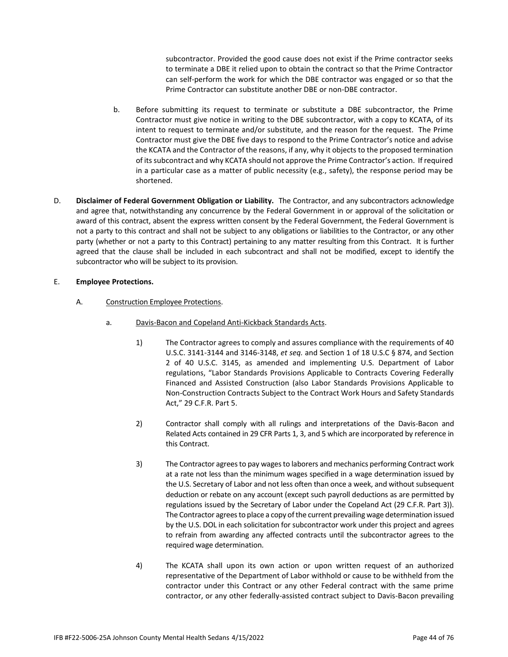subcontractor. Provided the good cause does not exist if the Prime contractor seeks to terminate a DBE it relied upon to obtain the contract so that the Prime Contractor can self-perform the work for which the DBE contractor was engaged or so that the Prime Contractor can substitute another DBE or non-DBE contractor.

- b. Before submitting its request to terminate or substitute a DBE subcontractor, the Prime Contractor must give notice in writing to the DBE subcontractor, with a copy to KCATA, of its intent to request to terminate and/or substitute, and the reason for the request. The Prime Contractor must give the DBE five days to respond to the Prime Contractor's notice and advise the KCATA and the Contractor of the reasons, if any, why it objects to the proposed termination of its subcontract and why KCATA should not approve the Prime Contractor's action. If required in a particular case as a matter of public necessity (e.g., safety), the response period may be shortened.
- D. **Disclaimer of Federal Government Obligation or Liability.** The Contractor, and any subcontractors acknowledge and agree that, notwithstanding any concurrence by the Federal Government in or approval of the solicitation or award of this contract, absent the express written consent by the Federal Government, the Federal Government is not a party to this contract and shall not be subject to any obligations or liabilities to the Contractor, or any other party (whether or not a party to this Contract) pertaining to any matter resulting from this Contract. It is further agreed that the clause shall be included in each subcontract and shall not be modified, except to identify the subcontractor who will be subject to its provision.

#### E. **Employee Protections.**

- A. Construction Employee Protections.
	- a. Davis-Bacon and Copeland Anti-Kickback Standards Acts.
		- 1) The Contractor agrees to comply and assures compliance with the requirements of 40 U.S.C. 3141-3144 and 3146-3148, *et seq.* and Section 1 of 18 U.S.C § 874, and Section 2 of 40 U.S.C. 3145, as amended and implementing U.S. Department of Labor regulations, "Labor Standards Provisions Applicable to Contracts Covering Federally Financed and Assisted Construction (also Labor Standards Provisions Applicable to Non-Construction Contracts Subject to the Contract Work Hours and Safety Standards Act," 29 C.F.R. Part 5.
		- 2) Contractor shall comply with all rulings and interpretations of the Davis-Bacon and Related Acts contained in 29 CFR Parts 1, 3, and 5 which are incorporated by reference in this Contract.
		- 3) The Contractor agrees to pay wages to laborers and mechanics performing Contract work at a rate not less than the minimum wages specified in a wage determination issued by the U.S. Secretary of Labor and not less often than once a week, and without subsequent deduction or rebate on any account (except such payroll deductions as are permitted by regulations issued by the Secretary of Labor under the Copeland Act (29 C.F.R. Part 3)). The Contractor agrees to place a copy of the current prevailing wage determination issued by the U.S. DOL in each solicitation for subcontractor work under this project and agrees to refrain from awarding any affected contracts until the subcontractor agrees to the required wage determination.
		- 4) The KCATA shall upon its own action or upon written request of an authorized representative of the Department of Labor withhold or cause to be withheld from the contractor under this Contract or any other Federal contract with the same prime contractor, or any other federally-assisted contract subject to Davis-Bacon prevailing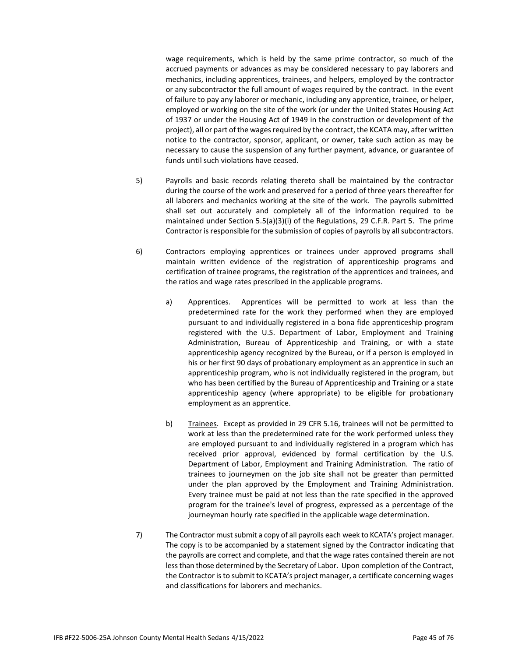wage requirements, which is held by the same prime contractor, so much of the accrued payments or advances as may be considered necessary to pay laborers and mechanics, including apprentices, trainees, and helpers, employed by the contractor or any subcontractor the full amount of wages required by the contract. In the event of failure to pay any laborer or mechanic, including any apprentice, trainee, or helper, employed or working on the site of the work (or under the United States Housing Act of 1937 or under the Housing Act of 1949 in the construction or development of the project), all or part of the wages required by the contract, the KCATA may, after written notice to the contractor, sponsor, applicant, or owner, take such action as may be necessary to cause the suspension of any further payment, advance, or guarantee of funds until such violations have ceased.

- 5) Payrolls and basic records relating thereto shall be maintained by the contractor during the course of the work and preserved for a period of three years thereafter for all laborers and mechanics working at the site of the work. The payrolls submitted shall set out accurately and completely all of the information required to be maintained under Section 5.5(a)(3)(i) of the Regulations, 29 C.F.R. Part 5. The prime Contractor is responsible for the submission of copies of payrolls by all subcontractors.
- 6) Contractors employing apprentices or trainees under approved programs shall maintain written evidence of the registration of apprenticeship programs and certification of trainee programs, the registration of the apprentices and trainees, and the ratios and wage rates prescribed in the applicable programs.
	- a) Apprentices. Apprentices will be permitted to work at less than the predetermined rate for the work they performed when they are employed pursuant to and individually registered in a bona fide apprenticeship program registered with the U.S. Department of Labor, Employment and Training Administration, Bureau of Apprenticeship and Training, or with a state apprenticeship agency recognized by the Bureau, or if a person is employed in his or her first 90 days of probationary employment as an apprentice in such an apprenticeship program, who is not individually registered in the program, but who has been certified by the Bureau of Apprenticeship and Training or a state apprenticeship agency (where appropriate) to be eligible for probationary employment as an apprentice.
	- b) Trainees. Except as provided in 29 CFR 5.16, trainees will not be permitted to work at less than the predetermined rate for the work performed unless they are employed pursuant to and individually registered in a program which has received prior approval, evidenced by formal certification by the U.S. Department of Labor, Employment and Training Administration. The ratio of trainees to journeymen on the job site shall not be greater than permitted under the plan approved by the Employment and Training Administration. Every trainee must be paid at not less than the rate specified in the approved program for the trainee's level of progress, expressed as a percentage of the journeyman hourly rate specified in the applicable wage determination.
- 7) The Contractor must submit a copy of all payrolls each week to KCATA's project manager. The copy is to be accompanied by a statement signed by the Contractor indicating that the payrolls are correct and complete, and that the wage rates contained therein are not less than those determined by the Secretary of Labor. Upon completion of the Contract, the Contractor is to submit to KCATA's project manager, a certificate concerning wages and classifications for laborers and mechanics.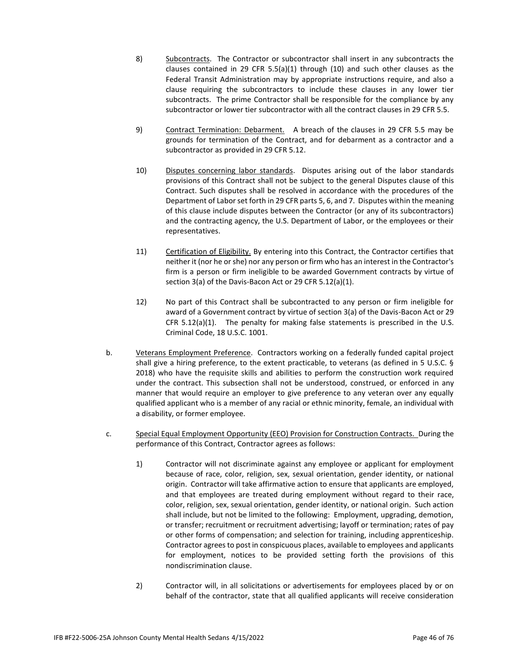- 8) Subcontracts. The Contractor or subcontractor shall insert in any subcontracts the clauses contained in 29 CFR 5.5(a)(1) through (10) and such other clauses as the Federal Transit Administration may by appropriate instructions require, and also a clause requiring the subcontractors to include these clauses in any lower tier subcontracts. The prime Contractor shall be responsible for the compliance by any subcontractor or lower tier subcontractor with all the contract clauses in 29 CFR 5.5.
- 9) Contract Termination: Debarment. A breach of the clauses in 29 CFR 5.5 may be grounds for termination of the Contract, and for debarment as a contractor and a subcontractor as provided in 29 CFR 5.12.
- 10) Disputes concerning labor standards. Disputes arising out of the labor standards provisions of this Contract shall not be subject to the general Disputes clause of this Contract. Such disputes shall be resolved in accordance with the procedures of the Department of Labor set forth in 29 CFR parts 5, 6, and 7. Disputes within the meaning of this clause include disputes between the Contractor (or any of its subcontractors) and the contracting agency, the U.S. Department of Labor, or the employees or their representatives.
- 11) Certification of Eligibility. By entering into this Contract, the Contractor certifies that neither it (nor he or she) nor any person or firm who has an interest in the Contractor's firm is a person or firm ineligible to be awarded Government contracts by virtue of section 3(a) of the Davis-Bacon Act or 29 CFR 5.12(a)(1).
- 12) No part of this Contract shall be subcontracted to any person or firm ineligible for award of a Government contract by virtue of section 3(a) of the Davis-Bacon Act or 29 CFR  $5.12(a)(1)$ . The penalty for making false statements is prescribed in the U.S. Criminal Code, 18 U.S.C. 1001.
- b. Veterans Employment Preference. Contractors working on a federally funded capital project shall give a hiring preference, to the extent practicable, to veterans (as defined in 5 U.S.C. § 2018) who have the requisite skills and abilities to perform the construction work required under the contract. This subsection shall not be understood, construed, or enforced in any manner that would require an employer to give preference to any veteran over any equally qualified applicant who is a member of any racial or ethnic minority, female, an individual with a disability, or former employee.
- c. Special Equal Employment Opportunity (EEO) Provision for Construction Contracts. During the performance of this Contract, Contractor agrees as follows:
	- 1) Contractor will not discriminate against any employee or applicant for employment because of race, color, religion, sex, sexual orientation, gender identity, or national origin. Contractor will take affirmative action to ensure that applicants are employed, and that employees are treated during employment without regard to their race, color, religion, sex, sexual orientation, gender identity, or national origin. Such action shall include, but not be limited to the following: Employment, upgrading, demotion, or transfer; recruitment or recruitment advertising; layoff or termination; rates of pay or other forms of compensation; and selection for training, including apprenticeship. Contractor agrees to post in conspicuous places, available to employees and applicants for employment, notices to be provided setting forth the provisions of this nondiscrimination clause.
	- 2) Contractor will, in all solicitations or advertisements for employees placed by or on behalf of the contractor, state that all qualified applicants will receive consideration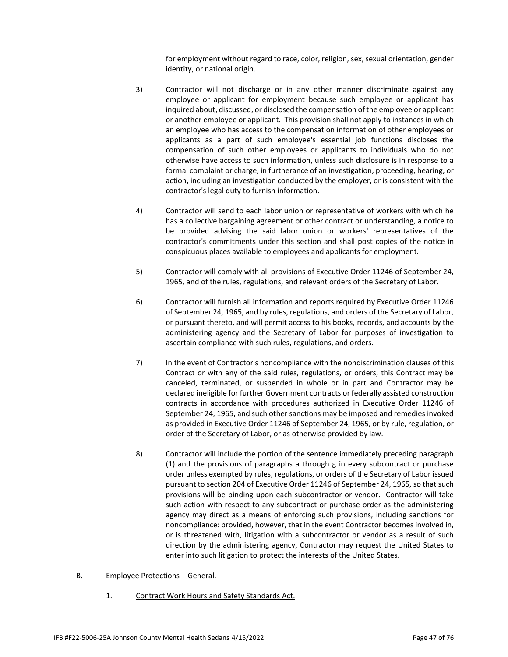for employment without regard to race, color, religion, sex, sexual orientation, gender identity, or national origin.

- 3) Contractor will not discharge or in any other manner discriminate against any employee or applicant for employment because such employee or applicant has inquired about, discussed, or disclosed the compensation of the employee or applicant or another employee or applicant. This provision shall not apply to instances in which an employee who has access to the compensation information of other employees or applicants as a part of such employee's essential job functions discloses the compensation of such other employees or applicants to individuals who do not otherwise have access to such information, unless such disclosure is in response to a formal complaint or charge, in furtherance of an investigation, proceeding, hearing, or action, including an investigation conducted by the employer, or is consistent with the contractor's legal duty to furnish information.
- 4) Contractor will send to each labor union or representative of workers with which he has a collective bargaining agreement or other contract or understanding, a notice to be provided advising the said labor union or workers' representatives of the contractor's commitments under this section and shall post copies of the notice in conspicuous places available to employees and applicants for employment.
- 5) Contractor will comply with all provisions of Executive Order 11246 of September 24, 1965, and of the rules, regulations, and relevant orders of the Secretary of Labor.
- 6) Contractor will furnish all information and reports required by Executive Order 11246 of September 24, 1965, and by rules, regulations, and orders of the Secretary of Labor, or pursuant thereto, and will permit access to his books, records, and accounts by the administering agency and the Secretary of Labor for purposes of investigation to ascertain compliance with such rules, regulations, and orders.
- 7) In the event of Contractor's noncompliance with the nondiscrimination clauses of this Contract or with any of the said rules, regulations, or orders, this Contract may be canceled, terminated, or suspended in whole or in part and Contractor may be declared ineligible for further Government contracts or federally assisted construction contracts in accordance with procedures authorized in Executive Order 11246 of September 24, 1965, and such other sanctions may be imposed and remedies invoked as provided in Executive Order 11246 of September 24, 1965, or by rule, regulation, or order of the Secretary of Labor, or as otherwise provided by law.
- 8) Contractor will include the portion of the sentence immediately preceding paragraph (1) and the provisions of paragraphs a through g in every subcontract or purchase order unless exempted by rules, regulations, or orders of the Secretary of Labor issued pursuant to section 204 of Executive Order 11246 of September 24, 1965, so that such provisions will be binding upon each subcontractor or vendor. Contractor will take such action with respect to any subcontract or purchase order as the administering agency may direct as a means of enforcing such provisions, including sanctions for noncompliance: provided, however, that in the event Contractor becomes involved in, or is threatened with, litigation with a subcontractor or vendor as a result of such direction by the administering agency, Contractor may request the United States to enter into such litigation to protect the interests of the United States.
- B. Employee Protections General.
	- 1. Contract Work Hours and Safety Standards Act.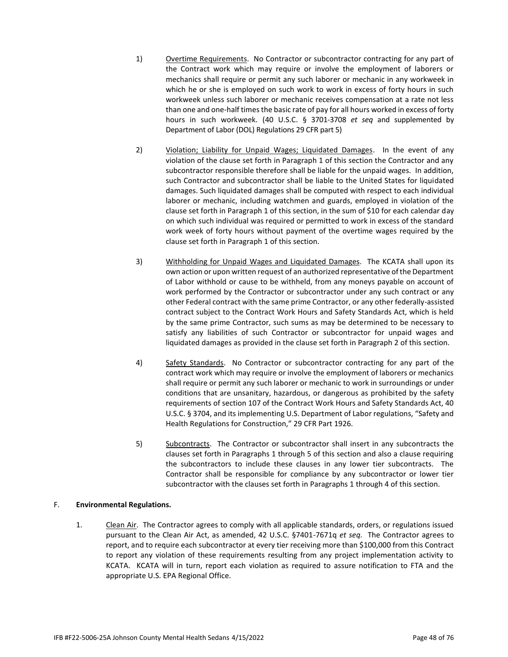- 1) Overtime Requirements. No Contractor or subcontractor contracting for any part of the Contract work which may require or involve the employment of laborers or mechanics shall require or permit any such laborer or mechanic in any workweek in which he or she is employed on such work to work in excess of forty hours in such workweek unless such laborer or mechanic receives compensation at a rate not less than one and one-half times the basic rate of pay for all hours worked in excess of forty hours in such workweek. (40 U.S.C. § 3701-3708 *et seq* and supplemented by Department of Labor (DOL) Regulations 29 CFR part 5)
- 2) Violation; Liability for Unpaid Wages; Liquidated Damages. In the event of any violation of the clause set forth in Paragraph 1 of this section the Contractor and any subcontractor responsible therefore shall be liable for the unpaid wages. In addition, such Contractor and subcontractor shall be liable to the United States for liquidated damages. Such liquidated damages shall be computed with respect to each individual laborer or mechanic, including watchmen and guards, employed in violation of the clause set forth in Paragraph 1 of this section, in the sum of \$10 for each calendar day on which such individual was required or permitted to work in excess of the standard work week of forty hours without payment of the overtime wages required by the clause set forth in Paragraph 1 of this section.
- 3) Withholding for Unpaid Wages and Liquidated Damages. The KCATA shall upon its own action or upon written request of an authorized representative of the Department of Labor withhold or cause to be withheld, from any moneys payable on account of work performed by the Contractor or subcontractor under any such contract or any other Federal contract with the same prime Contractor, or any other federally-assisted contract subject to the Contract Work Hours and Safety Standards Act, which is held by the same prime Contractor, such sums as may be determined to be necessary to satisfy any liabilities of such Contractor or subcontractor for unpaid wages and liquidated damages as provided in the clause set forth in Paragraph 2 of this section.
- 4) Safety Standards. No Contractor or subcontractor contracting for any part of the contract work which may require or involve the employment of laborers or mechanics shall require or permit any such laborer or mechanic to work in surroundings or under conditions that are unsanitary, hazardous, or dangerous as prohibited by the safety requirements of section 107 of the Contract Work Hours and Safety Standards Act, 40 U.S.C. § 3704, and its implementing U.S. Department of Labor regulations, "Safety and Health Regulations for Construction," 29 CFR Part 1926.
- 5) Subcontracts. The Contractor or subcontractor shall insert in any subcontracts the clauses set forth in Paragraphs 1 through 5 of this section and also a clause requiring the subcontractors to include these clauses in any lower tier subcontracts. The Contractor shall be responsible for compliance by any subcontractor or lower tier subcontractor with the clauses set forth in Paragraphs 1 through 4 of this section.

## F. **Environmental Regulations.**

1. Clean Air. The Contractor agrees to comply with all applicable standards, orders, or regulations issued pursuant to the Clean Air Act, as amended, 42 U.S.C. §7401-7671q *et seq.* The Contractor agrees to report, and to require each subcontractor at every tier receiving more than \$100,000 from this Contract to report any violation of these requirements resulting from any project implementation activity to KCATA. KCATA will in turn, report each violation as required to assure notification to FTA and the appropriate U.S. EPA Regional Office.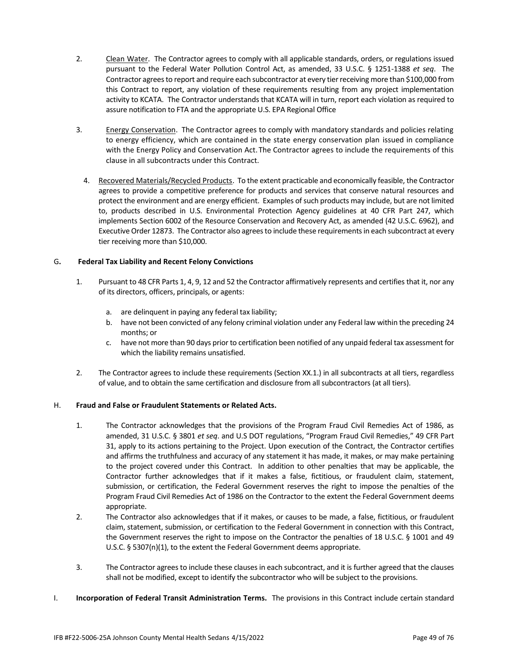- 2. Clean Water. The Contractor agrees to comply with all applicable standards, orders, or regulations issued pursuant to the Federal Water Pollution Control Act, as amended, 33 U.S.C. § 1251-1388 *et seq*. The Contractor agrees to report and require each subcontractor at every tier receiving more than \$100,000 from this Contract to report, any violation of these requirements resulting from any project implementation activity to KCATA. The Contractor understands that KCATA will in turn, report each violation as required to assure notification to FTA and the appropriate U.S. EPA Regional Office
- 3. Energy Conservation. The Contractor agrees to comply with mandatory standards and policies relating to energy efficiency, which are contained in the state energy conservation plan issued in compliance with the Energy Policy and Conservation Act. The Contractor agrees to include the requirements of this clause in all subcontracts under this Contract.
	- 4. Recovered Materials/Recycled Products. To the extent practicable and economically feasible, the Contractor agrees to provide a competitive preference for products and services that conserve natural resources and protect the environment and are energy efficient. Examples of such products may include, but are not limited to, products described in U.S. Environmental Protection Agency guidelines at 40 CFR Part 247, which implements Section 6002 of the Resource Conservation and Recovery Act, as amended (42 U.S.C. 6962), and Executive Order 12873. The Contractor also agrees to include these requirements in each subcontract at every tier receiving more than \$10,000.

## G**. Federal Tax Liability and Recent Felony Convictions**

- 1. Pursuant to 48 CFR Parts 1, 4, 9, 12 and 52 the Contractor affirmatively represents and certifies that it, nor any of its directors, officers, principals, or agents:
	- a. are delinquent in paying any federal tax liability;
	- b. have not been convicted of any felony criminal violation under any Federal law within the preceding 24 months; or
	- c. have not more than 90 days prior to certification been notified of any unpaid federal tax assessment for which the liability remains unsatisfied.
- 2. The Contractor agrees to include these requirements (Section XX.1.) in all subcontracts at all tiers, regardless of value, and to obtain the same certification and disclosure from all subcontractors (at all tiers).

## H. **Fraud and False or Fraudulent Statements or Related Acts.**

- 1. The Contractor acknowledges that the provisions of the Program Fraud Civil Remedies Act of 1986, as amended, 31 U.S.C. § 3801 *et seq*. and U.S DOT regulations, "Program Fraud Civil Remedies," 49 CFR Part 31, apply to its actions pertaining to the Project. Upon execution of the Contract, the Contractor certifies and affirms the truthfulness and accuracy of any statement it has made, it makes, or may make pertaining to the project covered under this Contract. In addition to other penalties that may be applicable, the Contractor further acknowledges that if it makes a false, fictitious, or fraudulent claim, statement, submission, or certification, the Federal Government reserves the right to impose the penalties of the Program Fraud Civil Remedies Act of 1986 on the Contractor to the extent the Federal Government deems appropriate.
- 2. The Contractor also acknowledges that if it makes, or causes to be made, a false, fictitious, or fraudulent claim, statement, submission, or certification to the Federal Government in connection with this Contract, the Government reserves the right to impose on the Contractor the penalties of 18 U.S.C. § 1001 and 49 U.S.C. § 5307(n)(1), to the extent the Federal Government deems appropriate.
- 3. The Contractor agrees to include these clauses in each subcontract, and it is further agreed that the clauses shall not be modified, except to identify the subcontractor who will be subject to the provisions.
- I. **Incorporation of Federal Transit Administration Terms.** The provisions in this Contract include certain standard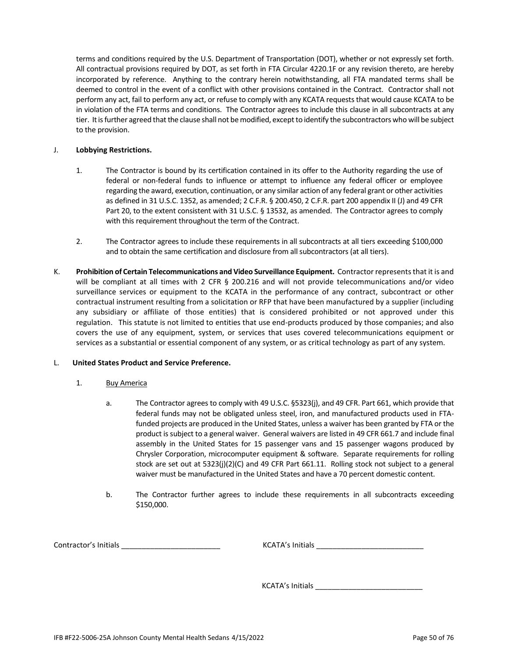terms and conditions required by the U.S. Department of Transportation (DOT), whether or not expressly set forth. All contractual provisions required by DOT, as set forth in FTA Circular 4220.1F or any revision thereto, are hereby incorporated by reference. Anything to the contrary herein notwithstanding, all FTA mandated terms shall be deemed to control in the event of a conflict with other provisions contained in the Contract. Contractor shall not perform any act, fail to perform any act, or refuse to comply with any KCATA requests that would cause KCATA to be in violation of the FTA terms and conditions. The Contractor agrees to include this clause in all subcontracts at any tier. It is further agreed that the clause shall not be modified, except to identify the subcontractors who will be subject to the provision.

## J. **Lobbying Restrictions.**

- 1. The Contractor is bound by its certification contained in its offer to the Authority regarding the use of federal or non-federal funds to influence or attempt to influence any federal officer or employee regarding the award, execution, continuation, or any similar action of any federal grant or other activities as defined in 31 U.S.C. 1352, as amended; 2 C.F.R. § 200.450, 2 C.F.R. part 200 appendix II (J) and 49 CFR Part 20, to the extent consistent with 31 U.S.C. § 13532, as amended. The Contractor agrees to comply with this requirement throughout the term of the Contract.
- 2. The Contractor agrees to include these requirements in all subcontracts at all tiers exceeding \$100,000 and to obtain the same certification and disclosure from all subcontractors (at all tiers).
- K. **Prohibition of Certain Telecommunications and Video Surveillance Equipment.** Contractor represents that it is and will be compliant at all times with 2 CFR § 200.216 and will not provide telecommunications and/or video surveillance services or equipment to the KCATA in the performance of any contract, subcontract or other contractual instrument resulting from a solicitation or RFP that have been manufactured by a supplier (including any subsidiary or affiliate of those entities) that is considered prohibited or not approved under this regulation. This statute is not limited to entities that use end-products produced by those companies; and also covers the use of any equipment, system, or services that uses covered telecommunications equipment or services as a substantial or essential component of any system, or as critical technology as part of any system.

#### L. **United States Product and Service Preference.**

- 1. Buy America
	- a. The Contractor agrees to comply with 49 U.S.C. §5323(j), and 49 CFR. Part 661, which provide that federal funds may not be obligated unless steel, iron, and manufactured products used in FTAfunded projects are produced in the United States, unless a waiver has been granted by FTA or the product is subject to a general waiver. General waivers are listed in 49 CFR 661.7 and include final assembly in the United States for 15 passenger vans and 15 passenger wagons produced by Chrysler Corporation, microcomputer equipment & software. Separate requirements for rolling stock are set out at 5323(j)(2)(C) and 49 CFR Part 661.11. Rolling stock not subject to a general waiver must be manufactured in the United States and have a 70 percent domestic content.
	- b. The Contractor further agrees to include these requirements in all subcontracts exceeding \$150,000.

Contractor's Initials \_\_\_\_\_\_\_\_\_\_\_\_\_\_\_\_\_\_\_\_\_\_\_\_ KCATA's Initials \_\_\_\_\_\_\_\_\_\_\_\_\_\_\_\_\_\_\_\_\_\_\_\_\_\_

KCATA's Initials \_\_\_\_\_\_\_\_\_\_\_\_\_\_\_\_\_\_\_\_\_\_\_\_\_\_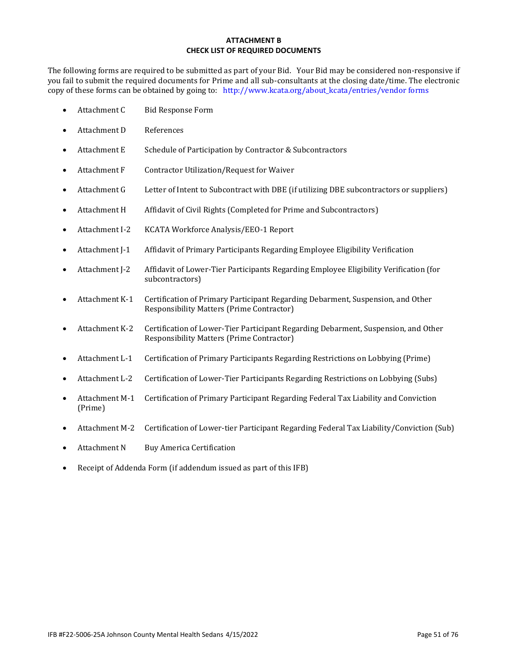## **ATTACHMENT B CHECK LIST OF REQUIRED DOCUMENTS**

The following forms are required to be submitted as part of your Bid. Your Bid may be considered non-responsive if you fail to submit the required documents for Prime and all sub-consultants at the closing date/time. The electronic copy of these forms can be obtained by going to: [http://www.kcata.org/about\\_kcata/entries/vendor forms](http://www.kcata.org/about_kcata/entries/vendor%20forms)

- Attachment C Bid Response Form
- Attachment D References
- Attachment E Schedule of Participation by Contractor & Subcontractors
- Attachment F Contractor Utilization/Request for Waiver
- Attachment G Letter of Intent to Subcontract with DBE (if utilizing DBE subcontractors or suppliers)
- Attachment H Affidavit of Civil Rights (Completed for Prime and Subcontractors)
- Attachment I-2 KCATA Workforce Analysis/EEO-1 Report
- Attachment J-1 Affidavit of Primary Participants Regarding Employee Eligibility Verification
- Attachment J-2 Affidavit of Lower-Tier Participants Regarding Employee Eligibility Verification (for subcontractors)
- Attachment K-1 Certification of Primary Participant Regarding Debarment, Suspension, and Other Responsibility Matters (Prime Contractor)
- Attachment K-2 Certification of Lower-Tier Participant Regarding Debarment, Suspension, and Other Responsibility Matters (Prime Contractor)
- Attachment L-1 Certification of Primary Participants Regarding Restrictions on Lobbying (Prime)
- Attachment L-2 Certification of Lower-Tier Participants Regarding Restrictions on Lobbying (Subs)
- Attachment M-1 Certification of Primary Participant Regarding Federal Tax Liability and Conviction (Prime)
- Attachment M-2 Certification of Lower-tier Participant Regarding Federal Tax Liability/Conviction (Sub)
- Attachment N Buy America Certification
- Receipt of Addenda Form (if addendum issued as part of this IFB)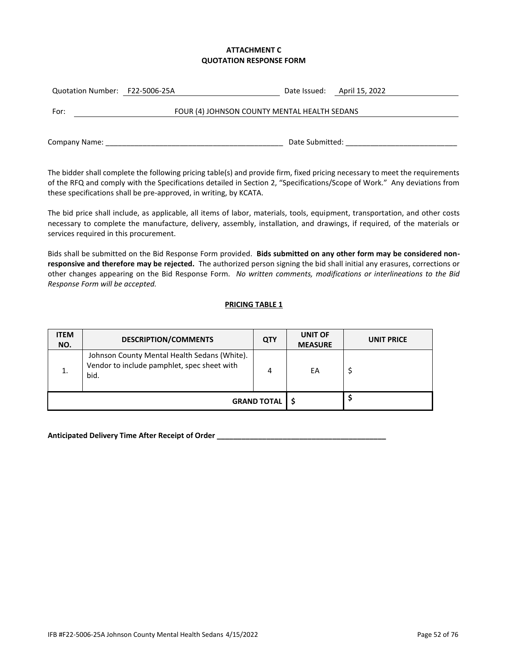## **ATTACHMENT C QUOTATION RESPONSE FORM**

| Quotation Number: F22-5006-25A |                                              |                 | Date Issued: April 15, 2022 |
|--------------------------------|----------------------------------------------|-----------------|-----------------------------|
| For:                           | FOUR (4) JOHNSON COUNTY MENTAL HEALTH SEDANS |                 |                             |
| Company Name:                  |                                              | Date Submitted: |                             |

The bidder shall complete the following pricing table(s) and provide firm, fixed pricing necessary to meet the requirements of the RFQ and comply with the Specifications detailed in Section 2, "Specifications/Scope of Work." Any deviations from these specifications shall be pre-approved, in writing, by KCATA.

The bid price shall include, as applicable, all items of labor, materials, tools, equipment, transportation, and other costs necessary to complete the manufacture, delivery, assembly, installation, and drawings, if required, of the materials or services required in this procurement.

Bids shall be submitted on the Bid Response Form provided. **Bids submitted on any other form may be considered nonresponsive and therefore may be rejected.** The authorized person signing the bid shall initial any erasures, corrections or other changes appearing on the Bid Response Form. *No written comments, modifications or interlineations to the Bid Response Form will be accepted.*

## **PRICING TABLE 1**

| <b>ITEM</b><br>NO. | <b>DESCRIPTION/COMMENTS</b>                                                                         | <b>QTY</b>         | <b>UNIT OF</b><br><b>MEASURE</b> | <b>UNIT PRICE</b> |
|--------------------|-----------------------------------------------------------------------------------------------------|--------------------|----------------------------------|-------------------|
| 1.                 | Johnson County Mental Health Sedans (White).<br>Vendor to include pamphlet, spec sheet with<br>bid. | 4                  | EA                               |                   |
|                    |                                                                                                     | <b>GRAND TOTAL</b> |                                  |                   |

**Anticipated Delivery Time After Receipt of Order \_\_\_\_\_\_\_\_\_\_\_\_\_\_\_\_\_\_\_\_\_\_\_\_\_\_\_\_\_\_\_\_\_\_\_\_\_\_\_\_\_**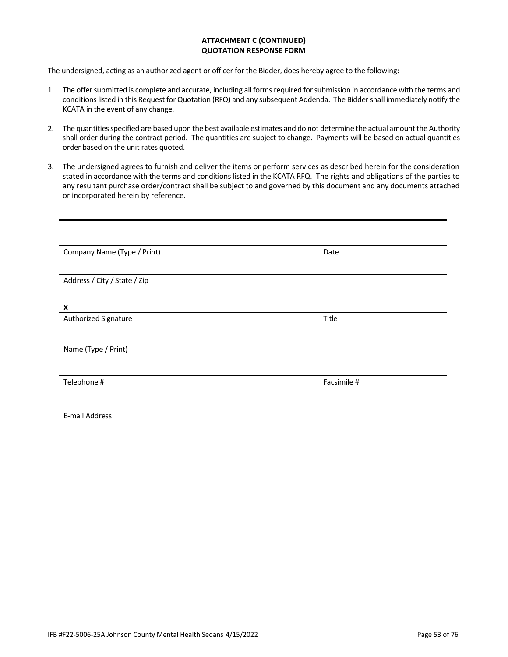#### **ATTACHMENT C (CONTINUED) QUOTATION RESPONSE FORM**

The undersigned, acting as an authorized agent or officer for the Bidder, does hereby agree to the following:

- 1. The offer submitted is complete and accurate, including all forms required for submission in accordance with the terms and conditions listed in this Request for Quotation (RFQ) and any subsequent Addenda. The Bidder shall immediately notify the KCATA in the event of any change.
- 2. The quantities specified are based upon the best available estimates and do not determine the actual amount the Authority shall order during the contract period. The quantities are subject to change. Payments will be based on actual quantities order based on the unit rates quoted.
- 3. The undersigned agrees to furnish and deliver the items or perform services as described herein for the consideration stated in accordance with the terms and conditions listed in the KCATA RFQ. The rights and obligations of the parties to any resultant purchase order/contract shall be subject to and governed by this document and any documents attached or incorporated herein by reference.

| Company Name (Type / Print)  | Date        |
|------------------------------|-------------|
|                              |             |
| Address / City / State / Zip |             |
|                              |             |
| X                            |             |
| Authorized Signature         | Title       |
|                              |             |
| Name (Type / Print)          |             |
|                              |             |
| Telephone #                  | Facsimile # |
|                              |             |
|                              |             |
| E-mail Address               |             |

IFB #F22-5006-25A Johnson County Mental Health Sedans 4/15/2022 **Page 53** of 76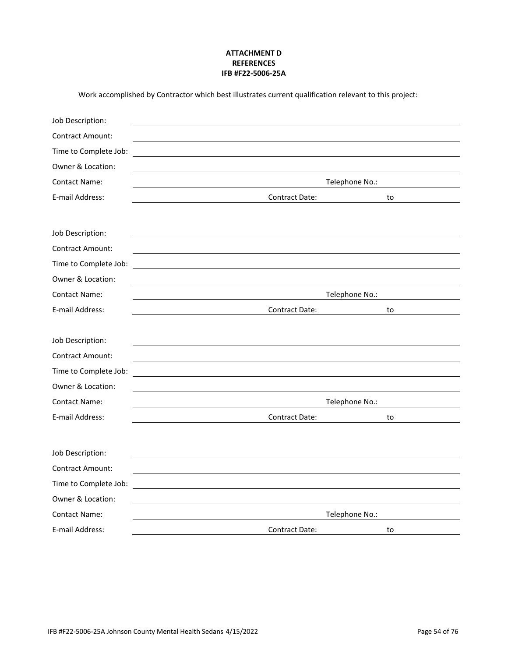## **ATTACHMENT D REFERENCES IFB #F22-5006-25A**

| Work accomplished by Contractor which best illustrates current qualification relevant to this project: |
|--------------------------------------------------------------------------------------------------------|
|--------------------------------------------------------------------------------------------------------|

| Job Description:        |                                                            |    |
|-------------------------|------------------------------------------------------------|----|
| <b>Contract Amount:</b> |                                                            |    |
| Time to Complete Job:   |                                                            |    |
| Owner & Location:       |                                                            |    |
| <b>Contact Name:</b>    | Telephone No.:                                             |    |
| E-mail Address:         | <b>Contract Date:</b>                                      | to |
|                         |                                                            |    |
| Job Description:        |                                                            |    |
| <b>Contract Amount:</b> |                                                            |    |
| Time to Complete Job:   |                                                            |    |
| Owner & Location:       |                                                            |    |
| <b>Contact Name:</b>    | Telephone No.:                                             |    |
| E-mail Address:         | <b>Contract Date:</b>                                      | to |
|                         |                                                            |    |
| Job Description:        |                                                            |    |
| <b>Contract Amount:</b> |                                                            |    |
| Time to Complete Job:   |                                                            |    |
| Owner & Location:       |                                                            |    |
| <b>Contact Name:</b>    | Telephone No.:                                             |    |
| E-mail Address:         | Contract Date:                                             | to |
|                         |                                                            |    |
| Job Description:        |                                                            |    |
| <b>Contract Amount:</b> |                                                            |    |
| Time to Complete Job:   | <u> 1989 - John Stein, Amerikaansk politiker (</u> † 1920) |    |
| Owner & Location:       |                                                            |    |
| <b>Contact Name:</b>    | Telephone No.:                                             |    |
| E-mail Address:         | <b>Contract Date:</b>                                      | to |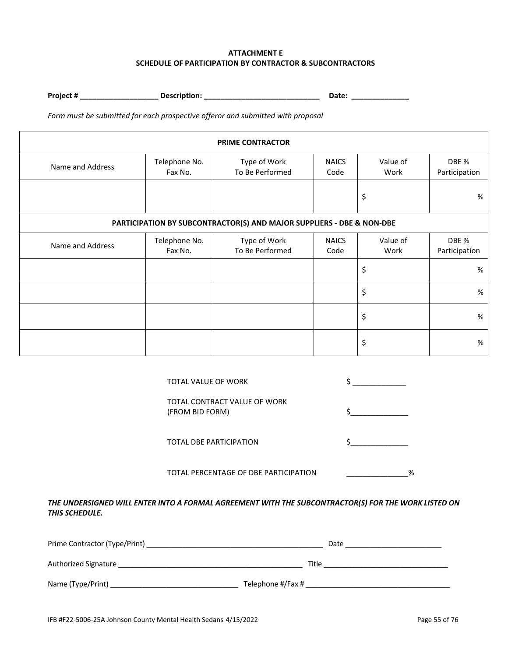## **ATTACHMENT E SCHEDULE OF PARTICIPATION BY CONTRACTOR & SUBCONTRACTORS**

**Project # \_\_\_\_\_\_\_\_\_\_\_\_\_\_\_\_\_\_\_ Description: \_\_\_\_\_\_\_\_\_\_\_\_\_\_\_\_\_\_\_\_\_\_\_\_\_\_\_\_ Date: \_\_\_\_\_\_\_\_\_\_\_\_\_\_** 

*Form must be submitted for each prospective offeror and submitted with proposal* 

| <b>PRIME CONTRACTOR</b>                                               |                          |                                 |                      |                        |                        |  |  |  |  |  |  |  |
|-----------------------------------------------------------------------|--------------------------|---------------------------------|----------------------|------------------------|------------------------|--|--|--|--|--|--|--|
| Name and Address                                                      | Telephone No.<br>Fax No. | Type of Work<br>To Be Performed | Value of<br>Work     | DBE %<br>Participation |                        |  |  |  |  |  |  |  |
|                                                                       |                          |                                 |                      | \$                     | %                      |  |  |  |  |  |  |  |
| PARTICIPATION BY SUBCONTRACTOR(S) AND MAJOR SUPPLIERS - DBE & NON-DBE |                          |                                 |                      |                        |                        |  |  |  |  |  |  |  |
| Name and Address                                                      | Telephone No.<br>Fax No. | Type of Work<br>To Be Performed | <b>NAICS</b><br>Code | Value of<br>Work       | DBE %<br>Participation |  |  |  |  |  |  |  |
|                                                                       |                          |                                 |                      | \$                     | $\%$                   |  |  |  |  |  |  |  |
|                                                                       |                          |                                 |                      | \$                     | %                      |  |  |  |  |  |  |  |
|                                                                       |                          |                                 |                      | \$                     | $\%$                   |  |  |  |  |  |  |  |
|                                                                       |                          |                                 |                      | \$                     | $\%$                   |  |  |  |  |  |  |  |

|                       | TOTAL VALUE OF WORK                                                                                 |       |                                                                                                                                                                                                                               |   |
|-----------------------|-----------------------------------------------------------------------------------------------------|-------|-------------------------------------------------------------------------------------------------------------------------------------------------------------------------------------------------------------------------------|---|
|                       | TOTAL CONTRACT VALUE OF WORK<br>(FROM BID FORM)                                                     |       |                                                                                                                                                                                                                               |   |
|                       | TOTAL DBE PARTICIPATION                                                                             |       |                                                                                                                                                                                                                               |   |
|                       | TOTAL PERCENTAGE OF DBE PARTICIPATION                                                               |       |                                                                                                                                                                                                                               | % |
| <b>THIS SCHEDULE.</b> | THE UNDERSIGNED WILL ENTER INTO A FORMAL AGREEMENT WITH THE SUBCONTRACTOR(S) FOR THE WORK LISTED ON |       |                                                                                                                                                                                                                               |   |
|                       |                                                                                                     |       | Date Part and the Contract of the Contract of the Contract of the Contract of the Contract of the Contract of the Contract of the Contract of the Contract of the Contract of the Contract of the Contract of the Contract of |   |
|                       | Authorized Signature Management and Authorized Signature                                            | Title | the control of the control of the control of the control of the control of the control of                                                                                                                                     |   |

Name (Type/Print) \_\_\_\_\_\_\_\_\_\_\_\_\_\_\_\_\_\_\_\_\_\_\_\_\_\_\_\_\_\_\_\_ Telephone #/Fax # \_\_\_\_\_\_\_\_\_\_\_\_\_\_\_\_\_\_\_\_\_\_\_\_\_\_\_\_\_\_\_\_\_\_\_\_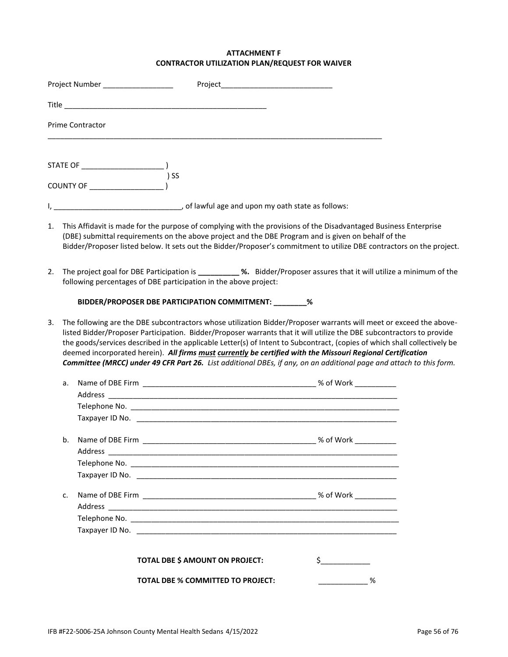# **ATTACHMENT F CONTRACTOR UTILIZATION PLAN/REQUEST FOR WAIVER**

|    |    | Project Number ____________________ |                                                                                                                                                                                                                                                                                                                                                                                                                                                                                                                                                                                                                |                       |  |
|----|----|-------------------------------------|----------------------------------------------------------------------------------------------------------------------------------------------------------------------------------------------------------------------------------------------------------------------------------------------------------------------------------------------------------------------------------------------------------------------------------------------------------------------------------------------------------------------------------------------------------------------------------------------------------------|-----------------------|--|
|    |    |                                     |                                                                                                                                                                                                                                                                                                                                                                                                                                                                                                                                                                                                                |                       |  |
|    |    | <b>Prime Contractor</b>             |                                                                                                                                                                                                                                                                                                                                                                                                                                                                                                                                                                                                                |                       |  |
|    |    |                                     |                                                                                                                                                                                                                                                                                                                                                                                                                                                                                                                                                                                                                |                       |  |
|    |    |                                     |                                                                                                                                                                                                                                                                                                                                                                                                                                                                                                                                                                                                                |                       |  |
|    |    |                                     | d lawful age and upon my oath state as follows:                                                                                                                                                                                                                                                                                                                                                                                                                                                                                                                                                                |                       |  |
|    |    |                                     | 1. This Affidavit is made for the purpose of complying with the provisions of the Disadvantaged Business Enterprise<br>(DBE) submittal requirements on the above project and the DBE Program and is given on behalf of the<br>Bidder/Proposer listed below. It sets out the Bidder/Proposer's commitment to utilize DBE contractors on the project.                                                                                                                                                                                                                                                            |                       |  |
| 2. |    |                                     | The project goal for DBE Participation is _________ %. Bidder/Proposer assures that it will utilize a minimum of the<br>following percentages of DBE participation in the above project:                                                                                                                                                                                                                                                                                                                                                                                                                       |                       |  |
|    |    |                                     | BIDDER/PROPOSER DBE PARTICIPATION COMMITMENT: ________ %                                                                                                                                                                                                                                                                                                                                                                                                                                                                                                                                                       |                       |  |
| 3. |    |                                     | The following are the DBE subcontractors whose utilization Bidder/Proposer warrants will meet or exceed the above-<br>listed Bidder/Proposer Participation. Bidder/Proposer warrants that it will utilize the DBE subcontractors to provide<br>the goods/services described in the applicable Letter(s) of Intent to Subcontract, (copies of which shall collectively be<br>deemed incorporated herein). All firms must currently be certified with the Missouri Regional Certification<br>Committee (MRCC) under 49 CFR Part 26. List additional DBEs, if any, on an additional page and attach to this form. |                       |  |
|    | a. |                                     |                                                                                                                                                                                                                                                                                                                                                                                                                                                                                                                                                                                                                |                       |  |
|    |    |                                     |                                                                                                                                                                                                                                                                                                                                                                                                                                                                                                                                                                                                                |                       |  |
|    |    |                                     |                                                                                                                                                                                                                                                                                                                                                                                                                                                                                                                                                                                                                |                       |  |
|    |    |                                     | Taxpayer ID No. 2008. 2009. 2010. 2010. 2010. 2010. 2010. 2010. 2010. 2010. 2010. 2010. 2010. 2010. 2010. 2010                                                                                                                                                                                                                                                                                                                                                                                                                                                                                                 |                       |  |
|    | b. | Address                             |                                                                                                                                                                                                                                                                                                                                                                                                                                                                                                                                                                                                                |                       |  |
|    |    |                                     |                                                                                                                                                                                                                                                                                                                                                                                                                                                                                                                                                                                                                |                       |  |
|    |    |                                     |                                                                                                                                                                                                                                                                                                                                                                                                                                                                                                                                                                                                                |                       |  |
|    | c. |                                     |                                                                                                                                                                                                                                                                                                                                                                                                                                                                                                                                                                                                                |                       |  |
|    |    |                                     |                                                                                                                                                                                                                                                                                                                                                                                                                                                                                                                                                                                                                |                       |  |
|    |    |                                     |                                                                                                                                                                                                                                                                                                                                                                                                                                                                                                                                                                                                                |                       |  |
|    |    |                                     | TOTAL DBE \$ AMOUNT ON PROJECT:                                                                                                                                                                                                                                                                                                                                                                                                                                                                                                                                                                                | $\sharp$ and $\sharp$ |  |
|    |    |                                     | <b>TOTAL DBE % COMMITTED TO PROJECT:</b>                                                                                                                                                                                                                                                                                                                                                                                                                                                                                                                                                                       | %                     |  |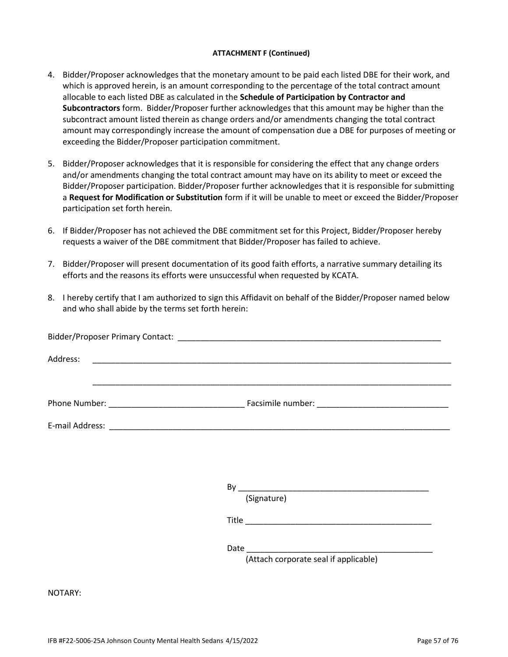#### **ATTACHMENT F (Continued)**

- 4. Bidder/Proposer acknowledges that the monetary amount to be paid each listed DBE for their work, and which is approved herein, is an amount corresponding to the percentage of the total contract amount allocable to each listed DBE as calculated in the **Schedule of Participation by Contractor and Subcontractors** form. Bidder/Proposer further acknowledges that this amount may be higher than the subcontract amount listed therein as change orders and/or amendments changing the total contract amount may correspondingly increase the amount of compensation due a DBE for purposes of meeting or exceeding the Bidder/Proposer participation commitment.
- 5. Bidder/Proposer acknowledges that it is responsible for considering the effect that any change orders and/or amendments changing the total contract amount may have on its ability to meet or exceed the Bidder/Proposer participation. Bidder/Proposer further acknowledges that it is responsible for submitting a **Request for Modification or Substitution** form if it will be unable to meet or exceed the Bidder/Proposer participation set forth herein.
- 6. If Bidder/Proposer has not achieved the DBE commitment set for this Project, Bidder/Proposer hereby requests a waiver of the DBE commitment that Bidder/Proposer has failed to achieve.
- 7. Bidder/Proposer will present documentation of its good faith efforts, a narrative summary detailing its efforts and the reasons its efforts were unsuccessful when requested by KCATA.
- 8. I hereby certify that I am authorized to sign this Affidavit on behalf of the Bidder/Proposer named below and who shall abide by the terms set forth herein:

|         | <u> 1990 - Johann Stoff, amerikan berkelajar perangan berkelajar perangan berkelajar perangan perangan berkelajar</u> |
|---------|-----------------------------------------------------------------------------------------------------------------------|
|         |                                                                                                                       |
|         |                                                                                                                       |
|         |                                                                                                                       |
|         | (Signature)                                                                                                           |
|         |                                                                                                                       |
|         |                                                                                                                       |
|         | (Attach corporate seal if applicable)                                                                                 |
| NOTARY: |                                                                                                                       |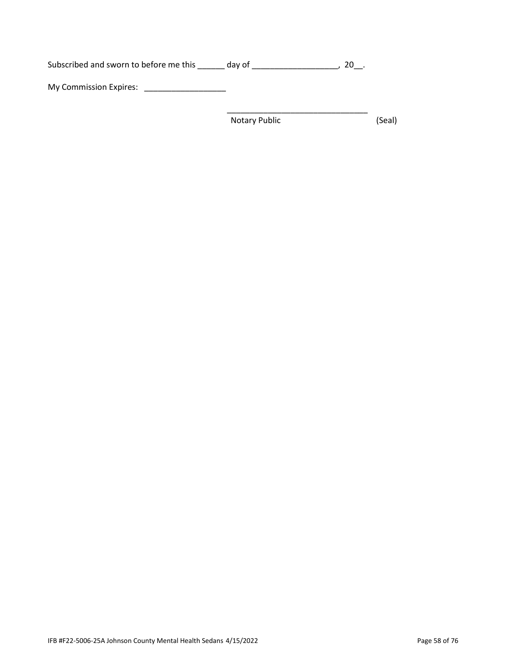Subscribed and sworn to before me this \_\_\_\_\_\_ day of \_\_\_\_\_\_\_\_\_\_\_\_\_\_\_\_\_\_\_\_, 20\_\_. My Commission Expires: \_\_\_\_\_\_\_\_\_\_\_\_\_\_\_\_\_\_

Notary Public (Seal)

\_\_\_\_\_\_\_\_\_\_\_\_\_\_\_\_\_\_\_\_\_\_\_\_\_\_\_\_\_\_\_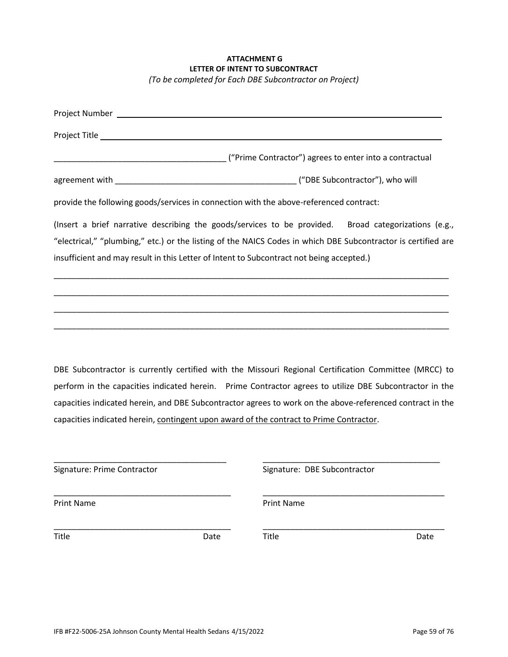# **ATTACHMENT G LETTER OF INTENT TO SUBCONTRACT** *(To be completed for Each DBE Subcontractor on Project)*

| provide the following goods/services in connection with the above-referenced contract:                                                                                                                                                                                                                            |
|-------------------------------------------------------------------------------------------------------------------------------------------------------------------------------------------------------------------------------------------------------------------------------------------------------------------|
| (Insert a brief narrative describing the goods/services to be provided. Broad categorizations (e.g.,<br>"electrical," "plumbing," etc.) or the listing of the NAICS Codes in which DBE Subcontractor is certified are<br>insufficient and may result in this Letter of Intent to Subcontract not being accepted.) |
| <u> 1990 - Jan James James James James James James James James James James James James James James James James</u>                                                                                                                                                                                                |
|                                                                                                                                                                                                                                                                                                                   |

DBE Subcontractor is currently certified with the Missouri Regional Certification Committee (MRCC) to perform in the capacities indicated herein. Prime Contractor agrees to utilize DBE Subcontractor in the capacities indicated herein, and DBE Subcontractor agrees to work on the above-referenced contract in the capacities indicated herein, contingent upon award of the contract to Prime Contractor.

| Signature: Prime Contractor |      | Signature: DBE Subcontractor |      |  |  |  |  |
|-----------------------------|------|------------------------------|------|--|--|--|--|
| <b>Print Name</b>           |      | <b>Print Name</b>            |      |  |  |  |  |
| <b>Title</b>                | Date | Title                        | Date |  |  |  |  |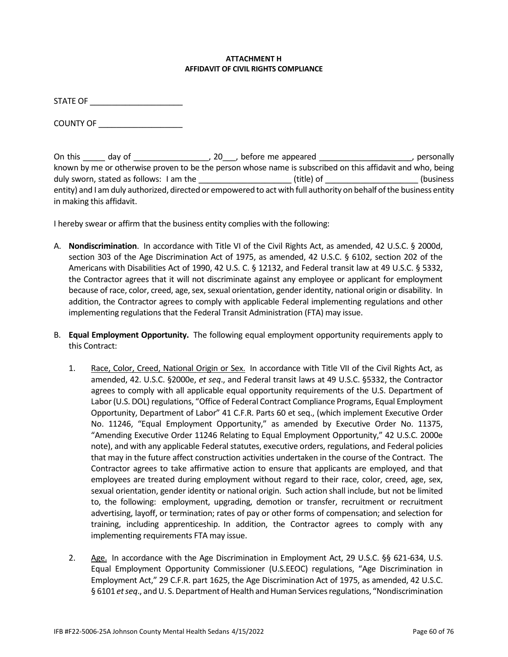## **ATTACHMENT H AFFIDAVIT OF CIVIL RIGHTS COMPLIANCE**

STATE OF \_\_\_\_\_\_\_\_\_\_\_\_\_\_\_\_\_\_\_\_\_

COUNTY OF \_\_\_\_\_\_\_\_\_\_\_\_\_\_\_\_\_\_\_

On this \_\_\_\_\_ day of \_\_\_\_\_\_\_\_\_\_\_\_\_\_\_\_\_\_, 20\_\_\_, before me appeared \_\_\_\_\_\_\_\_\_\_\_\_\_\_\_\_\_\_\_\_\_\_, personally known by me or otherwise proven to be the person whose name is subscribed on this affidavit and who, being duly sworn, stated as follows: I am the  $\qquad \qquad$  (title) of  $\qquad \qquad$  (business entity) and I am duly authorized, directed or empowered to act with full authority on behalf of the business entity in making this affidavit.

I hereby swear or affirm that the business entity complies with the following:

- A. **Nondiscrimination**. In accordance with Title VI of the Civil Rights Act, as amended, 42 U.S.C. § 2000d, section 303 of the Age Discrimination Act of 1975, as amended, 42 U.S.C. § 6102, section 202 of the Americans with Disabilities Act of 1990, 42 U.S. C. § 12132, and Federal transit law at 49 U.S.C. § 5332, the Contractor agrees that it will not discriminate against any employee or applicant for employment because of race, color, creed, age, sex, sexual orientation, gender identity, national origin or disability. In addition, the Contractor agrees to comply with applicable Federal implementing regulations and other implementing regulations that the Federal Transit Administration (FTA) may issue.
- B. **Equal Employment Opportunity.** The following equal employment opportunity requirements apply to this Contract:
	- 1. Race, Color, Creed, National Origin or Sex. In accordance with Title VII of the Civil Rights Act, as amended, 42. U.S.C. §2000e, *et seq*., and Federal transit laws at 49 U.S.C. §5332, the Contractor agrees to comply with all applicable equal opportunity requirements of the U.S. Department of Labor (U.S. DOL) regulations, "Office of Federal Contract Compliance Programs, Equal Employment Opportunity, Department of Labor" 41 C.F.R. Parts 60 et seq., (which implement Executive Order No. 11246, "Equal Employment Opportunity," as amended by Executive Order No. 11375, "Amending Executive Order 11246 Relating to Equal Employment Opportunity," 42 U.S.C. 2000e note), and with any applicable Federal statutes, executive orders, regulations, and Federal policies that may in the future affect construction activities undertaken in the course of the Contract. The Contractor agrees to take affirmative action to ensure that applicants are employed, and that employees are treated during employment without regard to their race, color, creed, age, sex, sexual orientation, gender identity or national origin. Such action shall include, but not be limited to, the following: employment, upgrading, demotion or transfer, recruitment or recruitment advertising, layoff, or termination; rates of pay or other forms of compensation; and selection for training, including apprenticeship. In addition, the Contractor agrees to comply with any implementing requirements FTA may issue.
	- 2. Age. In accordance with the Age Discrimination in Employment Act, 29 U.S.C. §§ 621-634, U.S. Equal Employment Opportunity Commissioner (U.S.EEOC) regulations, "Age Discrimination in Employment Act," 29 C.F.R. part 1625, the Age Discrimination Act of 1975, as amended, 42 U.S.C. § 6101 *et seq*., and U. S. Department of Health and Human Services regulations, "Nondiscrimination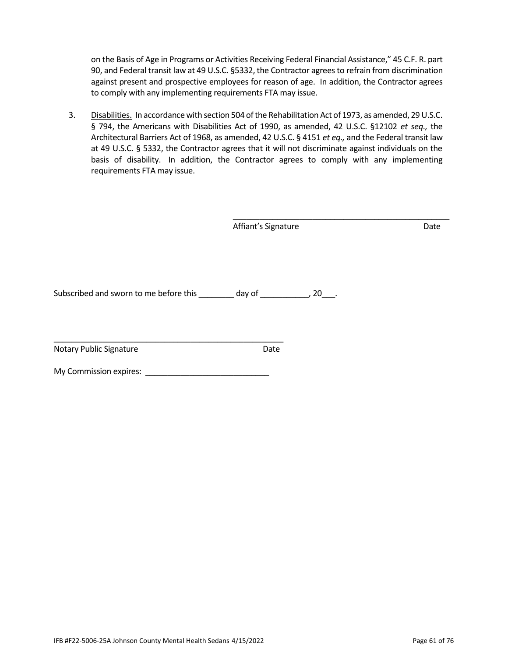on the Basis of Age in Programs or Activities Receiving Federal Financial Assistance," 45 C.F. R. part 90, and Federal transit law at 49 U.S.C. §5332, the Contractor agrees to refrain from discrimination against present and prospective employees for reason of age. In addition, the Contractor agrees to comply with any implementing requirements FTA may issue.

3. Disabilities. In accordance with section 504 of the Rehabilitation Act of 1973, as amended, 29 U.S.C. § 794, the Americans with Disabilities Act of 1990, as amended, 42 U.S.C. §12102 *et seq.,* the Architectural Barriers Act of 1968, as amended, 42 U.S.C. § 4151 *et eq.,* and the Federal transit law at 49 U.S.C. § 5332, the Contractor agrees that it will not discriminate against individuals on the basis of disability. In addition, the Contractor agrees to comply with any implementing requirements FTA may issue.

Affiant's Signature Date

\_\_\_\_\_\_\_\_\_\_\_\_\_\_\_\_\_\_\_\_\_\_\_\_\_\_\_\_\_\_\_\_\_\_\_\_\_\_\_\_\_\_\_\_\_\_\_\_\_

Subscribed and sworn to me before this \_\_\_\_\_\_\_\_ day of \_\_\_\_\_\_\_\_\_\_, 20\_\_\_.

Notary Public Signature **Date** Date

My Commission expires: \_\_\_\_\_\_\_\_\_\_\_\_\_\_\_\_\_\_\_\_\_\_\_\_\_\_\_\_

\_\_\_\_\_\_\_\_\_\_\_\_\_\_\_\_\_\_\_\_\_\_\_\_\_\_\_\_\_\_\_\_\_\_\_\_\_\_\_\_\_\_\_\_\_\_\_\_\_\_\_\_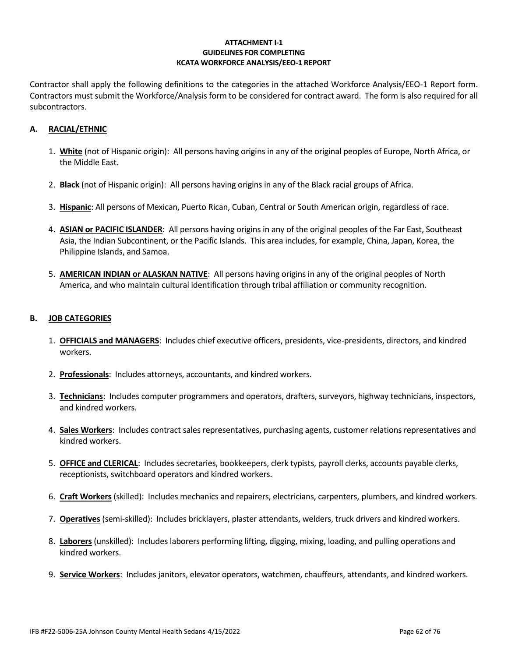## **ATTACHMENT I-1 GUIDELINES FOR COMPLETING KCATA WORKFORCE ANALYSIS/EEO-1 REPORT**

Contractor shall apply the following definitions to the categories in the attached Workforce Analysis/EEO-1 Report form. Contractors must submit the Workforce/Analysis form to be considered for contract award. The form is also required for all subcontractors.

# **A. RACIAL/ETHNIC**

- 1. **White** (not of Hispanic origin): All persons having origins in any of the original peoples of Europe, North Africa, or the Middle East.
- 2. **Black** (not of Hispanic origin): All persons having origins in any of the Black racial groups of Africa.
- 3. **Hispanic**: All persons of Mexican, Puerto Rican, Cuban, Central or South American origin, regardless of race.
- 4. **ASIAN or PACIFIC ISLANDER**: All persons having origins in any of the original peoples of the Far East, Southeast Asia, the Indian Subcontinent, or the Pacific Islands. This area includes, for example, China, Japan, Korea, the Philippine Islands, and Samoa.
- 5. **AMERICAN INDIAN or ALASKAN NATIVE**: All persons having origins in any of the original peoples of North America, and who maintain cultural identification through tribal affiliation or community recognition.

# **B. JOB CATEGORIES**

- 1. **OFFICIALS and MANAGERS**: Includes chief executive officers, presidents, vice-presidents, directors, and kindred workers.
- 2. **Professionals**: Includes attorneys, accountants, and kindred workers.
- 3. **Technicians**: Includes computer programmers and operators, drafters, surveyors, highway technicians, inspectors, and kindred workers.
- 4. **Sales Workers**: Includes contract sales representatives, purchasing agents, customer relations representatives and kindred workers.
- 5. **OFFICE and CLERICAL**: Includes secretaries, bookkeepers, clerk typists, payroll clerks, accounts payable clerks, receptionists, switchboard operators and kindred workers.
- 6. **Craft Workers** (skilled): Includes mechanics and repairers, electricians, carpenters, plumbers, and kindred workers.
- 7. **Operatives** (semi-skilled): Includes bricklayers, plaster attendants, welders, truck drivers and kindred workers.
- 8. **Laborers** (unskilled): Includes laborers performing lifting, digging, mixing, loading, and pulling operations and kindred workers.
- 9. **Service Workers**: Includes janitors, elevator operators, watchmen, chauffeurs, attendants, and kindred workers.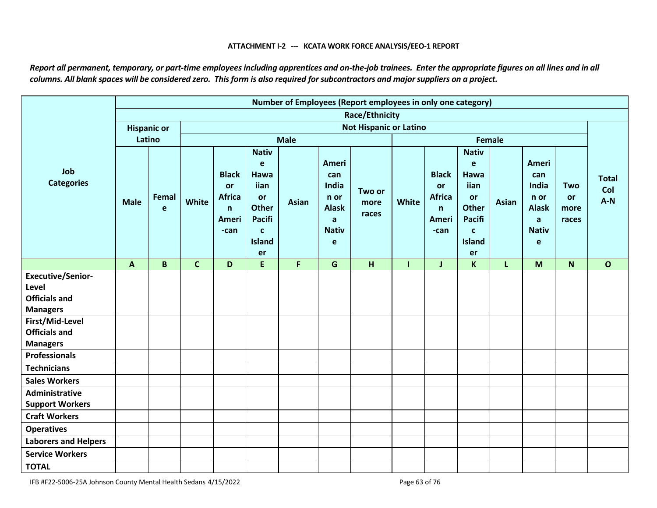#### **ATTACHMENT I-2 --- KCATA WORK FORCE ANALYSIS/EEO-1 REPORT**

*Report all permanent, temporary, or part-time employees including apprentices and on-the-job trainees. Enter the appropriate figures on all lines and in all columns. All blank spaces will be considered zero. This form is also required for subcontractors and major suppliers on a project.* 

|                                                                              | Number of Employees (Report employees in only one category) |                    |              |                                                                             |                                                                                                                       |              |                                                                         |                         |              |                                                                      |                                                                                                                 |               |                                                                         |                                          |                              |
|------------------------------------------------------------------------------|-------------------------------------------------------------|--------------------|--------------|-----------------------------------------------------------------------------|-----------------------------------------------------------------------------------------------------------------------|--------------|-------------------------------------------------------------------------|-------------------------|--------------|----------------------------------------------------------------------|-----------------------------------------------------------------------------------------------------------------|---------------|-------------------------------------------------------------------------|------------------------------------------|------------------------------|
|                                                                              |                                                             |                    |              |                                                                             |                                                                                                                       |              |                                                                         | <b>Race/Ethnicity</b>   |              |                                                                      |                                                                                                                 |               |                                                                         |                                          |                              |
|                                                                              |                                                             | <b>Hispanic or</b> |              | <b>Not Hispanic or Latino</b>                                               |                                                                                                                       |              |                                                                         |                         |              |                                                                      |                                                                                                                 |               |                                                                         |                                          |                              |
|                                                                              |                                                             | Latino             |              |                                                                             |                                                                                                                       | <b>Male</b>  |                                                                         |                         |              |                                                                      |                                                                                                                 | <b>Female</b> |                                                                         |                                          |                              |
| Job<br><b>Categories</b>                                                     | <b>Male</b>                                                 | Femal<br>e         | White        | <b>Black</b><br><b>or</b><br><b>Africa</b><br>$\mathsf{n}$<br>Ameri<br>-can | <b>Nativ</b><br>e<br><b>Hawa</b><br>iian<br>or<br><b>Other</b><br><b>Pacifi</b><br>$\mathbf c$<br><b>Island</b><br>er | <b>Asian</b> | Ameri<br>can<br>India<br>n or<br><b>Alask</b><br>a<br><b>Nativ</b><br>e | Two or<br>more<br>races | White        | <b>Black</b><br>or<br><b>Africa</b><br>$\mathsf{n}$<br>Ameri<br>-can | <b>Nativ</b><br>e<br>Hawa<br>iian<br>or<br><b>Other</b><br><b>Pacifi</b><br>$\mathbf{C}$<br><b>Island</b><br>er | <b>Asian</b>  | Ameri<br>can<br>India<br>n or<br><b>Alask</b><br>a<br><b>Nativ</b><br>e | <b>Two</b><br><b>or</b><br>more<br>races | <b>Total</b><br>Col<br>$A-N$ |
|                                                                              | $\mathbf{A}$                                                | $\mathbf B$        | $\mathbf{C}$ | D                                                                           | $\mathsf E$                                                                                                           | F.           | G                                                                       | H                       | $\mathbf{I}$ | J                                                                    | $\mathsf{K}$                                                                                                    | L             | M                                                                       | $\mathsf{N}$                             | $\mathbf{o}$                 |
| <b>Executive/Senior-</b><br>Level<br><b>Officials and</b><br><b>Managers</b> |                                                             |                    |              |                                                                             |                                                                                                                       |              |                                                                         |                         |              |                                                                      |                                                                                                                 |               |                                                                         |                                          |                              |
| First/Mid-Level<br><b>Officials and</b><br><b>Managers</b>                   |                                                             |                    |              |                                                                             |                                                                                                                       |              |                                                                         |                         |              |                                                                      |                                                                                                                 |               |                                                                         |                                          |                              |
| <b>Professionals</b>                                                         |                                                             |                    |              |                                                                             |                                                                                                                       |              |                                                                         |                         |              |                                                                      |                                                                                                                 |               |                                                                         |                                          |                              |
| <b>Technicians</b>                                                           |                                                             |                    |              |                                                                             |                                                                                                                       |              |                                                                         |                         |              |                                                                      |                                                                                                                 |               |                                                                         |                                          |                              |
| <b>Sales Workers</b>                                                         |                                                             |                    |              |                                                                             |                                                                                                                       |              |                                                                         |                         |              |                                                                      |                                                                                                                 |               |                                                                         |                                          |                              |
| Administrative                                                               |                                                             |                    |              |                                                                             |                                                                                                                       |              |                                                                         |                         |              |                                                                      |                                                                                                                 |               |                                                                         |                                          |                              |
| <b>Support Workers</b>                                                       |                                                             |                    |              |                                                                             |                                                                                                                       |              |                                                                         |                         |              |                                                                      |                                                                                                                 |               |                                                                         |                                          |                              |
| <b>Craft Workers</b>                                                         |                                                             |                    |              |                                                                             |                                                                                                                       |              |                                                                         |                         |              |                                                                      |                                                                                                                 |               |                                                                         |                                          |                              |
| <b>Operatives</b>                                                            |                                                             |                    |              |                                                                             |                                                                                                                       |              |                                                                         |                         |              |                                                                      |                                                                                                                 |               |                                                                         |                                          |                              |
| <b>Laborers and Helpers</b>                                                  |                                                             |                    |              |                                                                             |                                                                                                                       |              |                                                                         |                         |              |                                                                      |                                                                                                                 |               |                                                                         |                                          |                              |
| <b>Service Workers</b>                                                       |                                                             |                    |              |                                                                             |                                                                                                                       |              |                                                                         |                         |              |                                                                      |                                                                                                                 |               |                                                                         |                                          |                              |
| <b>TOTAL</b>                                                                 |                                                             |                    |              |                                                                             |                                                                                                                       |              |                                                                         |                         |              |                                                                      |                                                                                                                 |               |                                                                         |                                          |                              |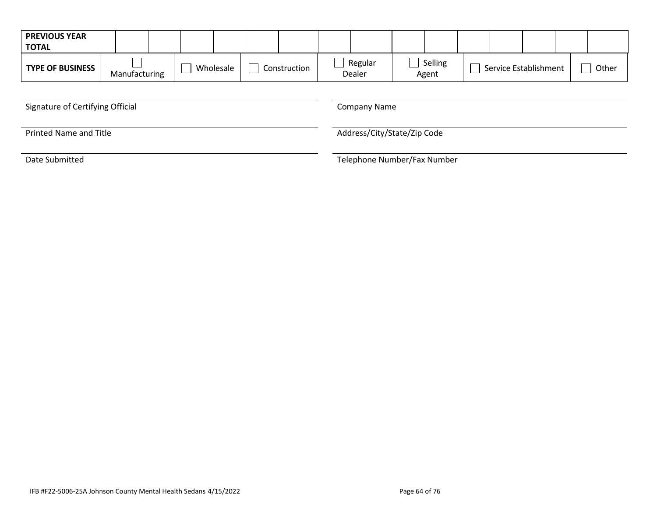| <b>PREVIOUS YEAR</b><br><b>TOTAL</b> |               |                           |  |                             |                  |                       |       |  |  |
|--------------------------------------|---------------|---------------------------|--|-----------------------------|------------------|-----------------------|-------|--|--|
| <b>TYPE OF BUSINESS</b>              | Manufacturing | Wholesale<br>Construction |  | Regular<br>Dealer           | Selling<br>Agent | Service Establishment | Other |  |  |
|                                      |               |                           |  |                             |                  |                       |       |  |  |
| Signature of Certifying Official     |               |                           |  | <b>Company Name</b>         |                  |                       |       |  |  |
| <b>Printed Name and Title</b>        |               |                           |  | Address/City/State/Zip Code |                  |                       |       |  |  |
| Date Submitted                       |               |                           |  | Telephone Number/Fax Number |                  |                       |       |  |  |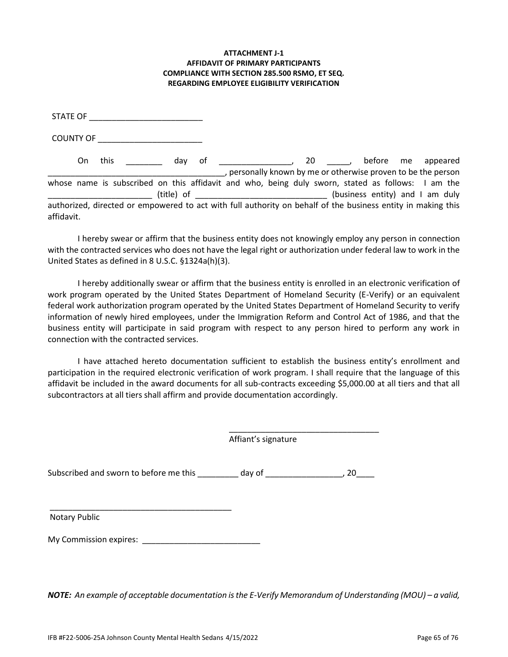## **ATTACHMENT J-1 AFFIDAVIT OF PRIMARY PARTICIPANTS COMPLIANCE WITH SECTION 285.500 RSMO, ET SEQ. REGARDING EMPLOYEE ELIGIBILITY VERIFICATION**

STATE OF \_\_\_\_\_\_\_\_\_\_\_\_\_\_\_\_\_\_\_\_\_\_\_\_\_

COUNTY OF \_\_\_\_\_\_\_\_\_\_\_\_\_\_\_\_\_\_\_\_\_\_\_

On this \_\_\_\_\_\_\_\_\_ day of \_\_\_\_\_\_\_\_\_\_\_\_\_\_\_\_\_, 20 \_\_\_\_\_\_, before me appeared \_\_\_\_\_\_\_\_\_\_\_\_\_\_\_\_\_\_\_\_\_\_\_\_\_\_\_\_\_\_\_\_\_\_\_\_\_\_\_, personally known by me or otherwise proven to be the person whose name is subscribed on this affidavit and who, being duly sworn, stated as follows: I am the \_\_\_\_\_\_\_\_\_\_\_\_\_\_\_\_\_\_\_\_\_\_\_ (title) of \_\_\_\_\_\_\_\_\_\_\_\_\_\_\_\_\_\_\_\_\_\_\_\_\_\_\_\_\_ (business entity) and I am duly authorized, directed or empowered to act with full authority on behalf of the business entity in making this affidavit.

I hereby swear or affirm that the business entity does not knowingly employ any person in connection with the contracted services who does not have the legal right or authorization under federal law to work in the United States as defined in 8 U.S.C. §1324a(h)(3).

I hereby additionally swear or affirm that the business entity is enrolled in an electronic verification of work program operated by the United States Department of Homeland Security (E-Verify) or an equivalent federal work authorization program operated by the United States Department of Homeland Security to verify information of newly hired employees, under the Immigration Reform and Control Act of 1986, and that the business entity will participate in said program with respect to any person hired to perform any work in connection with the contracted services.

I have attached hereto documentation sufficient to establish the business entity's enrollment and participation in the required electronic verification of work program. I shall require that the language of this affidavit be included in the award documents for all sub-contracts exceeding \$5,000.00 at all tiers and that all subcontractors at all tiers shall affirm and provide documentation accordingly.

> \_\_\_\_\_\_\_\_\_\_\_\_\_\_\_\_\_\_\_\_\_\_\_\_\_\_\_\_\_\_\_\_\_ Affiant's signature

Subscribed and sworn to before me this \_\_\_\_\_\_\_\_\_ day of \_\_\_\_\_\_\_\_\_\_\_\_\_\_\_\_\_, 20\_\_\_\_

Notary Public

My Commission expires: \_\_\_\_\_\_\_\_\_\_\_\_\_\_\_\_\_\_\_\_\_\_\_\_\_\_

\_\_\_\_\_\_\_\_\_\_\_\_\_\_\_\_\_\_\_\_\_\_\_\_\_\_\_\_\_\_\_\_\_\_\_\_\_\_\_\_

*NOTE: An example of acceptable documentation is the E-Verify Memorandum of Understanding (MOU) – a valid,*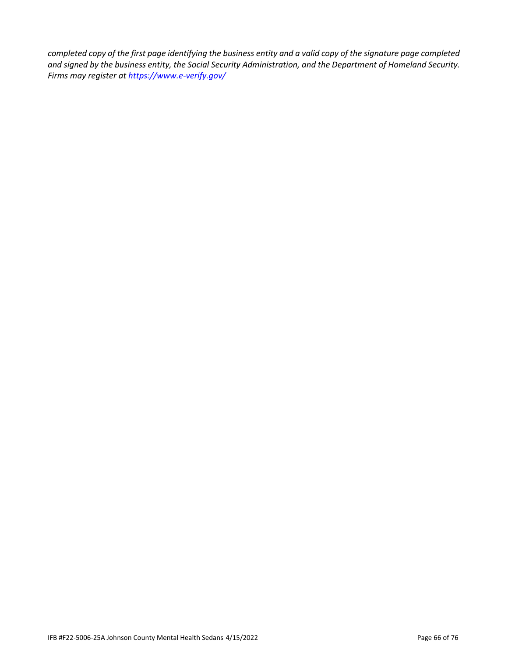*completed copy of the first page identifying the business entity and a valid copy of the signature page completed and signed by the business entity, the Social Security Administration, and the Department of Homeland Security. Firms may register a[t https://www.e-verify.gov/](https://www.e-verify.gov/)*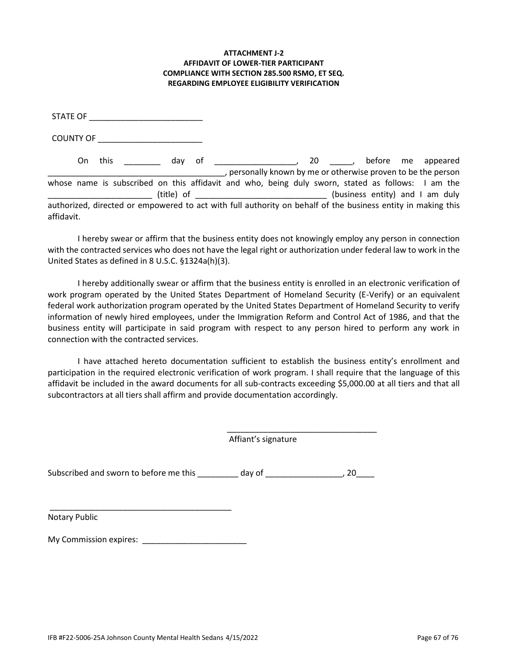## **ATTACHMENT J-2 AFFIDAVIT OF LOWER-TIER PARTICIPANT COMPLIANCE WITH SECTION 285.500 RSMO, ET SEQ. REGARDING EMPLOYEE ELIGIBILITY VERIFICATION**

STATE OF \_\_\_\_\_\_\_\_\_\_\_\_\_\_\_\_\_\_\_\_\_\_\_\_\_

COUNTY OF \_\_\_\_\_\_\_\_\_\_\_\_\_\_\_\_\_\_\_\_\_\_\_

On this \_\_\_\_\_\_\_\_\_ day of \_\_\_\_\_\_\_\_\_\_\_\_\_\_\_\_\_\_\_\_, 20 \_\_\_\_\_\_, before me appeared \_\_\_\_\_\_\_\_\_\_\_\_\_\_\_\_\_\_\_\_\_\_\_\_\_\_\_\_\_\_\_\_\_\_\_\_\_\_\_, personally known by me or otherwise proven to be the person whose name is subscribed on this affidavit and who, being duly sworn, stated as follows: I am the \_\_\_\_\_\_\_\_\_\_\_\_\_\_\_\_\_\_\_\_\_\_\_ (title) of \_\_\_\_\_\_\_\_\_\_\_\_\_\_\_\_\_\_\_\_\_\_\_\_\_\_\_\_\_ (business entity) and I am duly authorized, directed or empowered to act with full authority on behalf of the business entity in making this affidavit.

I hereby swear or affirm that the business entity does not knowingly employ any person in connection with the contracted services who does not have the legal right or authorization under federal law to work in the United States as defined in 8 U.S.C. §1324a(h)(3).

I hereby additionally swear or affirm that the business entity is enrolled in an electronic verification of work program operated by the United States Department of Homeland Security (E-Verify) or an equivalent federal work authorization program operated by the United States Department of Homeland Security to verify information of newly hired employees, under the Immigration Reform and Control Act of 1986, and that the business entity will participate in said program with respect to any person hired to perform any work in connection with the contracted services.

I have attached hereto documentation sufficient to establish the business entity's enrollment and participation in the required electronic verification of work program. I shall require that the language of this affidavit be included in the award documents for all sub-contracts exceeding \$5,000.00 at all tiers and that all subcontractors at all tiers shall affirm and provide documentation accordingly.

> \_\_\_\_\_\_\_\_\_\_\_\_\_\_\_\_\_\_\_\_\_\_\_\_\_\_\_\_\_\_\_\_\_ Affiant's signature

Subscribed and sworn to before me this \_\_\_\_\_\_\_\_\_ day of \_\_\_\_\_\_\_\_\_\_\_\_\_\_\_\_\_, 20\_\_\_\_

Notary Public

My Commission expires: \_\_\_\_\_\_\_\_\_\_\_\_\_\_\_\_\_\_\_\_\_\_\_

\_\_\_\_\_\_\_\_\_\_\_\_\_\_\_\_\_\_\_\_\_\_\_\_\_\_\_\_\_\_\_\_\_\_\_\_\_\_\_\_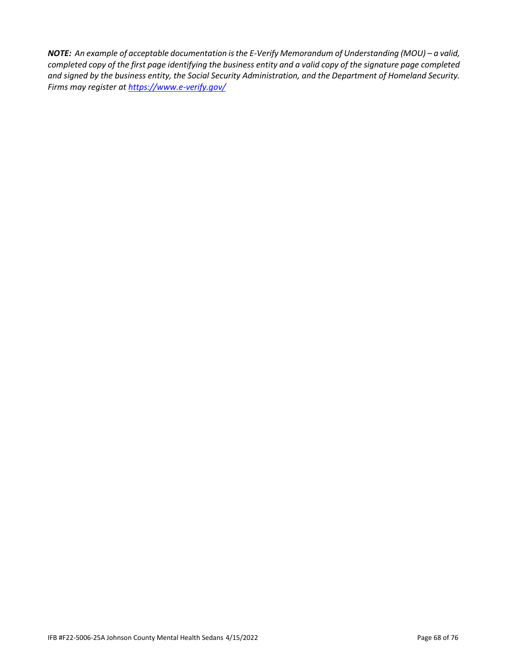*NOTE: An example of acceptable documentation is the E-Verify Memorandum of Understanding (MOU) - a valid, completed copy of the first page identifying the business entity and a valid copy of the signature page completed and signed by the business entity, the Social Security Administration, and the Department of Homeland Security. Firms may register a[t https://www.e-verify.gov/](https://www.e-verify.gov/)*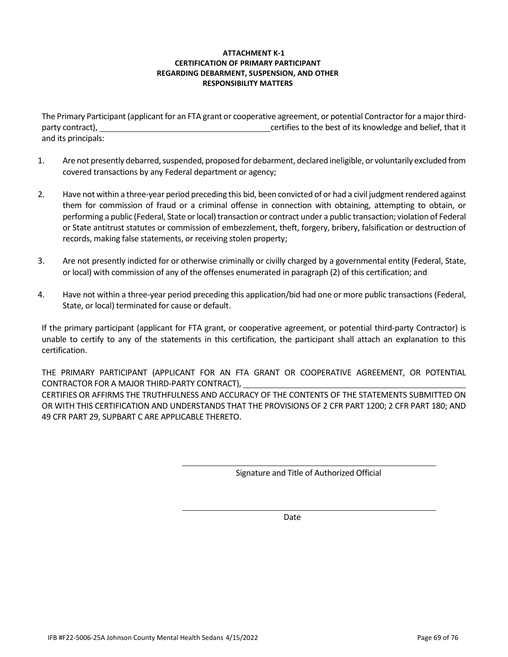## **ATTACHMENT K-1 CERTIFICATION OF PRIMARY PARTICIPANT REGARDING DEBARMENT, SUSPENSION, AND OTHER RESPONSIBILITY MATTERS**

The Primary Participant (applicant for an FTA grant or cooperative agreement, or potential Contractor for a major thirdparty contract), certifies to the best of its knowledge and belief, that it and its principals:

- 1. Are not presently debarred, suspended, proposed for debarment, declared ineligible, or voluntarily excluded from covered transactions by any Federal department or agency;
- 2. Have not within a three-year period preceding this bid, been convicted of or had a civil judgment rendered against them for commission of fraud or a criminal offense in connection with obtaining, attempting to obtain, or performing a public (Federal, State or local) transaction or contract under a public transaction; violation of Federal or State antitrust statutes or commission of embezzlement, theft, forgery, bribery, falsification or destruction of records, making false statements, or receiving stolen property;
- 3. Are not presently indicted for or otherwise criminally or civilly charged by a governmental entity (Federal, State, or local) with commission of any of the offenses enumerated in paragraph (2) of this certification; and
- 4. Have not within a three-year period preceding this application/bid had one or more public transactions (Federal, State, or local) terminated for cause or default.

If the primary participant (applicant for FTA grant, or cooperative agreement, or potential third-party Contractor) is unable to certify to any of the statements in this certification, the participant shall attach an explanation to this certification.

THE PRIMARY PARTICIPANT (APPLICANT FOR AN FTA GRANT OR COOPERATIVE AGREEMENT, OR POTENTIAL CONTRACTOR FOR A MAJOR THIRD-PARTY CONTRACT), CERTIFIES OR AFFIRMS THE TRUTHFULNESS AND ACCURACY OF THE CONTENTS OF THE STATEMENTS SUBMITTED ON OR WITH THIS CERTIFICATION AND UNDERSTANDS THAT THE PROVISIONS OF 2 CFR PART 1200; 2 CFR PART 180; AND 49 CFR PART 29, SUPBART C ARE APPLICABLE THERETO.

Signature and Title of Authorized Official

Date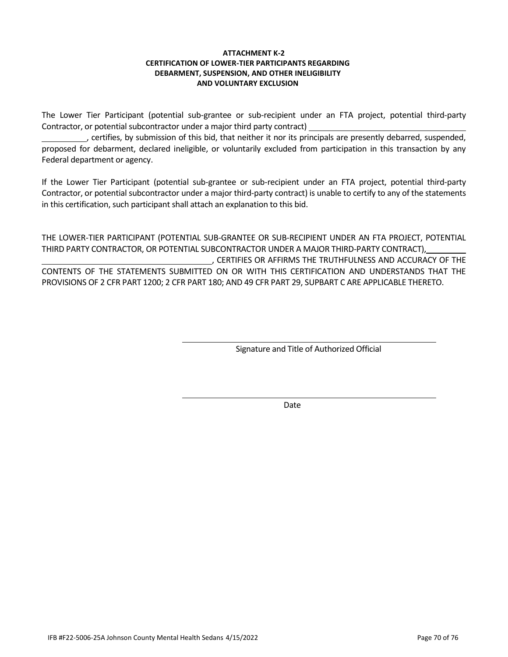## **ATTACHMENT K-2 CERTIFICATION OF LOWER-TIER PARTICIPANTS REGARDING DEBARMENT, SUSPENSION, AND OTHER INELIGIBILITY AND VOLUNTARY EXCLUSION**

The Lower Tier Participant (potential sub-grantee or sub-recipient under an FTA project, potential third-party Contractor, or potential subcontractor under a major third party contract)

, certifies, by submission of this bid, that neither it nor its principals are presently debarred, suspended, proposed for debarment, declared ineligible, or voluntarily excluded from participation in this transaction by any Federal department or agency.

If the Lower Tier Participant (potential sub-grantee or sub-recipient under an FTA project, potential third-party Contractor, or potential subcontractor under a major third-party contract) is unable to certify to any of the statements in this certification, such participant shall attach an explanation to this bid.

THE LOWER-TIER PARTICIPANT (POTENTIAL SUB-GRANTEE OR SUB-RECIPIENT UNDER AN FTA PROJECT, POTENTIAL THIRD PARTY CONTRACTOR, OR POTENTIAL SUBCONTRACTOR UNDER A MAJOR THIRD-PARTY CONTRACT),

, CERTIFIES OR AFFIRMS THE TRUTHFULNESS AND ACCURACY OF THE CONTENTS OF THE STATEMENTS SUBMITTED ON OR WITH THIS CERTIFICATION AND UNDERSTANDS THAT THE PROVISIONS OF 2 CFR PART 1200; 2 CFR PART 180; AND 49 CFR PART 29, SUPBART C ARE APPLICABLE THERETO.

Signature and Title of Authorized Official

Date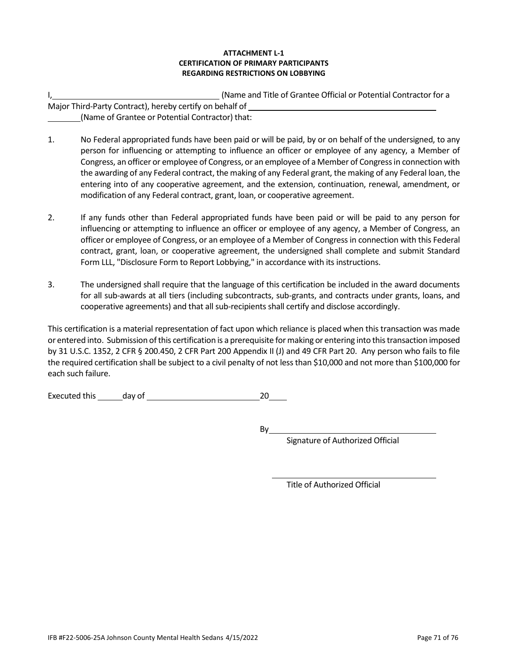## **ATTACHMENT L-1 CERTIFICATION OF PRIMARY PARTICIPANTS REGARDING RESTRICTIONS ON LOBBYING**

|                                                          | (Name and Title of Grantee Official or Potential Contractor for a |
|----------------------------------------------------------|-------------------------------------------------------------------|
| Major Third-Party Contract), hereby certify on behalf of |                                                                   |
| (Name of Grantee or Potential Contractor) that:          |                                                                   |

- 1. No Federal appropriated funds have been paid or will be paid, by or on behalf of the undersigned, to any person for influencing or attempting to influence an officer or employee of any agency, a Member of Congress, an officer or employee of Congress, or an employee of a Member of Congress in connection with the awarding of any Federal contract, the making of any Federal grant, the making of any Federal loan, the entering into of any cooperative agreement, and the extension, continuation, renewal, amendment, or modification of any Federal contract, grant, loan, or cooperative agreement.
- 2. If any funds other than Federal appropriated funds have been paid or will be paid to any person for influencing or attempting to influence an officer or employee of any agency, a Member of Congress, an officer or employee of Congress, or an employee of a Member of Congress in connection with this Federal contract, grant, loan, or cooperative agreement, the undersigned shall complete and submit Standard Form LLL, "Disclosure Form to Report Lobbying," in accordance with its instructions.
- 3. The undersigned shall require that the language of this certification be included in the award documents for all sub-awards at all tiers (including subcontracts, sub-grants, and contracts under grants, loans, and cooperative agreements) and that all sub-recipients shall certify and disclose accordingly.

This certification is a material representation of fact upon which reliance is placed when this transaction was made or entered into. Submission of this certification is a prerequisite for making or entering into this transaction imposed by 31 U.S.C. 1352, 2 CFR § 200.450, 2 CFR Part 200 Appendix II (J) and 49 CFR Part 20. Any person who fails to file the required certification shall be subject to a civil penalty of not less than \$10,000 and not more than \$100,000 for each such failure.

Executed this day of 20

By

Signature of Authorized Official

Title of Authorized Official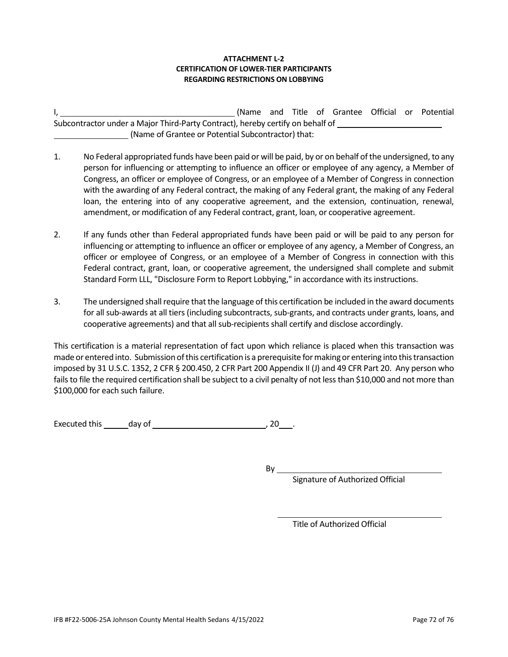## **ATTACHMENT L-2 CERTIFICATION OF LOWER-TIER PARTICIPANTS REGARDING RESTRICTIONS ON LOBBYING**

|                                                                                |  |  |  |  |  |  |  | (Name and Title of Grantee Official or Potential |  |
|--------------------------------------------------------------------------------|--|--|--|--|--|--|--|--------------------------------------------------|--|
| Subcontractor under a Major Third-Party Contract), hereby certify on behalf of |  |  |  |  |  |  |  |                                                  |  |
| (Name of Grantee or Potential Subcontractor) that:                             |  |  |  |  |  |  |  |                                                  |  |

- 1. No Federal appropriated funds have been paid or will be paid, by or on behalf of the undersigned, to any person for influencing or attempting to influence an officer or employee of any agency, a Member of Congress, an officer or employee of Congress, or an employee of a Member of Congress in connection with the awarding of any Federal contract, the making of any Federal grant, the making of any Federal loan, the entering into of any cooperative agreement, and the extension, continuation, renewal, amendment, or modification of any Federal contract, grant, loan, or cooperative agreement.
- 2. If any funds other than Federal appropriated funds have been paid or will be paid to any person for influencing or attempting to influence an officer or employee of any agency, a Member of Congress, an officer or employee of Congress, or an employee of a Member of Congress in connection with this Federal contract, grant, loan, or cooperative agreement, the undersigned shall complete and submit Standard Form LLL, "Disclosure Form to Report Lobbying," in accordance with its instructions.
- 3. The undersigned shall require that the language of this certification be included in the award documents for all sub-awards at all tiers (including subcontracts, sub-grants, and contracts under grants, loans, and cooperative agreements) and that all sub-recipients shall certify and disclose accordingly.

This certification is a material representation of fact upon which reliance is placed when this transaction was made or entered into. Submission of this certification is a prerequisite for making or entering into this transaction imposed by 31 U.S.C. 1352, 2 CFR § 200.450, 2 CFR Part 200 Appendix II (J) and 49 CFR Part 20. Any person who fails to file the required certification shall be subject to a civil penalty of not less than \$10,000 and not more than \$100,000 for each such failure.

Executed this day of the control of the control of the control of the control of the control of the control of the control of the control of the control of the control of the control of the control of the control of the co

 $By$ 

Signature of Authorized Official

Title of Authorized Official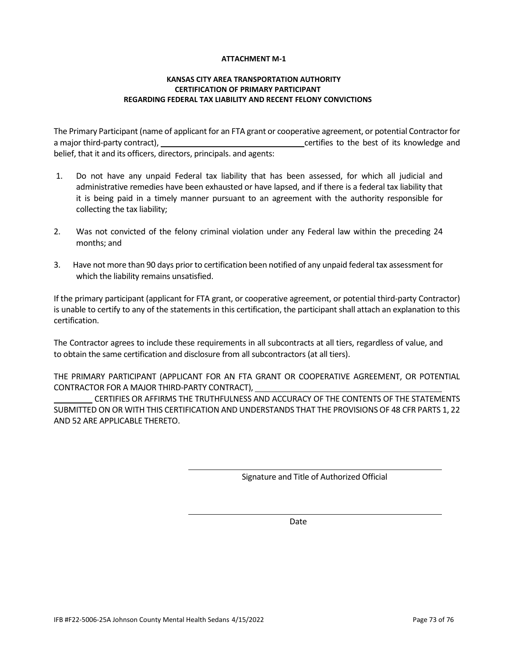### **ATTACHMENT M-1**

# **KANSAS CITY AREA TRANSPORTATION AUTHORITY CERTIFICATION OF PRIMARY PARTICIPANT REGARDING FEDERAL TAX LIABILITY AND RECENT FELONY CONVICTIONS**

The Primary Participant (name of applicant for an FTA grant or cooperative agreement, or potential Contractor for a major third-party contract), and the second term of the best of its knowledge and certifies to the best of its knowledge and belief, that it and its officers, directors, principals. and agents:

- 1. Do not have any unpaid Federal tax liability that has been assessed, for which all judicial and administrative remedies have been exhausted or have lapsed, and if there is a federal tax liability that it is being paid in a timely manner pursuant to an agreement with the authority responsible for collecting the tax liability;
- 2. Was not convicted of the felony criminal violation under any Federal law within the preceding 24 months; and
- 3. Have not more than 90 days prior to certification been notified of any unpaid federal tax assessment for which the liability remains unsatisfied.

If the primary participant (applicant for FTA grant, or cooperative agreement, or potential third-party Contractor) is unable to certify to any of the statements in this certification, the participant shall attach an explanation to this certification.

The Contractor agrees to include these requirements in all subcontracts at all tiers, regardless of value, and to obtain the same certification and disclosure from all subcontractors (at all tiers).

THE PRIMARY PARTICIPANT (APPLICANT FOR AN FTA GRANT OR COOPERATIVE AGREEMENT, OR POTENTIAL CONTRACTOR FOR A MAJOR THIRD-PARTY CONTRACT),

CERTIFIES OR AFFIRMS THE TRUTHFULNESS AND ACCURACY OF THE CONTENTS OF THE STATEMENTS SUBMITTED ON OR WITH THIS CERTIFICATION AND UNDERSTANDS THAT THE PROVISIONS OF 48 CFR PARTS 1, 22 AND 52 ARE APPLICABLE THERETO.

Signature and Title of Authorized Official

Date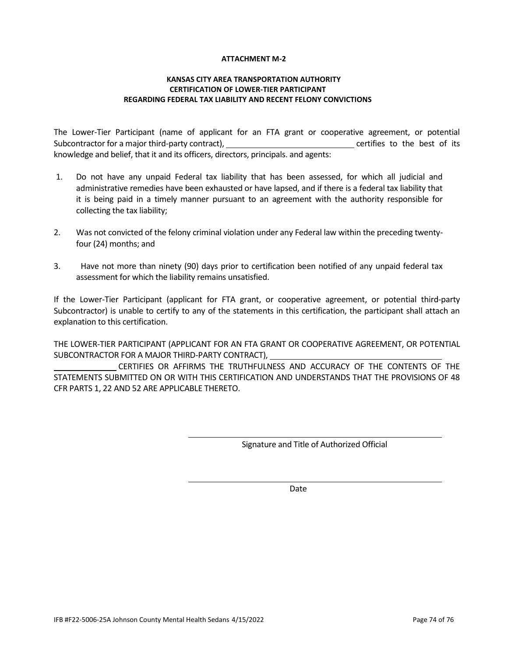### **ATTACHMENT M-2**

## **KANSAS CITY AREA TRANSPORTATION AUTHORITY CERTIFICATION OF LOWER-TIER PARTICIPANT REGARDING FEDERAL TAX LIABILITY AND RECENT FELONY CONVICTIONS**

The Lower-Tier Participant (name of applicant for an FTA grant or cooperative agreement, or potential Subcontractor for a major third-party contract), example the contract of its contract of its subcontraction of its knowledge and belief, that it and its officers, directors, principals. and agents:

- 1. Do not have any unpaid Federal tax liability that has been assessed, for which all judicial and administrative remedies have been exhausted or have lapsed, and if there is a federal tax liability that it is being paid in a timely manner pursuant to an agreement with the authority responsible for collecting the tax liability;
- 2. Was not convicted of the felony criminal violation under any Federal law within the preceding twentyfour (24) months; and
- 3. Have not more than ninety (90) days prior to certification been notified of any unpaid federal tax assessment for which the liability remains unsatisfied.

If the Lower-Tier Participant (applicant for FTA grant, or cooperative agreement, or potential third-party Subcontractor) is unable to certify to any of the statements in this certification, the participant shall attach an explanation to this certification.

THE LOWER-TIER PARTICIPANT (APPLICANT FOR AN FTA GRANT OR COOPERATIVE AGREEMENT, OR POTENTIAL SUBCONTRACTOR FOR A MAJOR THIRD-PARTY CONTRACT),

CERTIFIES OR AFFIRMS THE TRUTHFULNESS AND ACCURACY OF THE CONTENTS OF THE STATEMENTS SUBMITTED ON OR WITH THIS CERTIFICATION AND UNDERSTANDS THAT THE PROVISIONS OF 48 CFR PARTS 1, 22 AND 52 ARE APPLICABLE THERETO.

Signature and Title of Authorized Official

Date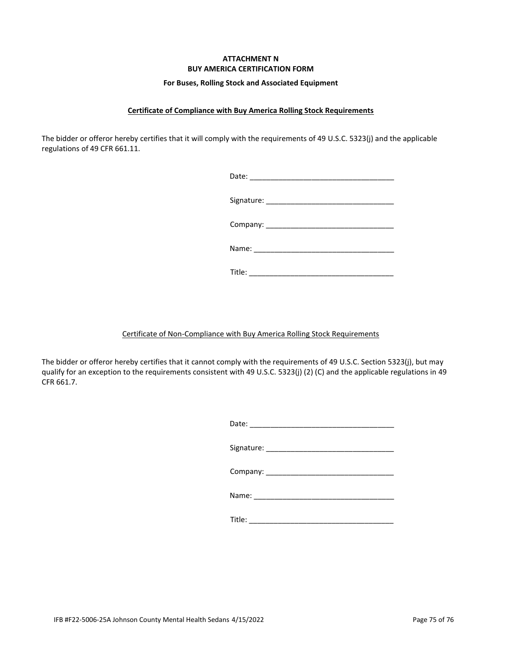# **ATTACHMENT N BUY AMERICA CERTIFICATION FORM**

#### **For Buses, Rolling Stock and Associated Equipment**

# **Certificate of Compliance with Buy America Rolling Stock Requirements**

The bidder or offeror hereby certifies that it will comply with the requirements of 49 U.S.C. 5323(j) and the applicable regulations of 49 CFR 661.11.

Title: \_\_\_\_\_\_\_\_\_\_\_\_\_\_\_\_\_\_\_\_\_\_\_\_\_\_\_\_\_\_\_\_\_\_\_

# Certificate of Non-Compliance with Buy America Rolling Stock Requirements

The bidder or offeror hereby certifies that it cannot comply with the requirements of 49 U.S.C. Section 5323(j), but may qualify for an exception to the requirements consistent with 49 U.S.C. 5323(j) (2) (C) and the applicable regulations in 49 CFR 661.7.

| Date: |
|-------|
|-------|

Signature: \_\_\_\_\_\_\_\_\_\_\_\_\_\_\_\_\_\_\_\_\_\_\_\_\_\_\_\_\_\_\_

Name: \_\_\_\_\_\_\_\_\_\_\_\_\_\_\_\_\_\_\_\_\_\_\_\_\_\_\_\_\_\_\_\_\_\_

Title: \_\_\_\_\_\_\_\_\_\_\_\_\_\_\_\_\_\_\_\_\_\_\_\_\_\_\_\_\_\_\_\_\_\_\_